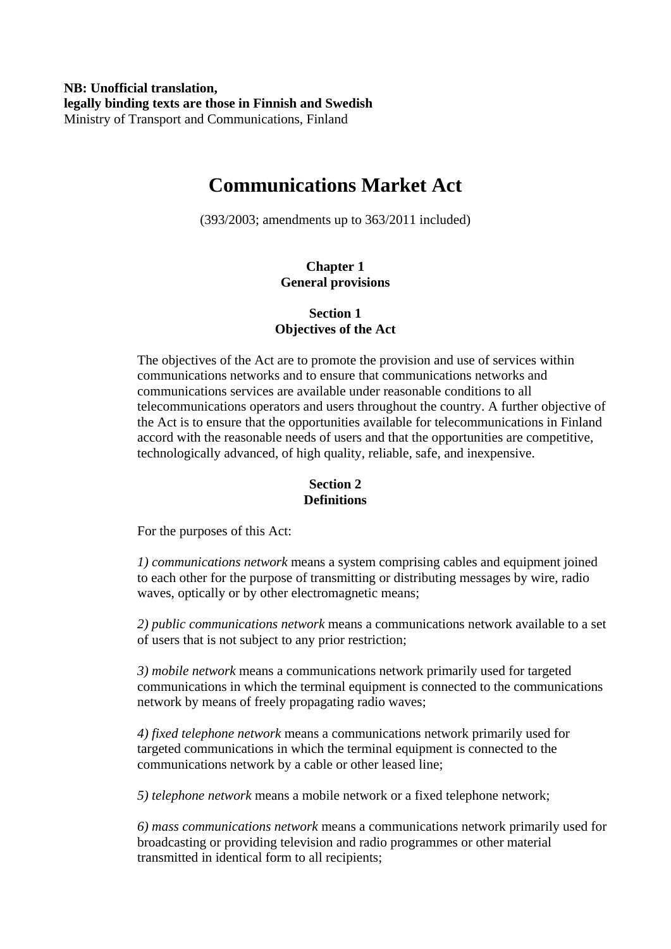**NB: Unofficial translation, legally binding texts are those in Finnish and Swedish**  Ministry of Transport and Communications, Finland

# **Communications Market Act**

(393/2003; amendments up to 363/2011 included)

# **Chapter 1 General provisions**

# **Section 1 Objectives of the Act**

The objectives of the Act are to promote the provision and use of services within communications networks and to ensure that communications networks and communications services are available under reasonable conditions to all telecommunications operators and users throughout the country. A further objective of the Act is to ensure that the opportunities available for telecommunications in Finland accord with the reasonable needs of users and that the opportunities are competitive, technologically advanced, of high quality, reliable, safe, and inexpensive.

## **Section 2 Definitions**

For the purposes of this Act:

*1) communications network* means a system comprising cables and equipment joined to each other for the purpose of transmitting or distributing messages by wire, radio waves, optically or by other electromagnetic means;

*2) public communications network* means a communications network available to a set of users that is not subject to any prior restriction;

*3) mobile network* means a communications network primarily used for targeted communications in which the terminal equipment is connected to the communications network by means of freely propagating radio waves;

*4) fixed telephone network* means a communications network primarily used for targeted communications in which the terminal equipment is connected to the communications network by a cable or other leased line;

*5) telephone network* means a mobile network or a fixed telephone network;

*6) mass communications network* means a communications network primarily used for broadcasting or providing television and radio programmes or other material transmitted in identical form to all recipients;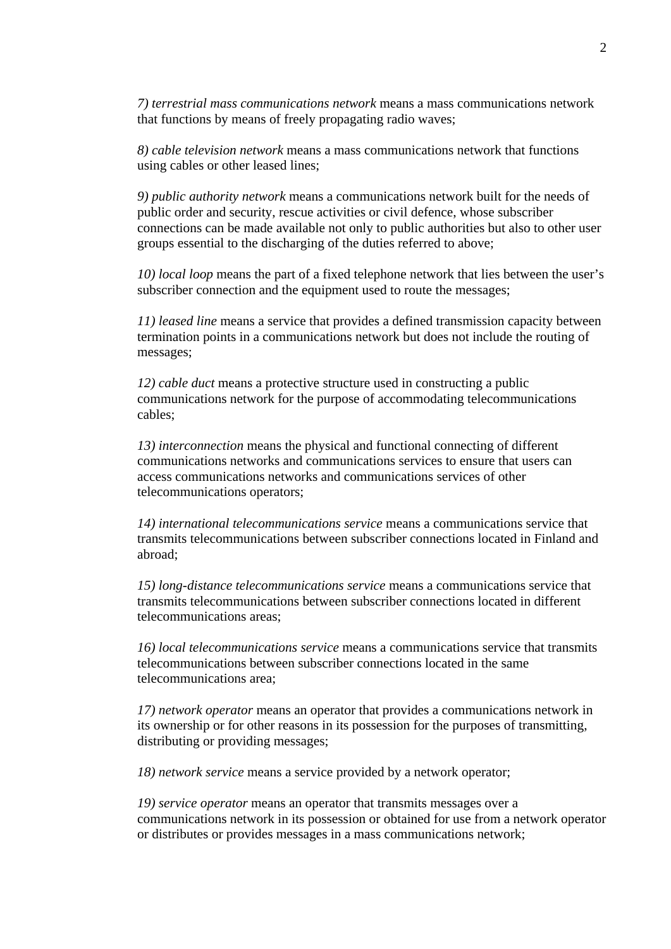*7) terrestrial mass communications network* means a mass communications network that functions by means of freely propagating radio waves;

*8) cable television network* means a mass communications network that functions using cables or other leased lines;

*9) public authority network* means a communications network built for the needs of public order and security, rescue activities or civil defence, whose subscriber connections can be made available not only to public authorities but also to other user groups essential to the discharging of the duties referred to above;

*10) local loop* means the part of a fixed telephone network that lies between the user's subscriber connection and the equipment used to route the messages;

*11) leased line* means a service that provides a defined transmission capacity between termination points in a communications network but does not include the routing of messages;

*12) cable duct* means a protective structure used in constructing a public communications network for the purpose of accommodating telecommunications cables;

*13) interconnection* means the physical and functional connecting of different communications networks and communications services to ensure that users can access communications networks and communications services of other telecommunications operators;

*14) international telecommunications service* means a communications service that transmits telecommunications between subscriber connections located in Finland and abroad;

*15) long-distance telecommunications service* means a communications service that transmits telecommunications between subscriber connections located in different telecommunications areas;

*16) local telecommunications service* means a communications service that transmits telecommunications between subscriber connections located in the same telecommunications area;

*17) network operator* means an operator that provides a communications network in its ownership or for other reasons in its possession for the purposes of transmitting, distributing or providing messages;

*18) network service* means a service provided by a network operator;

*19) service operator* means an operator that transmits messages over a communications network in its possession or obtained for use from a network operator or distributes or provides messages in a mass communications network;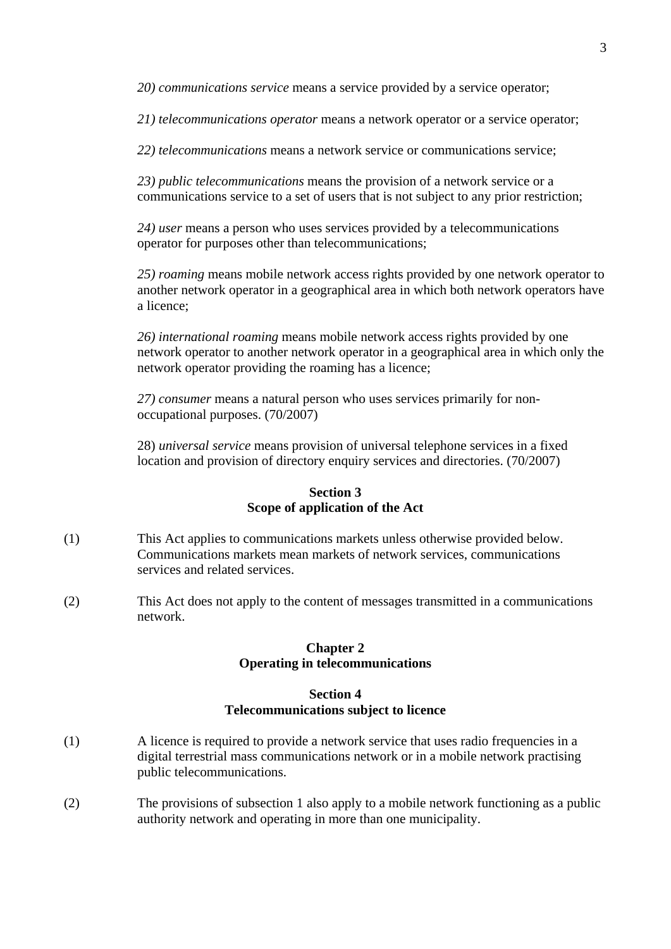*20) communications service* means a service provided by a service operator;

*21) telecommunications operator* means a network operator or a service operator;

*22) telecommunications* means a network service or communications service;

*23) public telecommunications* means the provision of a network service or a communications service to a set of users that is not subject to any prior restriction;

*24) user* means a person who uses services provided by a telecommunications operator for purposes other than telecommunications;

*25) roaming* means mobile network access rights provided by one network operator to another network operator in a geographical area in which both network operators have a licence;

*26) international roaming* means mobile network access rights provided by one network operator to another network operator in a geographical area in which only the network operator providing the roaming has a licence;

*27) consumer* means a natural person who uses services primarily for nonoccupational purposes. (70/2007)

28) *universal service* means provision of universal telephone services in a fixed location and provision of directory enquiry services and directories. (70/2007)

## **Section 3 Scope of application of the Act**

- (1) This Act applies to communications markets unless otherwise provided below. Communications markets mean markets of network services, communications services and related services.
- (2) This Act does not apply to the content of messages transmitted in a communications network.

## **Chapter 2 Operating in telecommunications**

## **Section 4 Telecommunications subject to licence**

- (1) A licence is required to provide a network service that uses radio frequencies in a digital terrestrial mass communications network or in a mobile network practising public telecommunications.
- (2) The provisions of subsection 1 also apply to a mobile network functioning as a public authority network and operating in more than one municipality.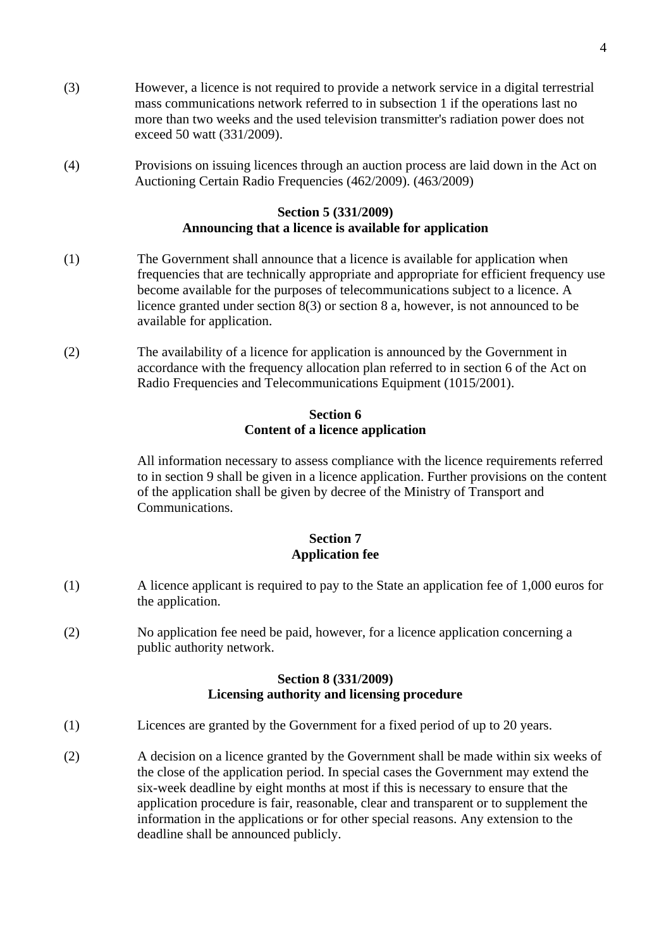- (3) However, a licence is not required to provide a network service in a digital terrestrial mass communications network referred to in subsection 1 if the operations last no more than two weeks and the used television transmitter's radiation power does not exceed 50 watt (331/2009).
- (4) Provisions on issuing licences through an auction process are laid down in the Act on Auctioning Certain Radio Frequencies (462/2009). (463/2009)

#### **Section 5 (331/2009) Announcing that a licence is available for application**

- (1) The Government shall announce that a licence is available for application when frequencies that are technically appropriate and appropriate for efficient frequency use become available for the purposes of telecommunications subject to a licence. A licence granted under section 8(3) or section 8 a, however, is not announced to be available for application.
- (2) The availability of a licence for application is announced by the Government in accordance with the frequency allocation plan referred to in section 6 of the Act on Radio Frequencies and Telecommunications Equipment (1015/2001).

#### **Section 6 Content of a licence application**

All information necessary to assess compliance with the licence requirements referred to in section 9 shall be given in a licence application. Further provisions on the content of the application shall be given by decree of the Ministry of Transport and Communications.

## **Section 7 Application fee**

- (1) A licence applicant is required to pay to the State an application fee of 1,000 euros for the application.
- (2) No application fee need be paid, however, for a licence application concerning a public authority network.

## **Section 8 (331/2009) Licensing authority and licensing procedure**

- (1) Licences are granted by the Government for a fixed period of up to 20 years.
- (2) A decision on a licence granted by the Government shall be made within six weeks of the close of the application period. In special cases the Government may extend the six-week deadline by eight months at most if this is necessary to ensure that the application procedure is fair, reasonable, clear and transparent or to supplement the information in the applications or for other special reasons. Any extension to the deadline shall be announced publicly.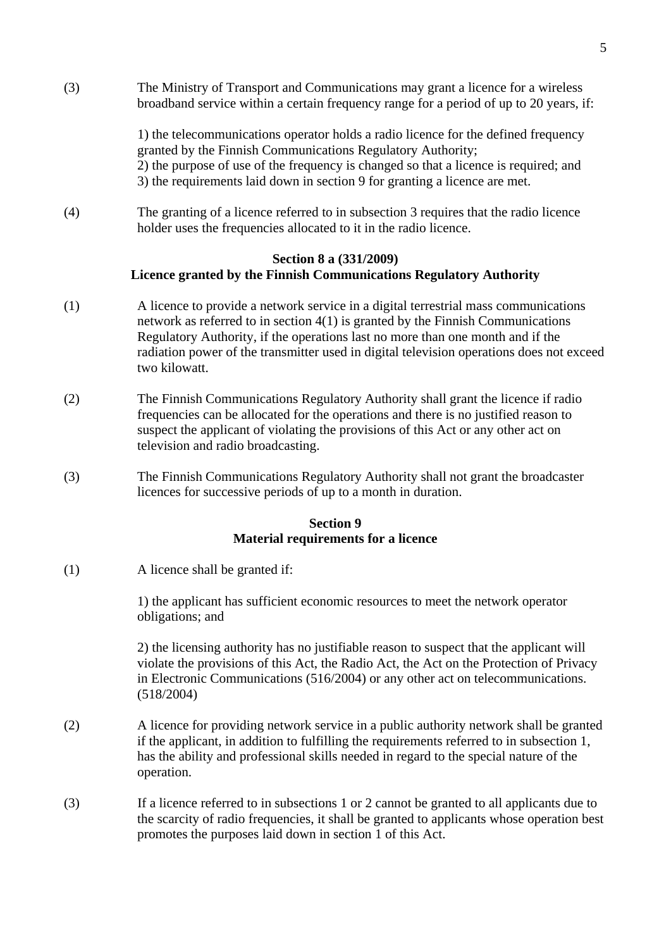(3) The Ministry of Transport and Communications may grant a licence for a wireless broadband service within a certain frequency range for a period of up to 20 years, if:

1) the telecommunications operator holds a radio licence for the defined frequency granted by the Finnish Communications Regulatory Authority; 2) the purpose of use of the frequency is changed so that a licence is required; and 3) the requirements laid down in section 9 for granting a licence are met.

(4) The granting of a licence referred to in subsection 3 requires that the radio licence holder uses the frequencies allocated to it in the radio licence.

## **Section 8 a (331/2009) Licence granted by the Finnish Communications Regulatory Authority**

- (1) A licence to provide a network service in a digital terrestrial mass communications network as referred to in section 4(1) is granted by the Finnish Communications Regulatory Authority, if the operations last no more than one month and if the radiation power of the transmitter used in digital television operations does not exceed two kilowatt.
- (2) The Finnish Communications Regulatory Authority shall grant the licence if radio frequencies can be allocated for the operations and there is no justified reason to suspect the applicant of violating the provisions of this Act or any other act on television and radio broadcasting.
- (3) The Finnish Communications Regulatory Authority shall not grant the broadcaster licences for successive periods of up to a month in duration.

# **Section 9 Material requirements for a licence**

(1) A licence shall be granted if:

 1) the applicant has sufficient economic resources to meet the network operator obligations; and

 2) the licensing authority has no justifiable reason to suspect that the applicant will violate the provisions of this Act, the Radio Act, the Act on the Protection of Privacy in Electronic Communications (516/2004) or any other act on telecommunications. (518/2004)

- (2) A licence for providing network service in a public authority network shall be granted if the applicant, in addition to fulfilling the requirements referred to in subsection 1, has the ability and professional skills needed in regard to the special nature of the operation.
- (3) If a licence referred to in subsections 1 or 2 cannot be granted to all applicants due to the scarcity of radio frequencies, it shall be granted to applicants whose operation best promotes the purposes laid down in section 1 of this Act.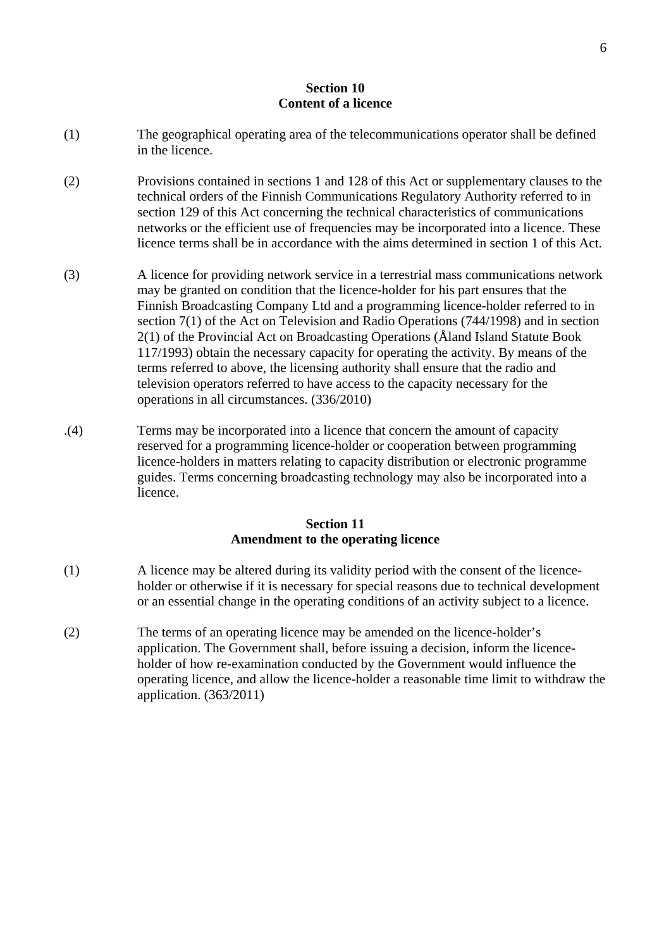## **Section 10 Content of a licence**

- (1) The geographical operating area of the telecommunications operator shall be defined in the licence.
- (2) Provisions contained in sections 1 and 128 of this Act or supplementary clauses to the technical orders of the Finnish Communications Regulatory Authority referred to in section 129 of this Act concerning the technical characteristics of communications networks or the efficient use of frequencies may be incorporated into a licence. These licence terms shall be in accordance with the aims determined in section 1 of this Act.
- (3) A licence for providing network service in a terrestrial mass communications network may be granted on condition that the licence-holder for his part ensures that the Finnish Broadcasting Company Ltd and a programming licence-holder referred to in section 7(1) of the Act on Television and Radio Operations (744/1998) and in section 2(1) of the Provincial Act on Broadcasting Operations (Åland Island Statute Book 117/1993) obtain the necessary capacity for operating the activity. By means of the terms referred to above, the licensing authority shall ensure that the radio and television operators referred to have access to the capacity necessary for the operations in all circumstances. (336/2010)
- .(4) Terms may be incorporated into a licence that concern the amount of capacity reserved for a programming licence-holder or cooperation between programming licence-holders in matters relating to capacity distribution or electronic programme guides. Terms concerning broadcasting technology may also be incorporated into a licence.

# **Section 11 Amendment to the operating licence**

- (1) A licence may be altered during its validity period with the consent of the licence holder or otherwise if it is necessary for special reasons due to technical development or an essential change in the operating conditions of an activity subject to a licence.
- (2) The terms of an operating licence may be amended on the licence-holder's application. The Government shall, before issuing a decision, inform the licence holder of how re-examination conducted by the Government would influence the operating licence, and allow the licence-holder a reasonable time limit to withdraw the application. (363/2011)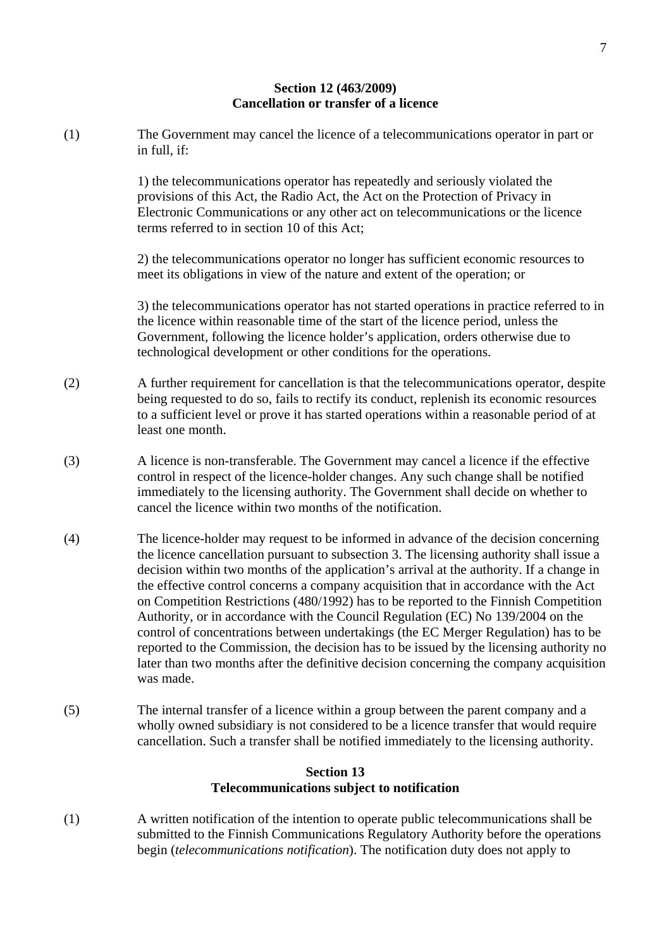#### **Section 12 (463/2009) Cancellation or transfer of a licence**

(1) The Government may cancel the licence of a telecommunications operator in part or in full, if:

> 1) the telecommunications operator has repeatedly and seriously violated the provisions of this Act, the Radio Act, the Act on the Protection of Privacy in Electronic Communications or any other act on telecommunications or the licence terms referred to in section 10 of this Act;

> 2) the telecommunications operator no longer has sufficient economic resources to meet its obligations in view of the nature and extent of the operation; or

3) the telecommunications operator has not started operations in practice referred to in the licence within reasonable time of the start of the licence period, unless the Government, following the licence holder's application, orders otherwise due to technological development or other conditions for the operations.

- (2) A further requirement for cancellation is that the telecommunications operator, despite being requested to do so, fails to rectify its conduct, replenish its economic resources to a sufficient level or prove it has started operations within a reasonable period of at least one month.
- (3) A licence is non-transferable. The Government may cancel a licence if the effective control in respect of the licence-holder changes. Any such change shall be notified immediately to the licensing authority. The Government shall decide on whether to cancel the licence within two months of the notification.
- (4) The licence-holder may request to be informed in advance of the decision concerning the licence cancellation pursuant to subsection 3. The licensing authority shall issue a decision within two months of the application's arrival at the authority. If a change in the effective control concerns a company acquisition that in accordance with the Act on Competition Restrictions (480/1992) has to be reported to the Finnish Competition Authority, or in accordance with the Council Regulation (EC) No 139/2004 on the control of concentrations between undertakings (the EC Merger Regulation) has to be reported to the Commission, the decision has to be issued by the licensing authority no later than two months after the definitive decision concerning the company acquisition was made.
- (5) The internal transfer of a licence within a group between the parent company and a wholly owned subsidiary is not considered to be a licence transfer that would require cancellation. Such a transfer shall be notified immediately to the licensing authority.

## **Section 13 Telecommunications subject to notification**

(1) A written notification of the intention to operate public telecommunications shall be submitted to the Finnish Communications Regulatory Authority before the operations begin (*telecommunications notification*). The notification duty does not apply to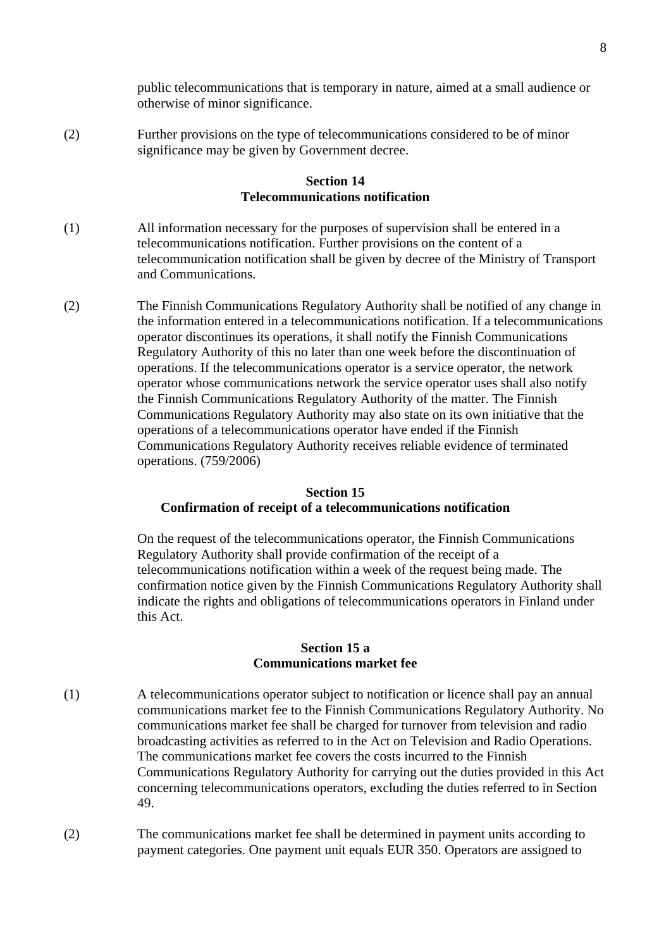public telecommunications that is temporary in nature, aimed at a small audience or otherwise of minor significance.

(2) Further provisions on the type of telecommunications considered to be of minor significance may be given by Government decree.

#### **Section 14 Telecommunications notification**

- (1) All information necessary for the purposes of supervision shall be entered in a telecommunications notification. Further provisions on the content of a telecommunication notification shall be given by decree of the Ministry of Transport and Communications.
- (2) The Finnish Communications Regulatory Authority shall be notified of any change in the information entered in a telecommunications notification. If a telecommunications operator discontinues its operations, it shall notify the Finnish Communications Regulatory Authority of this no later than one week before the discontinuation of operations. If the telecommunications operator is a service operator, the network operator whose communications network the service operator uses shall also notify the Finnish Communications Regulatory Authority of the matter. The Finnish Communications Regulatory Authority may also state on its own initiative that the operations of a telecommunications operator have ended if the Finnish Communications Regulatory Authority receives reliable evidence of terminated operations. (759/2006)

## **Section 15 Confirmation of receipt of a telecommunications notification**

On the request of the telecommunications operator, the Finnish Communications Regulatory Authority shall provide confirmation of the receipt of a telecommunications notification within a week of the request being made. The confirmation notice given by the Finnish Communications Regulatory Authority shall indicate the rights and obligations of telecommunications operators in Finland under this Act.

## **Section 15 a Communications market fee**

- (1) A telecommunications operator subject to notification or licence shall pay an annual communications market fee to the Finnish Communications Regulatory Authority. No communications market fee shall be charged for turnover from television and radio broadcasting activities as referred to in the Act on Television and Radio Operations. The communications market fee covers the costs incurred to the Finnish Communications Regulatory Authority for carrying out the duties provided in this Act concerning telecommunications operators, excluding the duties referred to in Section 49.
- (2) The communications market fee shall be determined in payment units according to payment categories. One payment unit equals EUR 350. Operators are assigned to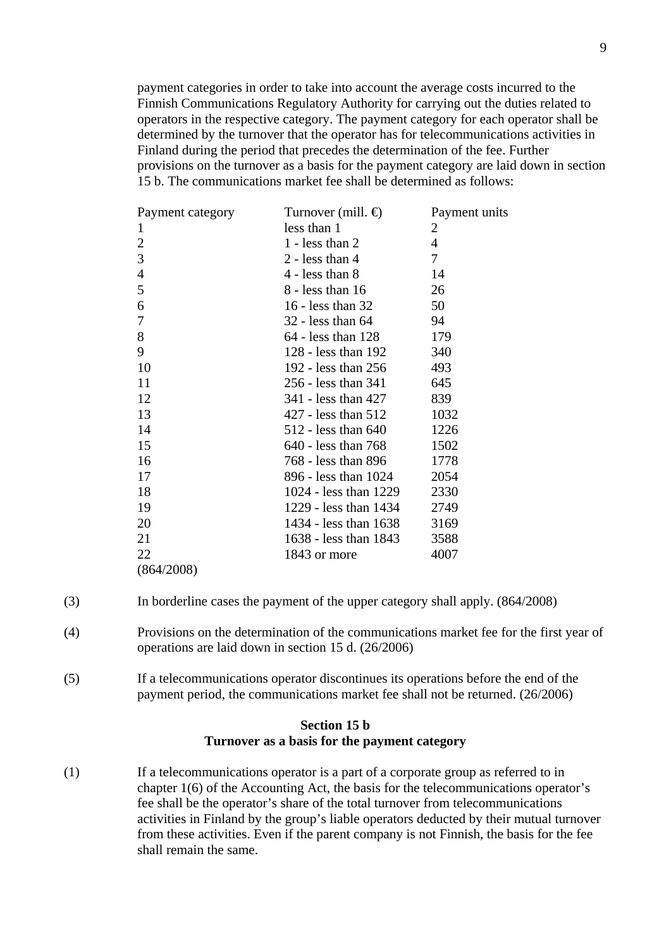payment categories in order to take into account the average costs incurred to the Finnish Communications Regulatory Authority for carrying out the duties related to operators in the respective category. The payment category for each operator shall be determined by the turnover that the operator has for telecommunications activities in Finland during the period that precedes the determination of the fee. Further provisions on the turnover as a basis for the payment category are laid down in section 15 b. The communications market fee shall be determined as follows:

| Payment category | Turnover (mill. $\bigoplus$ | Payment units  |
|------------------|-----------------------------|----------------|
| 1                | less than 1                 | 2              |
| $\overline{c}$   | $1$ - less than $2$         | $\overline{4}$ |
| 3                | $2 - less than 4$           | $\tau$         |
| $\overline{4}$   | $4 - less than 8$           | 14             |
| 5                | $8 -$ less than 16          | 26             |
| 6                | 16 - less than $32$         | 50             |
| 7                | $32$ - less than 64         | 94             |
| 8                | $64$ - less than 128        | 179            |
| 9                | 128 - less than $192$       | 340            |
| 10               | 192 - less than 256         | 493            |
| 11               | 256 - less than 341         | 645            |
| 12               | 341 - less than 427         | 839            |
| 13               | 427 - less than 512         | 1032           |
| 14               | 512 - less than 640         | 1226           |
| 15               | 640 - less than 768         | 1502           |
| 16               | 768 - less than 896         | 1778           |
| 17               | 896 - less than 1024        | 2054           |
| 18               | 1024 - less than 1229       | 2330           |
| 19               | 1229 - less than 1434       | 2749           |
| 20               | 1434 - less than 1638       | 3169           |
| 21               | 1638 - less than 1843       | 3588           |
| 22               | 1843 or more                | 4007           |
| (864/2008)       |                             |                |

(3) In borderline cases the payment of the upper category shall apply. (864/2008)

- (4) Provisions on the determination of the communications market fee for the first year of operations are laid down in section 15 d. (26/2006)
- (5) If a telecommunications operator discontinues its operations before the end of the payment period, the communications market fee shall not be returned. (26/2006)

#### **Section 15 b Turnover as a basis for the payment category**

(1) If a telecommunications operator is a part of a corporate group as referred to in chapter 1(6) of the Accounting Act, the basis for the telecommunications operator's fee shall be the operator's share of the total turnover from telecommunications activities in Finland by the group's liable operators deducted by their mutual turnover from these activities. Even if the parent company is not Finnish, the basis for the fee shall remain the same.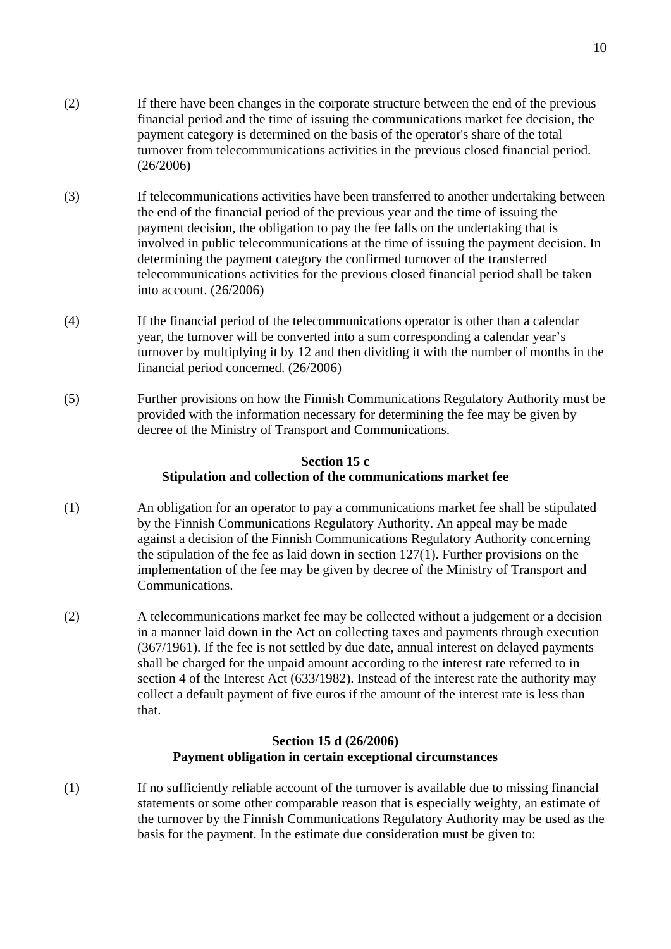- (2) If there have been changes in the corporate structure between the end of the previous financial period and the time of issuing the communications market fee decision, the payment category is determined on the basis of the operator's share of the total turnover from telecommunications activities in the previous closed financial period. (26/2006)
- (3) If telecommunications activities have been transferred to another undertaking between the end of the financial period of the previous year and the time of issuing the payment decision, the obligation to pay the fee falls on the undertaking that is involved in public telecommunications at the time of issuing the payment decision. In determining the payment category the confirmed turnover of the transferred telecommunications activities for the previous closed financial period shall be taken into account. (26/2006)
- (4) If the financial period of the telecommunications operator is other than a calendar year, the turnover will be converted into a sum corresponding a calendar year's turnover by multiplying it by 12 and then dividing it with the number of months in the financial period concerned. (26/2006)
- (5) Further provisions on how the Finnish Communications Regulatory Authority must be provided with the information necessary for determining the fee may be given by decree of the Ministry of Transport and Communications.

#### **Section 15 c Stipulation and collection of the communications market fee**

- (1) An obligation for an operator to pay a communications market fee shall be stipulated by the Finnish Communications Regulatory Authority. An appeal may be made against a decision of the Finnish Communications Regulatory Authority concerning the stipulation of the fee as laid down in section 127(1). Further provisions on the implementation of the fee may be given by decree of the Ministry of Transport and Communications.
- (2) A telecommunications market fee may be collected without a judgement or a decision in a manner laid down in the Act on collecting taxes and payments through execution (367/1961). If the fee is not settled by due date, annual interest on delayed payments shall be charged for the unpaid amount according to the interest rate referred to in section 4 of the Interest Act (633/1982). Instead of the interest rate the authority may collect a default payment of five euros if the amount of the interest rate is less than that.

## **Section 15 d (26/2006) Payment obligation in certain exceptional circumstances**

(1) If no sufficiently reliable account of the turnover is available due to missing financial statements or some other comparable reason that is especially weighty, an estimate of the turnover by the Finnish Communications Regulatory Authority may be used as the basis for the payment. In the estimate due consideration must be given to: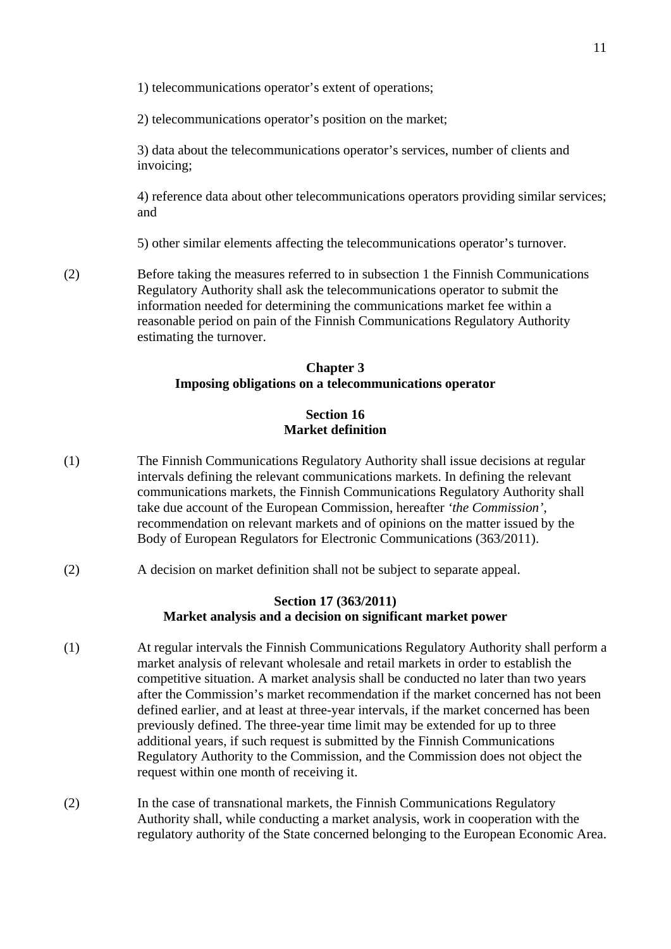1) telecommunications operator's extent of operations;

2) telecommunications operator's position on the market;

3) data about the telecommunications operator's services, number of clients and invoicing;

4) reference data about other telecommunications operators providing similar services; and

5) other similar elements affecting the telecommunications operator's turnover.

(2) Before taking the measures referred to in subsection 1 the Finnish Communications Regulatory Authority shall ask the telecommunications operator to submit the information needed for determining the communications market fee within a reasonable period on pain of the Finnish Communications Regulatory Authority estimating the turnover.

#### **Chapter 3 Imposing obligations on a telecommunications operator**

#### **Section 16 Market definition**

- (1) The Finnish Communications Regulatory Authority shall issue decisions at regular intervals defining the relevant communications markets. In defining the relevant communications markets, the Finnish Communications Regulatory Authority shall take due account of the European Commission, hereafter *'the Commission'*, recommendation on relevant markets and of opinions on the matter issued by the Body of European Regulators for Electronic Communications (363/2011).
- (2) A decision on market definition shall not be subject to separate appeal.

## **Section 17 (363/2011) Market analysis and a decision on significant market power**

- (1) At regular intervals the Finnish Communications Regulatory Authority shall perform a market analysis of relevant wholesale and retail markets in order to establish the competitive situation. A market analysis shall be conducted no later than two years after the Commission's market recommendation if the market concerned has not been defined earlier, and at least at three-year intervals, if the market concerned has been previously defined. The three-year time limit may be extended for up to three additional years, if such request is submitted by the Finnish Communications Regulatory Authority to the Commission, and the Commission does not object the request within one month of receiving it.
- (2) In the case of transnational markets, the Finnish Communications Regulatory Authority shall, while conducting a market analysis, work in cooperation with the regulatory authority of the State concerned belonging to the European Economic Area.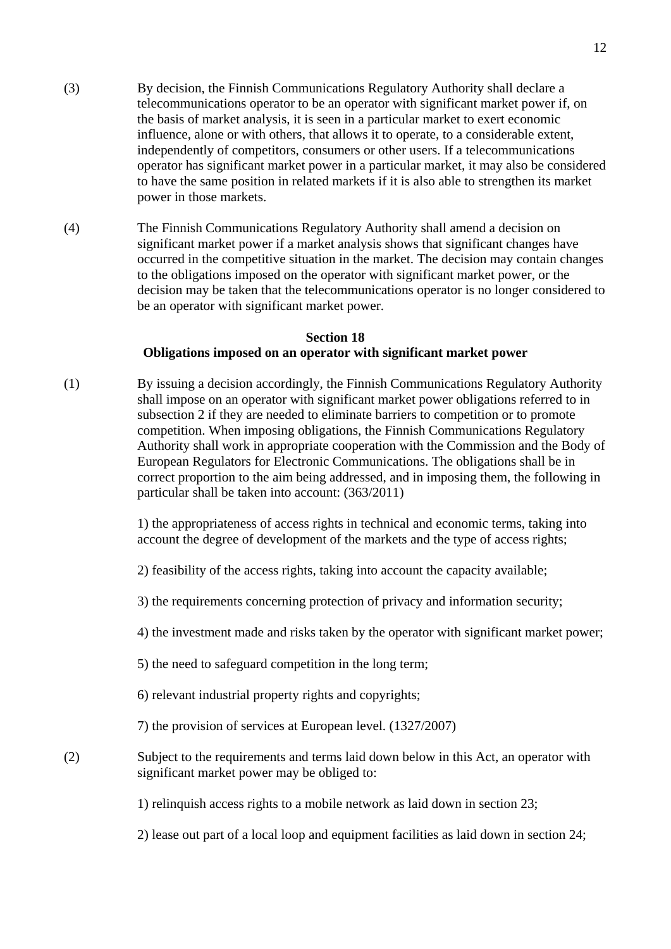- (3) By decision, the Finnish Communications Regulatory Authority shall declare a telecommunications operator to be an operator with significant market power if, on the basis of market analysis, it is seen in a particular market to exert economic influence, alone or with others, that allows it to operate, to a considerable extent, independently of competitors, consumers or other users. If a telecommunications operator has significant market power in a particular market, it may also be considered to have the same position in related markets if it is also able to strengthen its market power in those markets.
- (4) The Finnish Communications Regulatory Authority shall amend a decision on significant market power if a market analysis shows that significant changes have occurred in the competitive situation in the market. The decision may contain changes to the obligations imposed on the operator with significant market power, or the decision may be taken that the telecommunications operator is no longer considered to be an operator with significant market power.

## **Section 18 Obligations imposed on an operator with significant market power**

(1) By issuing a decision accordingly, the Finnish Communications Regulatory Authority shall impose on an operator with significant market power obligations referred to in subsection 2 if they are needed to eliminate barriers to competition or to promote competition. When imposing obligations, the Finnish Communications Regulatory Authority shall work in appropriate cooperation with the Commission and the Body of European Regulators for Electronic Communications. The obligations shall be in correct proportion to the aim being addressed, and in imposing them, the following in particular shall be taken into account: (363/2011)

> 1) the appropriateness of access rights in technical and economic terms, taking into account the degree of development of the markets and the type of access rights;

- 2) feasibility of the access rights, taking into account the capacity available;
- 3) the requirements concerning protection of privacy and information security;
- 4) the investment made and risks taken by the operator with significant market power;
- 5) the need to safeguard competition in the long term;
- 6) relevant industrial property rights and copyrights;
- 7) the provision of services at European level. (1327/2007)
- (2) Subject to the requirements and terms laid down below in this Act, an operator with significant market power may be obliged to:
	- 1) relinquish access rights to a mobile network as laid down in section 23;
	- 2) lease out part of a local loop and equipment facilities as laid down in section 24;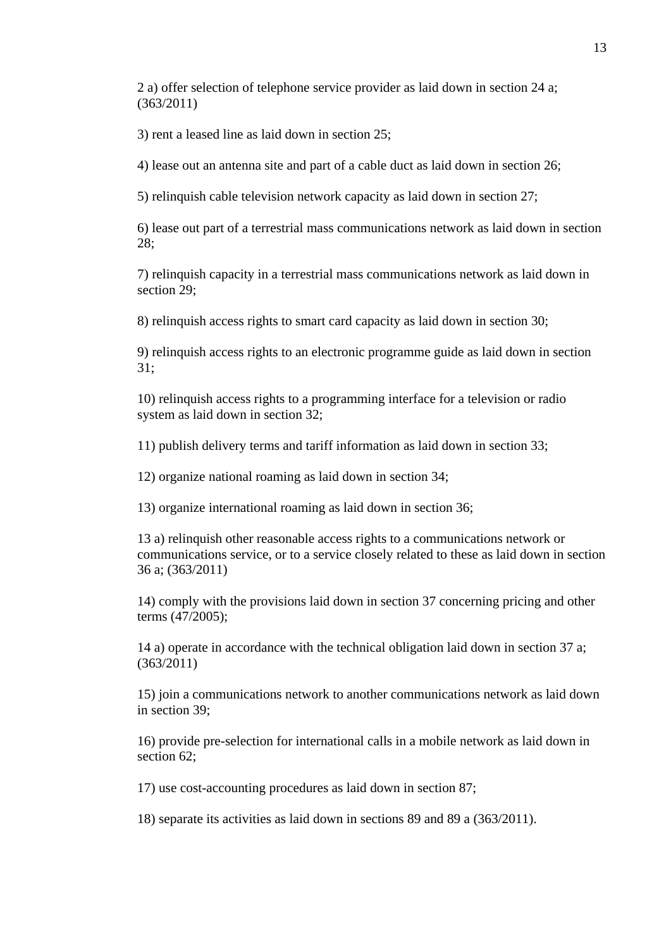2 a) offer selection of telephone service provider as laid down in section 24 a; (363/2011)

3) rent a leased line as laid down in section 25;

4) lease out an antenna site and part of a cable duct as laid down in section 26;

5) relinquish cable television network capacity as laid down in section 27;

6) lease out part of a terrestrial mass communications network as laid down in section 28;

7) relinquish capacity in a terrestrial mass communications network as laid down in section 29;

8) relinquish access rights to smart card capacity as laid down in section 30;

9) relinquish access rights to an electronic programme guide as laid down in section 31;

10) relinquish access rights to a programming interface for a television or radio system as laid down in section 32;

11) publish delivery terms and tariff information as laid down in section 33;

12) organize national roaming as laid down in section 34;

13) organize international roaming as laid down in section 36;

13 a) relinquish other reasonable access rights to a communications network or communications service, or to a service closely related to these as laid down in section 36 a; (363/2011)

14) comply with the provisions laid down in section 37 concerning pricing and other terms (47/2005);

14 a) operate in accordance with the technical obligation laid down in section 37 a; (363/2011)

15) join a communications network to another communications network as laid down in section 39;

16) provide pre-selection for international calls in a mobile network as laid down in section 62;

17) use cost-accounting procedures as laid down in section 87;

18) separate its activities as laid down in sections 89 and 89 a (363/2011).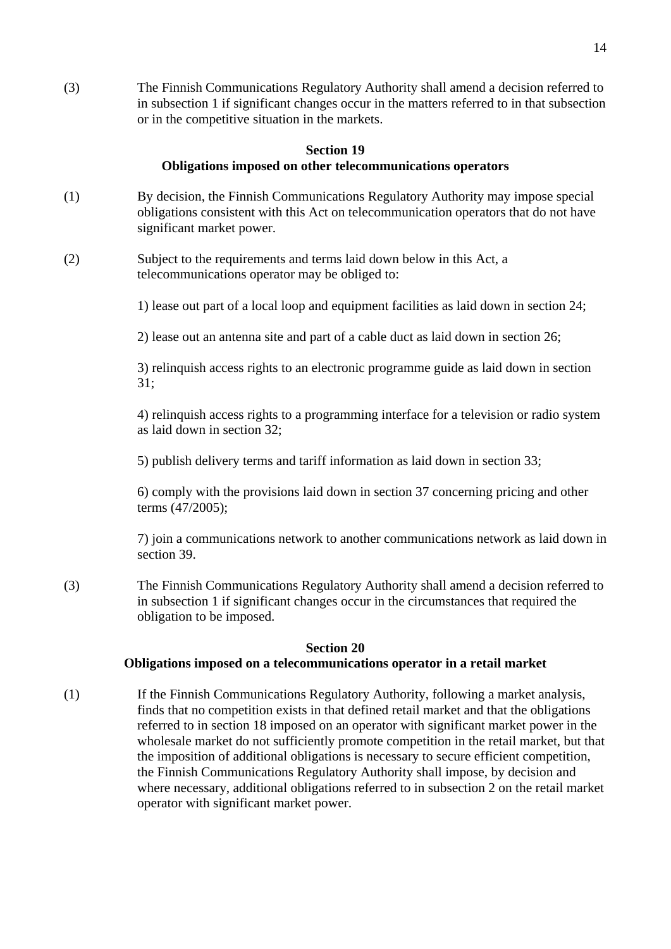(3) The Finnish Communications Regulatory Authority shall amend a decision referred to in subsection 1 if significant changes occur in the matters referred to in that subsection or in the competitive situation in the markets.

#### **Section 19 Obligations imposed on other telecommunications operators**

- (1) By decision, the Finnish Communications Regulatory Authority may impose special obligations consistent with this Act on telecommunication operators that do not have significant market power.
- (2) Subject to the requirements and terms laid down below in this Act, a telecommunications operator may be obliged to:

1) lease out part of a local loop and equipment facilities as laid down in section 24;

2) lease out an antenna site and part of a cable duct as laid down in section 26;

3) relinquish access rights to an electronic programme guide as laid down in section 31;

4) relinquish access rights to a programming interface for a television or radio system as laid down in section 32;

5) publish delivery terms and tariff information as laid down in section 33;

6) comply with the provisions laid down in section 37 concerning pricing and other terms (47/2005);

7) join a communications network to another communications network as laid down in section 39.

(3) The Finnish Communications Regulatory Authority shall amend a decision referred to in subsection 1 if significant changes occur in the circumstances that required the obligation to be imposed.

## **Section 20**

# **Obligations imposed on a telecommunications operator in a retail market**

(1) If the Finnish Communications Regulatory Authority, following a market analysis, finds that no competition exists in that defined retail market and that the obligations referred to in section 18 imposed on an operator with significant market power in the wholesale market do not sufficiently promote competition in the retail market, but that the imposition of additional obligations is necessary to secure efficient competition, the Finnish Communications Regulatory Authority shall impose, by decision and where necessary, additional obligations referred to in subsection 2 on the retail market operator with significant market power.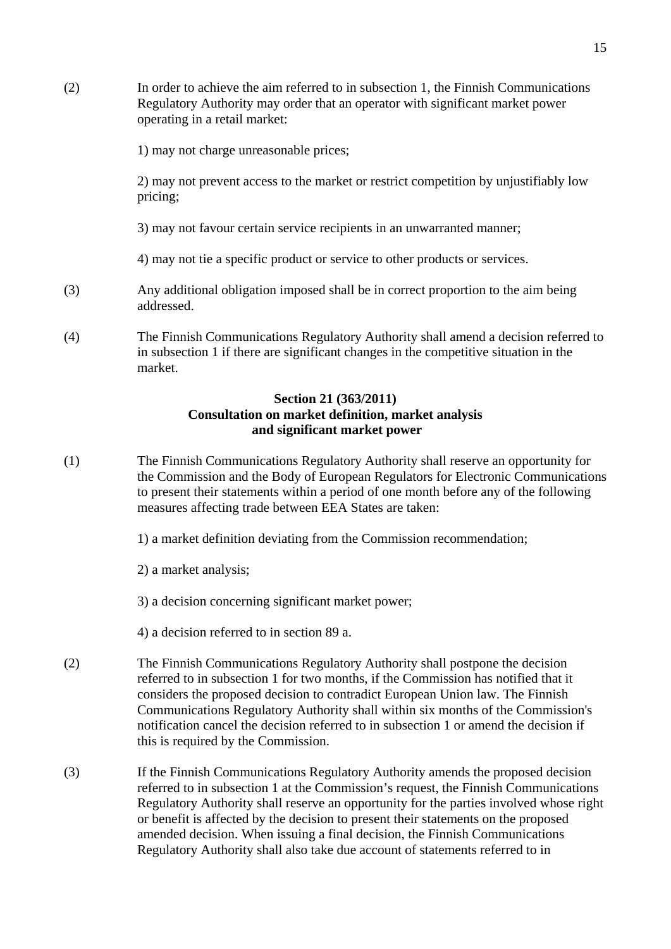- (2) In order to achieve the aim referred to in subsection 1, the Finnish Communications Regulatory Authority may order that an operator with significant market power operating in a retail market: 1) may not charge unreasonable prices; 2) may not prevent access to the market or restrict competition by unjustifiably low pricing; 3) may not favour certain service recipients in an unwarranted manner; 4) may not tie a specific product or service to other products or services. (3) Any additional obligation imposed shall be in correct proportion to the aim being addressed. (4) The Finnish Communications Regulatory Authority shall amend a decision referred to in subsection 1 if there are significant changes in the competitive situation in the market. **Section 21 (363/2011) Consultation on market definition, market analysis and significant market power**  (1) The Finnish Communications Regulatory Authority shall reserve an opportunity for
- the Commission and the Body of European Regulators for Electronic Communications to present their statements within a period of one month before any of the following measures affecting trade between EEA States are taken:
	- 1) a market definition deviating from the Commission recommendation;
	- 2) a market analysis;
	- 3) a decision concerning significant market power;
	- 4) a decision referred to in section 89 a.
- (2) The Finnish Communications Regulatory Authority shall postpone the decision referred to in subsection 1 for two months, if the Commission has notified that it considers the proposed decision to contradict European Union law. The Finnish Communications Regulatory Authority shall within six months of the Commission's notification cancel the decision referred to in subsection 1 or amend the decision if this is required by the Commission.
- (3) If the Finnish Communications Regulatory Authority amends the proposed decision referred to in subsection 1 at the Commission's request, the Finnish Communications Regulatory Authority shall reserve an opportunity for the parties involved whose right or benefit is affected by the decision to present their statements on the proposed amended decision. When issuing a final decision, the Finnish Communications Regulatory Authority shall also take due account of statements referred to in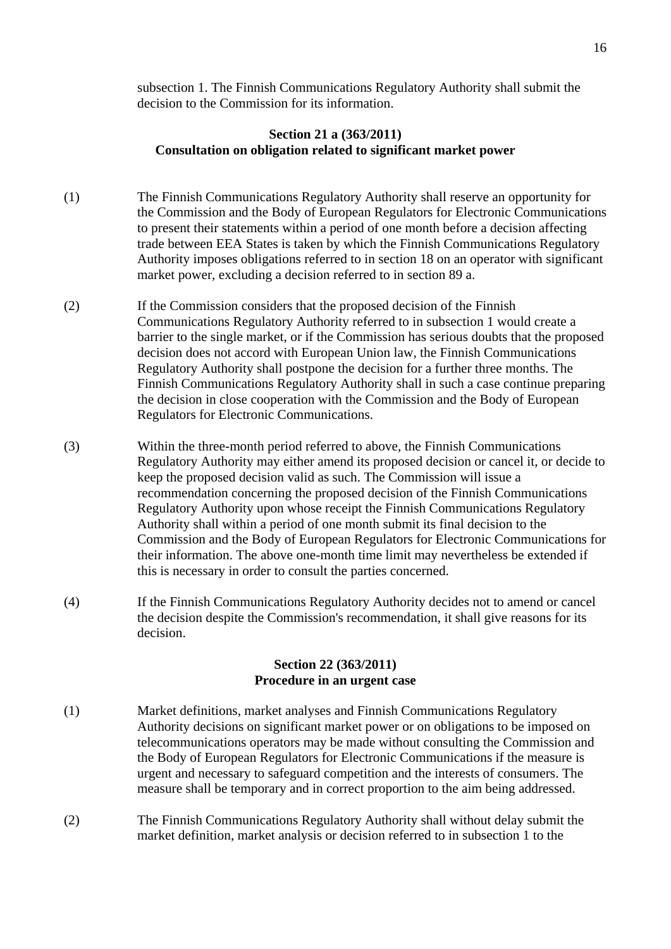subsection 1. The Finnish Communications Regulatory Authority shall submit the decision to the Commission for its information.

## **Section 21 a (363/2011) Consultation on obligation related to significant market power**

- (1) The Finnish Communications Regulatory Authority shall reserve an opportunity for the Commission and the Body of European Regulators for Electronic Communications to present their statements within a period of one month before a decision affecting trade between EEA States is taken by which the Finnish Communications Regulatory Authority imposes obligations referred to in section 18 on an operator with significant market power, excluding a decision referred to in section 89 a.
- (2) If the Commission considers that the proposed decision of the Finnish Communications Regulatory Authority referred to in subsection 1 would create a barrier to the single market, or if the Commission has serious doubts that the proposed decision does not accord with European Union law, the Finnish Communications Regulatory Authority shall postpone the decision for a further three months. The Finnish Communications Regulatory Authority shall in such a case continue preparing the decision in close cooperation with the Commission and the Body of European Regulators for Electronic Communications.
- (3) Within the three-month period referred to above, the Finnish Communications Regulatory Authority may either amend its proposed decision or cancel it, or decide to keep the proposed decision valid as such. The Commission will issue a recommendation concerning the proposed decision of the Finnish Communications Regulatory Authority upon whose receipt the Finnish Communications Regulatory Authority shall within a period of one month submit its final decision to the Commission and the Body of European Regulators for Electronic Communications for their information. The above one-month time limit may nevertheless be extended if this is necessary in order to consult the parties concerned.
- (4) If the Finnish Communications Regulatory Authority decides not to amend or cancel the decision despite the Commission's recommendation, it shall give reasons for its decision.

#### **Section 22 (363/2011) Procedure in an urgent case**

- (1) Market definitions, market analyses and Finnish Communications Regulatory Authority decisions on significant market power or on obligations to be imposed on telecommunications operators may be made without consulting the Commission and the Body of European Regulators for Electronic Communications if the measure is urgent and necessary to safeguard competition and the interests of consumers. The measure shall be temporary and in correct proportion to the aim being addressed.
- (2) The Finnish Communications Regulatory Authority shall without delay submit the market definition, market analysis or decision referred to in subsection 1 to the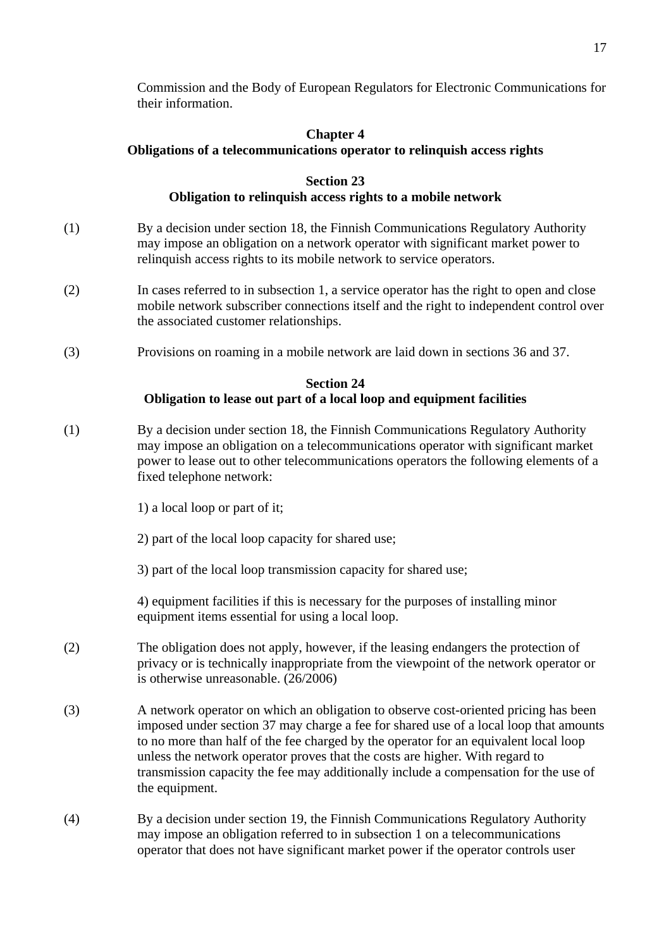Commission and the Body of European Regulators for Electronic Communications for their information.

# **Chapter 4 Obligations of a telecommunications operator to relinquish access rights**

# **Section 23 Obligation to relinquish access rights to a mobile network**

- (1) By a decision under section 18, the Finnish Communications Regulatory Authority may impose an obligation on a network operator with significant market power to relinquish access rights to its mobile network to service operators.
- (2) In cases referred to in subsection 1, a service operator has the right to open and close mobile network subscriber connections itself and the right to independent control over the associated customer relationships.
- (3) Provisions on roaming in a mobile network are laid down in sections 36 and 37.

# **Section 24**

# **Obligation to lease out part of a local loop and equipment facilities**

- (1) By a decision under section 18, the Finnish Communications Regulatory Authority may impose an obligation on a telecommunications operator with significant market power to lease out to other telecommunications operators the following elements of a fixed telephone network:
	- 1) a local loop or part of it;
	- 2) part of the local loop capacity for shared use;
	- 3) part of the local loop transmission capacity for shared use;

4) equipment facilities if this is necessary for the purposes of installing minor equipment items essential for using a local loop.

- (2) The obligation does not apply, however, if the leasing endangers the protection of privacy or is technically inappropriate from the viewpoint of the network operator or is otherwise unreasonable. (26/2006)
- (3) A network operator on which an obligation to observe cost-oriented pricing has been imposed under section 37 may charge a fee for shared use of a local loop that amounts to no more than half of the fee charged by the operator for an equivalent local loop unless the network operator proves that the costs are higher. With regard to transmission capacity the fee may additionally include a compensation for the use of the equipment.
- (4) By a decision under section 19, the Finnish Communications Regulatory Authority may impose an obligation referred to in subsection 1 on a telecommunications operator that does not have significant market power if the operator controls user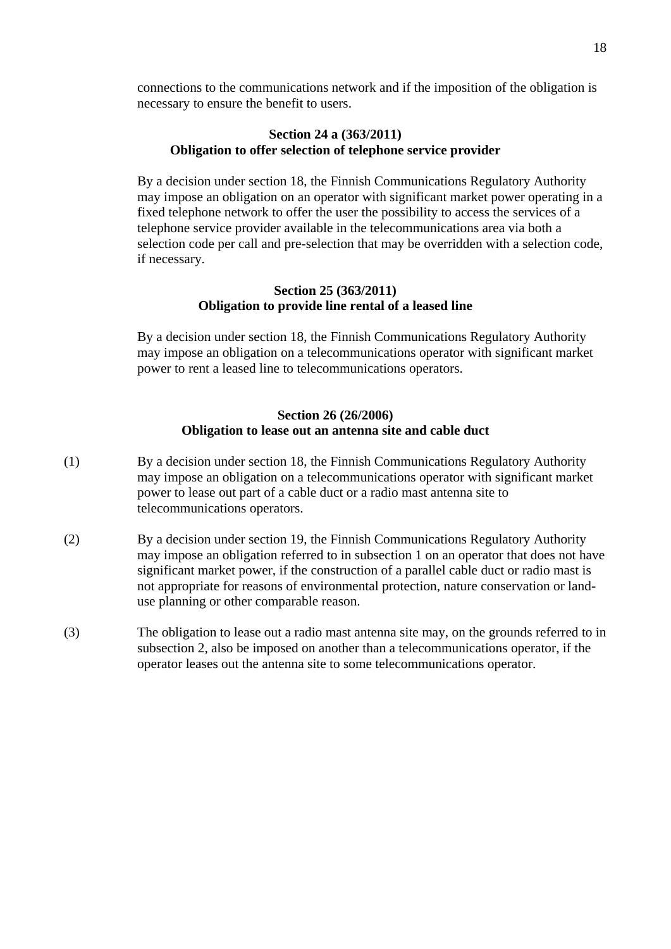connections to the communications network and if the imposition of the obligation is necessary to ensure the benefit to users.

## **Section 24 a (363/2011) Obligation to offer selection of telephone service provider**

 By a decision under section 18, the Finnish Communications Regulatory Authority may impose an obligation on an operator with significant market power operating in a fixed telephone network to offer the user the possibility to access the services of a telephone service provider available in the telecommunications area via both a selection code per call and pre-selection that may be overridden with a selection code, if necessary.

## **Section 25 (363/2011) Obligation to provide line rental of a leased line**

 By a decision under section 18, the Finnish Communications Regulatory Authority may impose an obligation on a telecommunications operator with significant market power to rent a leased line to telecommunications operators.

## **Section 26 (26/2006) Obligation to lease out an antenna site and cable duct**

- (1) By a decision under section 18, the Finnish Communications Regulatory Authority may impose an obligation on a telecommunications operator with significant market power to lease out part of a cable duct or a radio mast antenna site to telecommunications operators.
- (2) By a decision under section 19, the Finnish Communications Regulatory Authority may impose an obligation referred to in subsection 1 on an operator that does not have significant market power, if the construction of a parallel cable duct or radio mast is not appropriate for reasons of environmental protection, nature conservation or land use planning or other comparable reason.
- (3) The obligation to lease out a radio mast antenna site may, on the grounds referred to in subsection 2, also be imposed on another than a telecommunications operator, if the operator leases out the antenna site to some telecommunications operator.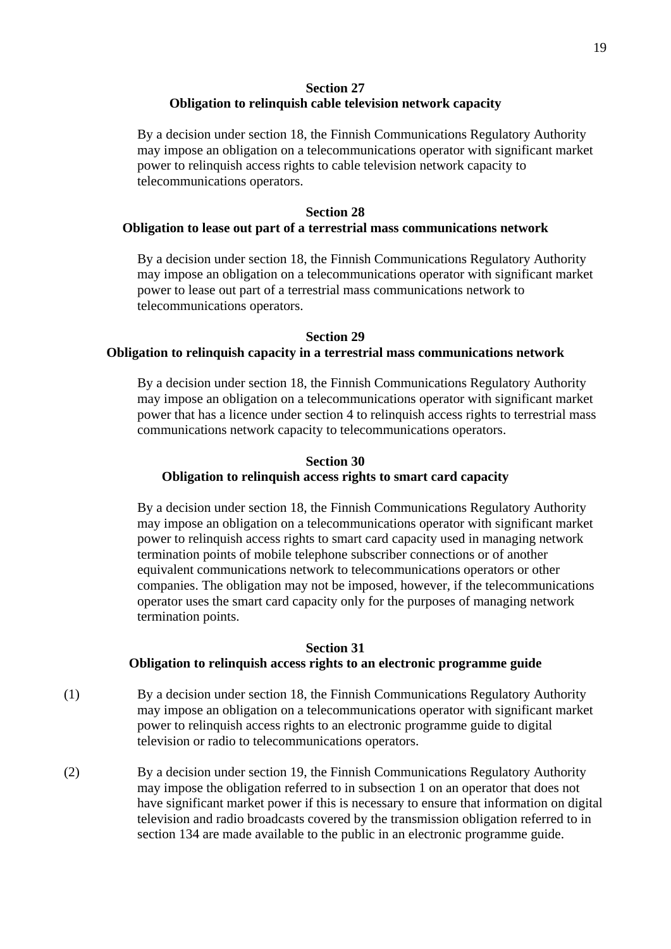#### **Section 27 Obligation to relinquish cable television network capacity**

By a decision under section 18, the Finnish Communications Regulatory Authority may impose an obligation on a telecommunications operator with significant market power to relinquish access rights to cable television network capacity to telecommunications operators.

#### **Section 28**

#### **Obligation to lease out part of a terrestrial mass communications network**

By a decision under section 18, the Finnish Communications Regulatory Authority may impose an obligation on a telecommunications operator with significant market power to lease out part of a terrestrial mass communications network to telecommunications operators.

#### **Section 29**

### **Obligation to relinquish capacity in a terrestrial mass communications network**

By a decision under section 18, the Finnish Communications Regulatory Authority may impose an obligation on a telecommunications operator with significant market power that has a licence under section 4 to relinquish access rights to terrestrial mass communications network capacity to telecommunications operators.

### **Section 30 Obligation to relinquish access rights to smart card capacity**

By a decision under section 18, the Finnish Communications Regulatory Authority may impose an obligation on a telecommunications operator with significant market power to relinquish access rights to smart card capacity used in managing network termination points of mobile telephone subscriber connections or of another equivalent communications network to telecommunications operators or other companies. The obligation may not be imposed, however, if the telecommunications operator uses the smart card capacity only for the purposes of managing network termination points.

#### **Section 31**

#### **Obligation to relinquish access rights to an electronic programme guide**

- (1) By a decision under section 18, the Finnish Communications Regulatory Authority may impose an obligation on a telecommunications operator with significant market power to relinquish access rights to an electronic programme guide to digital television or radio to telecommunications operators.
- (2) By a decision under section 19, the Finnish Communications Regulatory Authority may impose the obligation referred to in subsection 1 on an operator that does not have significant market power if this is necessary to ensure that information on digital television and radio broadcasts covered by the transmission obligation referred to in section 134 are made available to the public in an electronic programme guide.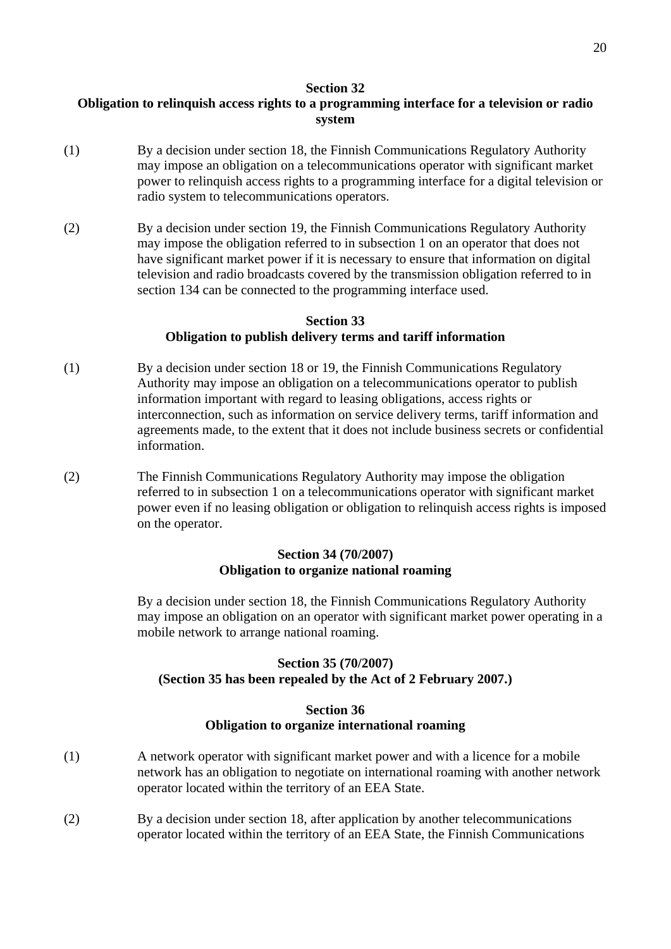#### **Section 32**

# **Obligation to relinquish access rights to a programming interface for a television or radio system**

- (1) By a decision under section 18, the Finnish Communications Regulatory Authority may impose an obligation on a telecommunications operator with significant market power to relinquish access rights to a programming interface for a digital television or radio system to telecommunications operators.
- (2) By a decision under section 19, the Finnish Communications Regulatory Authority may impose the obligation referred to in subsection 1 on an operator that does not have significant market power if it is necessary to ensure that information on digital television and radio broadcasts covered by the transmission obligation referred to in section 134 can be connected to the programming interface used.

## **Section 33**

## **Obligation to publish delivery terms and tariff information**

- (1) By a decision under section 18 or 19, the Finnish Communications Regulatory Authority may impose an obligation on a telecommunications operator to publish information important with regard to leasing obligations, access rights or interconnection, such as information on service delivery terms, tariff information and agreements made, to the extent that it does not include business secrets or confidential information.
- (2) The Finnish Communications Regulatory Authority may impose the obligation referred to in subsection 1 on a telecommunications operator with significant market power even if no leasing obligation or obligation to relinquish access rights is imposed on the operator.

## **Section 34 (70/2007) Obligation to organize national roaming**

By a decision under section 18, the Finnish Communications Regulatory Authority may impose an obligation on an operator with significant market power operating in a mobile network to arrange national roaming.

# **Section 35 (70/2007) (Section 35 has been repealed by the Act of 2 February 2007.)**

## **Section 36 Obligation to organize international roaming**

- (1) A network operator with significant market power and with a licence for a mobile network has an obligation to negotiate on international roaming with another network operator located within the territory of an EEA State.
- (2) By a decision under section 18, after application by another telecommunications operator located within the territory of an EEA State, the Finnish Communications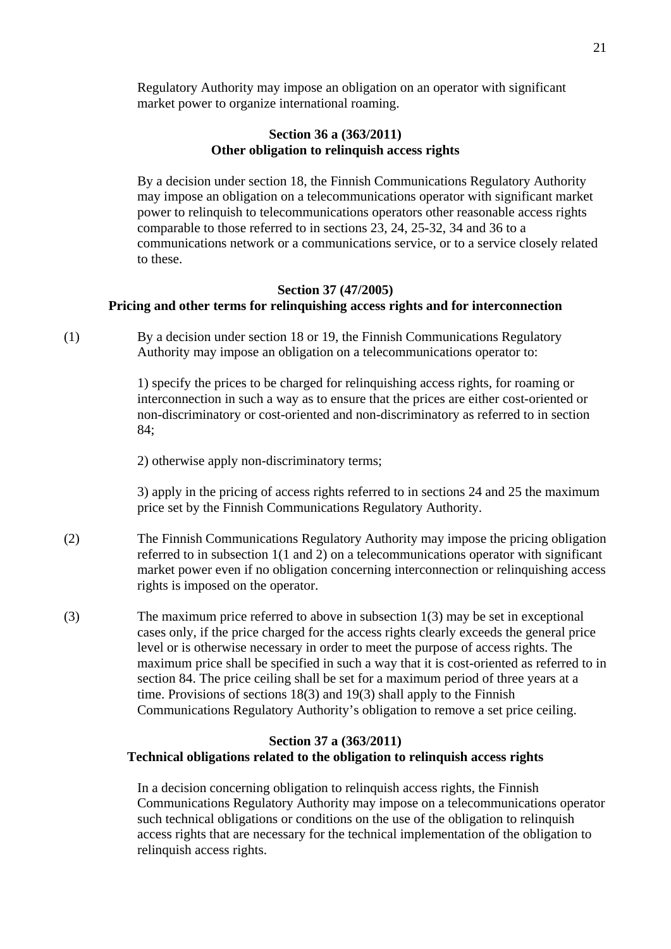Regulatory Authority may impose an obligation on an operator with significant market power to organize international roaming.

## **Section 36 a (363/2011) Other obligation to relinquish access rights**

By a decision under section 18, the Finnish Communications Regulatory Authority may impose an obligation on a telecommunications operator with significant market power to relinquish to telecommunications operators other reasonable access rights comparable to those referred to in sections 23, 24, 25-32, 34 and 36 to a communications network or a communications service, or to a service closely related to these.

#### **Section 37 (47/2005) Pricing and other terms for relinquishing access rights and for interconnection**

(1) By a decision under section 18 or 19, the Finnish Communications Regulatory Authority may impose an obligation on a telecommunications operator to:

> 1) specify the prices to be charged for relinquishing access rights, for roaming or interconnection in such a way as to ensure that the prices are either cost-oriented or non-discriminatory or cost-oriented and non-discriminatory as referred to in section 84;

2) otherwise apply non-discriminatory terms;

3) apply in the pricing of access rights referred to in sections 24 and 25 the maximum price set by the Finnish Communications Regulatory Authority.

- (2) The Finnish Communications Regulatory Authority may impose the pricing obligation referred to in subsection 1(1 and 2) on a telecommunications operator with significant market power even if no obligation concerning interconnection or relinquishing access rights is imposed on the operator.
- (3) The maximum price referred to above in subsection 1(3) may be set in exceptional cases only, if the price charged for the access rights clearly exceeds the general price level or is otherwise necessary in order to meet the purpose of access rights. The maximum price shall be specified in such a way that it is cost-oriented as referred to in section 84. The price ceiling shall be set for a maximum period of three years at a time. Provisions of sections 18(3) and 19(3) shall apply to the Finnish Communications Regulatory Authority's obligation to remove a set price ceiling.

## **Section 37 a (363/2011) Technical obligations related to the obligation to relinquish access rights**

 In a decision concerning obligation to relinquish access rights, the Finnish Communications Regulatory Authority may impose on a telecommunications operator such technical obligations or conditions on the use of the obligation to relinquish access rights that are necessary for the technical implementation of the obligation to relinquish access rights.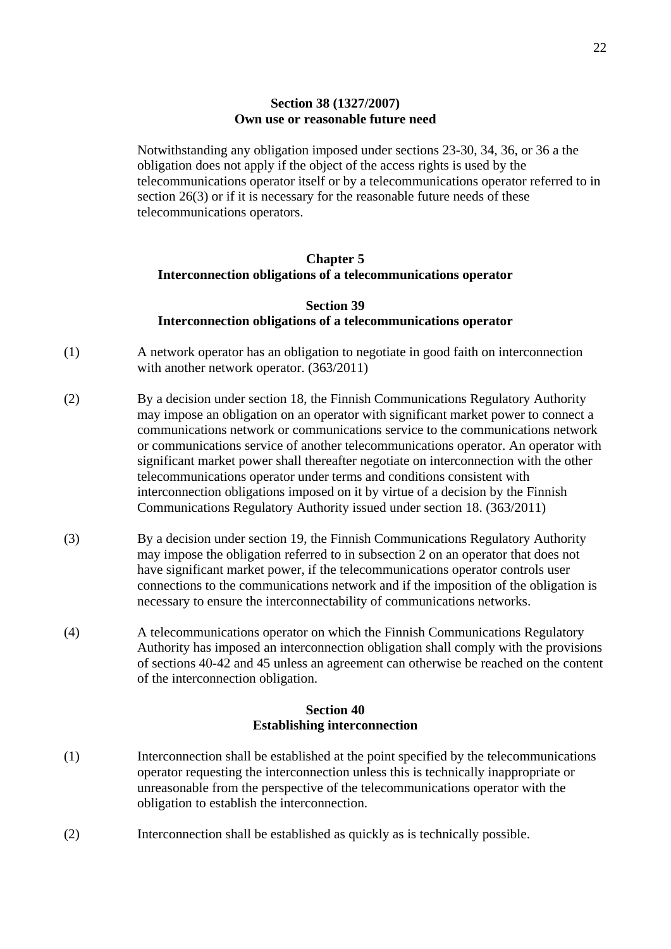#### **Section 38 (1327/2007) Own use or reasonable future need**

Notwithstanding any obligation imposed under sections 23-30, 34, 36, or 36 a the obligation does not apply if the object of the access rights is used by the telecommunications operator itself or by a telecommunications operator referred to in section 26(3) or if it is necessary for the reasonable future needs of these telecommunications operators.

## **Chapter 5 Interconnection obligations of a telecommunications operator**

### **Section 39 Interconnection obligations of a telecommunications operator**

- (1) A network operator has an obligation to negotiate in good faith on interconnection with another network operator. (363/2011)
- (2) By a decision under section 18, the Finnish Communications Regulatory Authority may impose an obligation on an operator with significant market power to connect a communications network or communications service to the communications network or communications service of another telecommunications operator. An operator with significant market power shall thereafter negotiate on interconnection with the other telecommunications operator under terms and conditions consistent with interconnection obligations imposed on it by virtue of a decision by the Finnish Communications Regulatory Authority issued under section 18. (363/2011)
- (3) By a decision under section 19, the Finnish Communications Regulatory Authority may impose the obligation referred to in subsection 2 on an operator that does not have significant market power, if the telecommunications operator controls user connections to the communications network and if the imposition of the obligation is necessary to ensure the interconnectability of communications networks.
- (4) A telecommunications operator on which the Finnish Communications Regulatory Authority has imposed an interconnection obligation shall comply with the provisions of sections 40-42 and 45 unless an agreement can otherwise be reached on the content of the interconnection obligation.

# **Section 40 Establishing interconnection**

- (1) Interconnection shall be established at the point specified by the telecommunications operator requesting the interconnection unless this is technically inappropriate or unreasonable from the perspective of the telecommunications operator with the obligation to establish the interconnection.
- (2) Interconnection shall be established as quickly as is technically possible.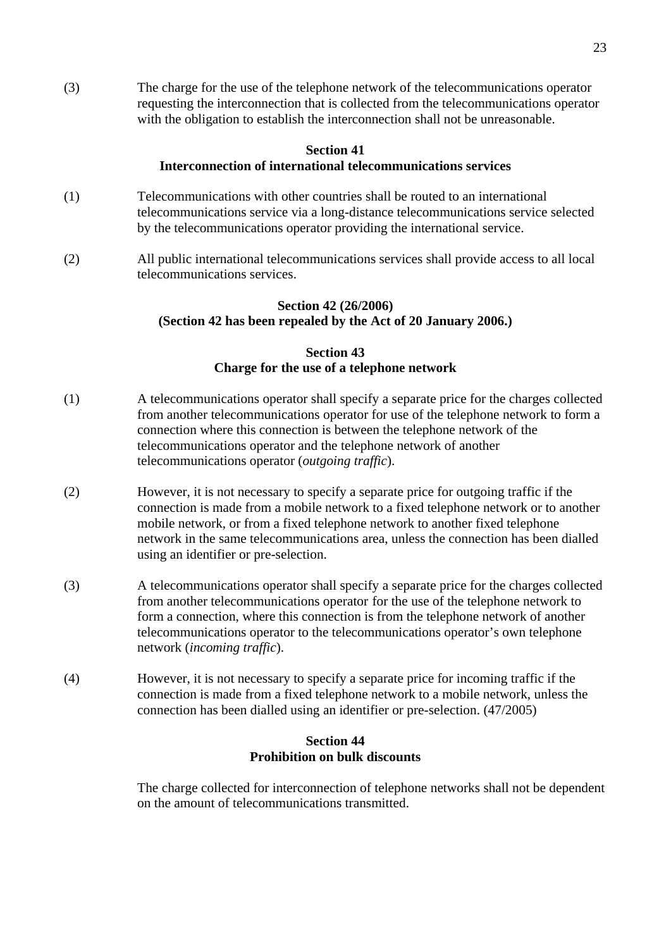(3) The charge for the use of the telephone network of the telecommunications operator requesting the interconnection that is collected from the telecommunications operator with the obligation to establish the interconnection shall not be unreasonable.

#### **Section 41 Interconnection of international telecommunications services**

- (1) Telecommunications with other countries shall be routed to an international telecommunications service via a long-distance telecommunications service selected by the telecommunications operator providing the international service.
- (2) All public international telecommunications services shall provide access to all local telecommunications services.

## **Section 42 (26/2006) (Section 42 has been repealed by the Act of 20 January 2006.)**

# **Section 43 Charge for the use of a telephone network**

- (1) A telecommunications operator shall specify a separate price for the charges collected from another telecommunications operator for use of the telephone network to form a connection where this connection is between the telephone network of the telecommunications operator and the telephone network of another telecommunications operator (*outgoing traffic*).
- (2) However, it is not necessary to specify a separate price for outgoing traffic if the connection is made from a mobile network to a fixed telephone network or to another mobile network, or from a fixed telephone network to another fixed telephone network in the same telecommunications area, unless the connection has been dialled using an identifier or pre-selection.
- (3) A telecommunications operator shall specify a separate price for the charges collected from another telecommunications operator for the use of the telephone network to form a connection, where this connection is from the telephone network of another telecommunications operator to the telecommunications operator's own telephone network (*incoming traffic*).
- (4) However, it is not necessary to specify a separate price for incoming traffic if the connection is made from a fixed telephone network to a mobile network, unless the connection has been dialled using an identifier or pre-selection. (47/2005)

## **Section 44 Prohibition on bulk discounts**

The charge collected for interconnection of telephone networks shall not be dependent on the amount of telecommunications transmitted.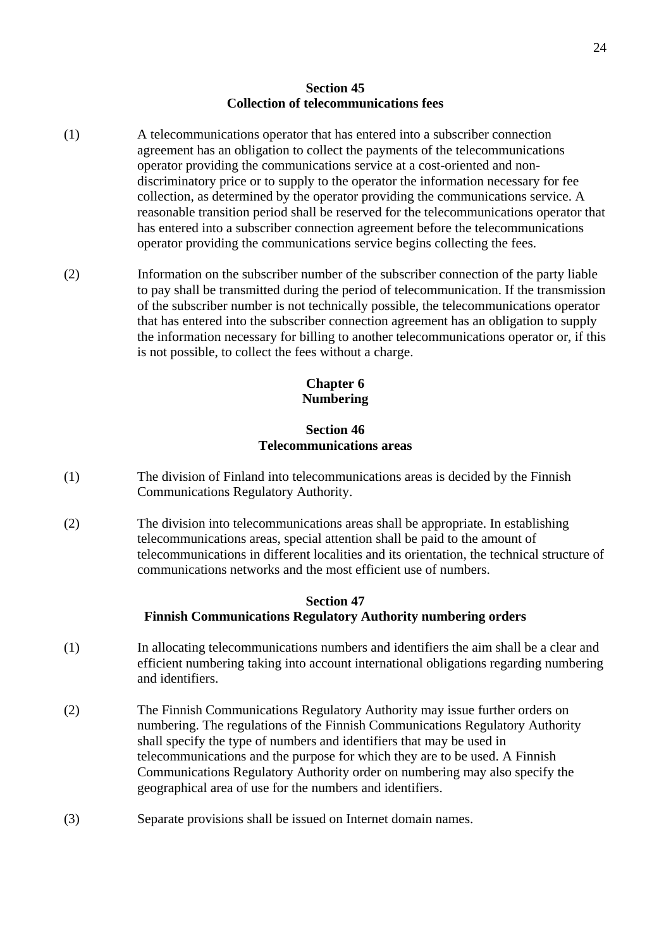#### **Section 45 Collection of telecommunications fees**

- (1) A telecommunications operator that has entered into a subscriber connection agreement has an obligation to collect the payments of the telecommunications operator providing the communications service at a cost-oriented and non discriminatory price or to supply to the operator the information necessary for fee collection, as determined by the operator providing the communications service. A reasonable transition period shall be reserved for the telecommunications operator that has entered into a subscriber connection agreement before the telecommunications operator providing the communications service begins collecting the fees.
- (2) Information on the subscriber number of the subscriber connection of the party liable to pay shall be transmitted during the period of telecommunication. If the transmission of the subscriber number is not technically possible, the telecommunications operator that has entered into the subscriber connection agreement has an obligation to supply the information necessary for billing to another telecommunications operator or, if this is not possible, to collect the fees without a charge.

## **Chapter 6 Numbering**

## **Section 46 Telecommunications areas**

- (1) The division of Finland into telecommunications areas is decided by the Finnish Communications Regulatory Authority.
- (2) The division into telecommunications areas shall be appropriate. In establishing telecommunications areas, special attention shall be paid to the amount of telecommunications in different localities and its orientation, the technical structure of communications networks and the most efficient use of numbers.

## **Section 47 Finnish Communications Regulatory Authority numbering orders**

- (1) In allocating telecommunications numbers and identifiers the aim shall be a clear and efficient numbering taking into account international obligations regarding numbering and identifiers.
- (2) The Finnish Communications Regulatory Authority may issue further orders on numbering. The regulations of the Finnish Communications Regulatory Authority shall specify the type of numbers and identifiers that may be used in telecommunications and the purpose for which they are to be used. A Finnish Communications Regulatory Authority order on numbering may also specify the geographical area of use for the numbers and identifiers.
- (3) Separate provisions shall be issued on Internet domain names.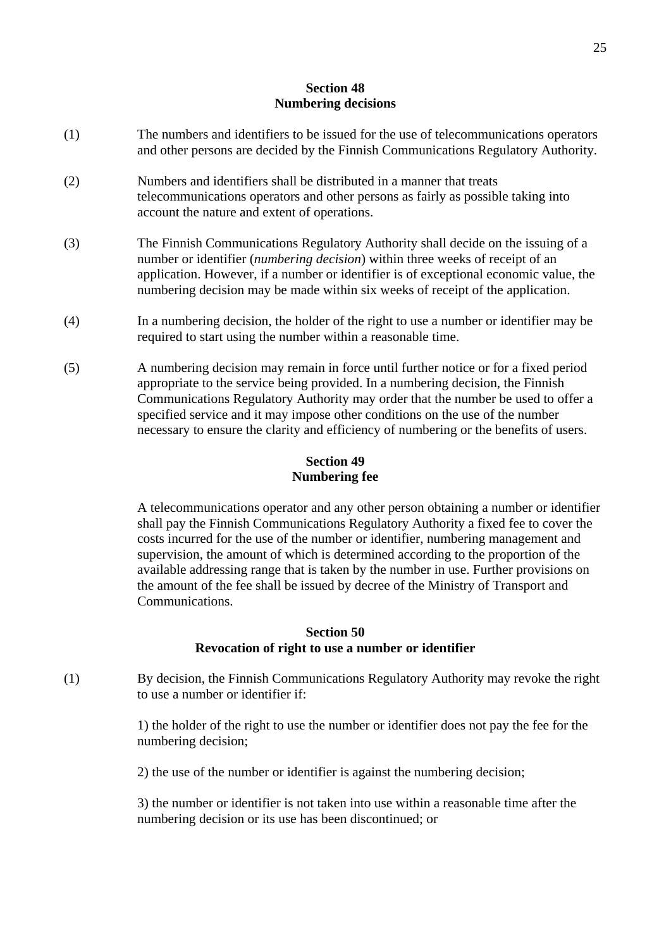# **Section 48 Numbering decisions**

- (1) The numbers and identifiers to be issued for the use of telecommunications operators and other persons are decided by the Finnish Communications Regulatory Authority.
- (2) Numbers and identifiers shall be distributed in a manner that treats telecommunications operators and other persons as fairly as possible taking into account the nature and extent of operations.
- (3) The Finnish Communications Regulatory Authority shall decide on the issuing of a number or identifier (*numbering decision*) within three weeks of receipt of an application. However, if a number or identifier is of exceptional economic value, the numbering decision may be made within six weeks of receipt of the application.
- (4) In a numbering decision, the holder of the right to use a number or identifier may be required to start using the number within a reasonable time.
- (5) A numbering decision may remain in force until further notice or for a fixed period appropriate to the service being provided. In a numbering decision, the Finnish Communications Regulatory Authority may order that the number be used to offer a specified service and it may impose other conditions on the use of the number necessary to ensure the clarity and efficiency of numbering or the benefits of users.

# **Section 49 Numbering fee**

A telecommunications operator and any other person obtaining a number or identifier shall pay the Finnish Communications Regulatory Authority a fixed fee to cover the costs incurred for the use of the number or identifier, numbering management and supervision, the amount of which is determined according to the proportion of the available addressing range that is taken by the number in use. Further provisions on the amount of the fee shall be issued by decree of the Ministry of Transport and Communications.

## **Section 50 Revocation of right to use a number or identifier**

(1) By decision, the Finnish Communications Regulatory Authority may revoke the right to use a number or identifier if:

> 1) the holder of the right to use the number or identifier does not pay the fee for the numbering decision;

2) the use of the number or identifier is against the numbering decision;

3) the number or identifier is not taken into use within a reasonable time after the numbering decision or its use has been discontinued; or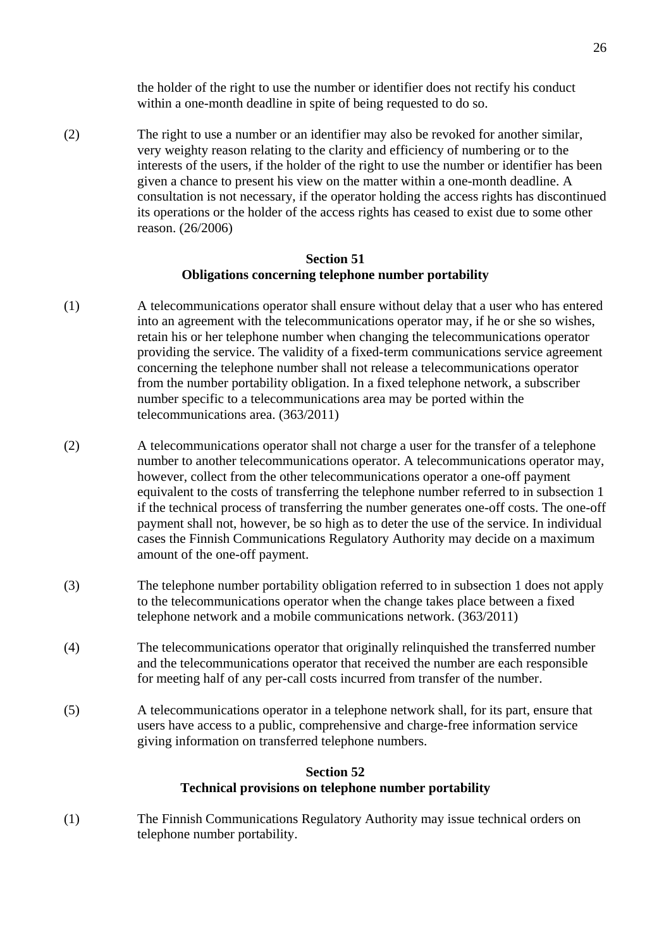the holder of the right to use the number or identifier does not rectify his conduct within a one-month deadline in spite of being requested to do so.

(2) The right to use a number or an identifier may also be revoked for another similar, very weighty reason relating to the clarity and efficiency of numbering or to the interests of the users, if the holder of the right to use the number or identifier has been given a chance to present his view on the matter within a one-month deadline. A consultation is not necessary, if the operator holding the access rights has discontinued its operations or the holder of the access rights has ceased to exist due to some other reason. (26/2006)

#### **Section 51 Obligations concerning telephone number portability**

- (1) A telecommunications operator shall ensure without delay that a user who has entered into an agreement with the telecommunications operator may, if he or she so wishes, retain his or her telephone number when changing the telecommunications operator providing the service. The validity of a fixed-term communications service agreement concerning the telephone number shall not release a telecommunications operator from the number portability obligation. In a fixed telephone network, a subscriber number specific to a telecommunications area may be ported within the telecommunications area. (363/2011)
- (2) A telecommunications operator shall not charge a user for the transfer of a telephone number to another telecommunications operator. A telecommunications operator may, however, collect from the other telecommunications operator a one-off payment equivalent to the costs of transferring the telephone number referred to in subsection 1 if the technical process of transferring the number generates one-off costs. The one-off payment shall not, however, be so high as to deter the use of the service. In individual cases the Finnish Communications Regulatory Authority may decide on a maximum amount of the one-off payment.
- (3) The telephone number portability obligation referred to in subsection 1 does not apply to the telecommunications operator when the change takes place between a fixed telephone network and a mobile communications network. (363/2011)
- (4) The telecommunications operator that originally relinquished the transferred number and the telecommunications operator that received the number are each responsible for meeting half of any per-call costs incurred from transfer of the number.
- (5) A telecommunications operator in a telephone network shall, for its part, ensure that users have access to a public, comprehensive and charge-free information service giving information on transferred telephone numbers.

## **Section 52 Technical provisions on telephone number portability**

(1) The Finnish Communications Regulatory Authority may issue technical orders on telephone number portability.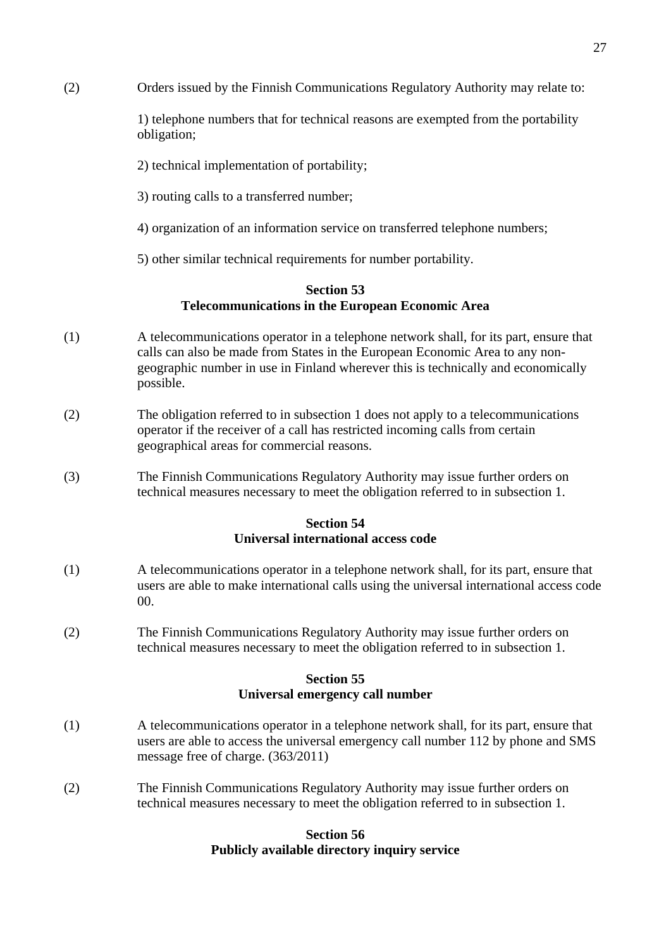(2) Orders issued by the Finnish Communications Regulatory Authority may relate to:

1) telephone numbers that for technical reasons are exempted from the portability obligation;

- 2) technical implementation of portability;
- 3) routing calls to a transferred number;
- 4) organization of an information service on transferred telephone numbers;
- 5) other similar technical requirements for number portability.

## **Section 53 Telecommunications in the European Economic Area**

- (1) A telecommunications operator in a telephone network shall, for its part, ensure that calls can also be made from States in the European Economic Area to any non geographic number in use in Finland wherever this is technically and economically possible.
- (2) The obligation referred to in subsection 1 does not apply to a telecommunications operator if the receiver of a call has restricted incoming calls from certain geographical areas for commercial reasons.
- (3) The Finnish Communications Regulatory Authority may issue further orders on technical measures necessary to meet the obligation referred to in subsection 1.

## **Section 54 Universal international access code**

- (1) A telecommunications operator in a telephone network shall, for its part, ensure that users are able to make international calls using the universal international access code 00.
- (2) The Finnish Communications Regulatory Authority may issue further orders on technical measures necessary to meet the obligation referred to in subsection 1.

#### **Section 55 Universal emergency call number**

- (1) A telecommunications operator in a telephone network shall, for its part, ensure that users are able to access the universal emergency call number 112 by phone and SMS message free of charge. (363/2011)
- (2) The Finnish Communications Regulatory Authority may issue further orders on technical measures necessary to meet the obligation referred to in subsection 1.

#### **Section 56 Publicly available directory inquiry service**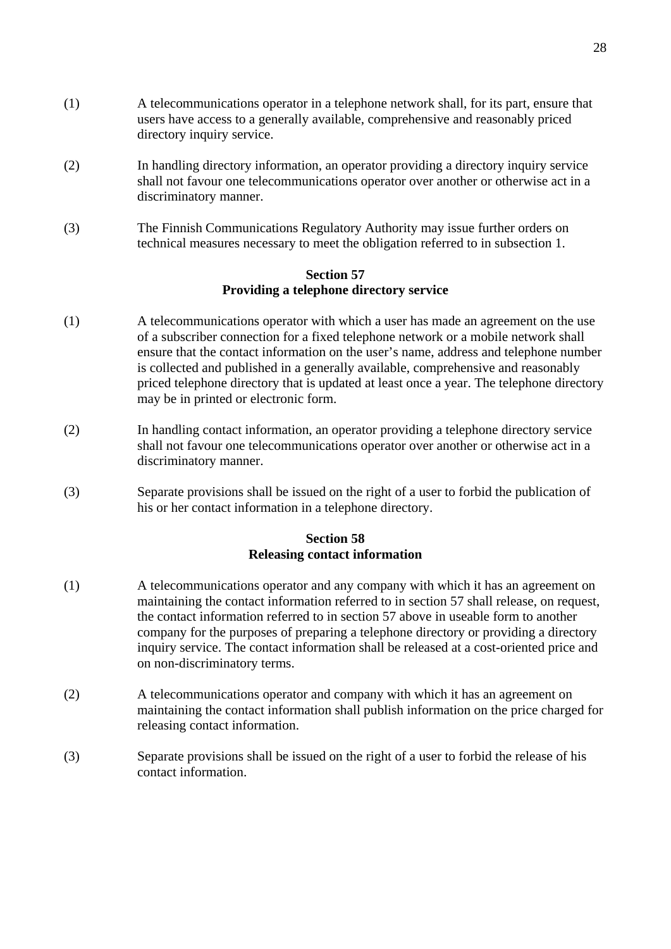- (1) A telecommunications operator in a telephone network shall, for its part, ensure that users have access to a generally available, comprehensive and reasonably priced directory inquiry service.
- (2) In handling directory information, an operator providing a directory inquiry service shall not favour one telecommunications operator over another or otherwise act in a discriminatory manner.
- (3) The Finnish Communications Regulatory Authority may issue further orders on technical measures necessary to meet the obligation referred to in subsection 1.

## **Section 57 Providing a telephone directory service**

- (1) A telecommunications operator with which a user has made an agreement on the use of a subscriber connection for a fixed telephone network or a mobile network shall ensure that the contact information on the user's name, address and telephone number is collected and published in a generally available, comprehensive and reasonably priced telephone directory that is updated at least once a year. The telephone directory may be in printed or electronic form.
- (2) In handling contact information, an operator providing a telephone directory service shall not favour one telecommunications operator over another or otherwise act in a discriminatory manner.
- (3) Separate provisions shall be issued on the right of a user to forbid the publication of his or her contact information in a telephone directory.

## **Section 58 Releasing contact information**

- (1) A telecommunications operator and any company with which it has an agreement on maintaining the contact information referred to in section 57 shall release, on request, the contact information referred to in section 57 above in useable form to another company for the purposes of preparing a telephone directory or providing a directory inquiry service. The contact information shall be released at a cost-oriented price and on non-discriminatory terms.
- (2) A telecommunications operator and company with which it has an agreement on maintaining the contact information shall publish information on the price charged for releasing contact information.
- (3) Separate provisions shall be issued on the right of a user to forbid the release of his contact information.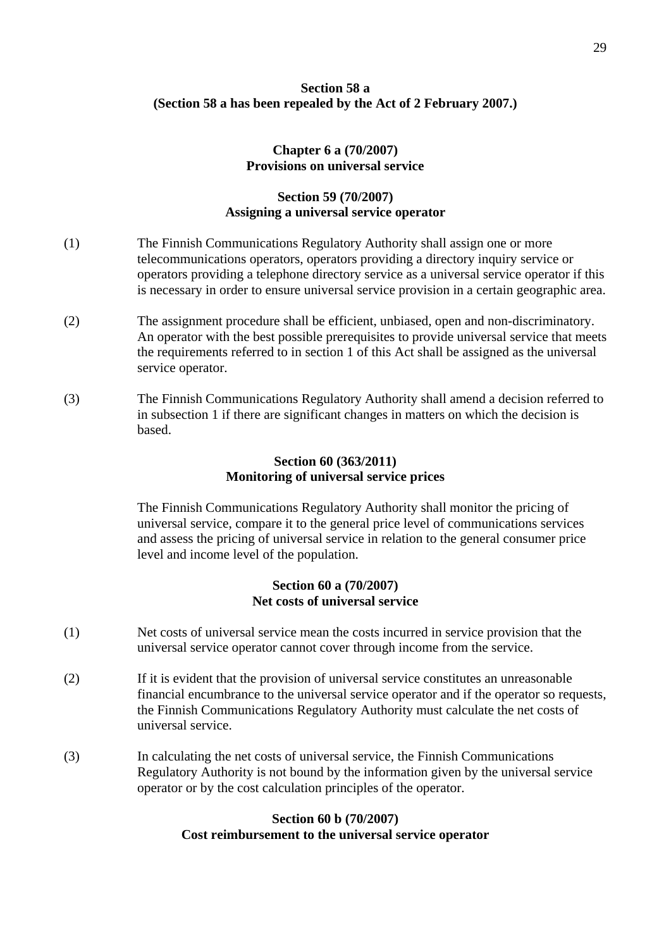# **Section 58 a (Section 58 a has been repealed by the Act of 2 February 2007.)**

#### **Chapter 6 a (70/2007) Provisions on universal service**

## **Section 59 (70/2007) Assigning a universal service operator**

- (1) The Finnish Communications Regulatory Authority shall assign one or more telecommunications operators, operators providing a directory inquiry service or operators providing a telephone directory service as a universal service operator if this is necessary in order to ensure universal service provision in a certain geographic area.
- (2) The assignment procedure shall be efficient, unbiased, open and non-discriminatory. An operator with the best possible prerequisites to provide universal service that meets the requirements referred to in section 1 of this Act shall be assigned as the universal service operator.
- (3) The Finnish Communications Regulatory Authority shall amend a decision referred to in subsection 1 if there are significant changes in matters on which the decision is based.

#### **Section 60 (363/2011) Monitoring of universal service prices**

The Finnish Communications Regulatory Authority shall monitor the pricing of universal service, compare it to the general price level of communications services and assess the pricing of universal service in relation to the general consumer price level and income level of the population.

## **Section 60 a (70/2007) Net costs of universal service**

- (1) Net costs of universal service mean the costs incurred in service provision that the universal service operator cannot cover through income from the service.
- (2) If it is evident that the provision of universal service constitutes an unreasonable financial encumbrance to the universal service operator and if the operator so requests, the Finnish Communications Regulatory Authority must calculate the net costs of universal service.
- (3) In calculating the net costs of universal service, the Finnish Communications Regulatory Authority is not bound by the information given by the universal service operator or by the cost calculation principles of the operator.

## **Section 60 b (70/2007) Cost reimbursement to the universal service operator**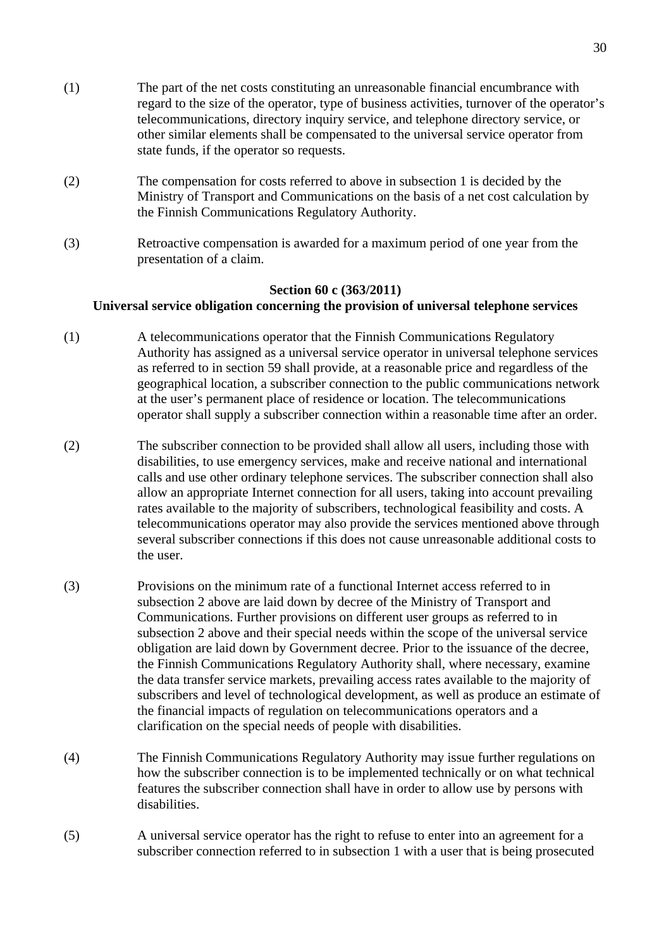- (1) The part of the net costs constituting an unreasonable financial encumbrance with regard to the size of the operator, type of business activities, turnover of the operator's telecommunications, directory inquiry service, and telephone directory service, or other similar elements shall be compensated to the universal service operator from state funds, if the operator so requests.
- (2) The compensation for costs referred to above in subsection 1 is decided by the Ministry of Transport and Communications on the basis of a net cost calculation by the Finnish Communications Regulatory Authority.
- (3) Retroactive compensation is awarded for a maximum period of one year from the presentation of a claim.

# **Section 60 c (363/2011) Universal service obligation concerning the provision of universal telephone services**

- (1) A telecommunications operator that the Finnish Communications Regulatory Authority has assigned as a universal service operator in universal telephone services as referred to in section 59 shall provide, at a reasonable price and regardless of the geographical location, a subscriber connection to the public communications network at the user's permanent place of residence or location. The telecommunications operator shall supply a subscriber connection within a reasonable time after an order.
- (2) The subscriber connection to be provided shall allow all users, including those with disabilities, to use emergency services, make and receive national and international calls and use other ordinary telephone services. The subscriber connection shall also allow an appropriate Internet connection for all users, taking into account prevailing rates available to the majority of subscribers, technological feasibility and costs. A telecommunications operator may also provide the services mentioned above through several subscriber connections if this does not cause unreasonable additional costs to the user.
- (3) Provisions on the minimum rate of a functional Internet access referred to in subsection 2 above are laid down by decree of the Ministry of Transport and Communications. Further provisions on different user groups as referred to in subsection 2 above and their special needs within the scope of the universal service obligation are laid down by Government decree. Prior to the issuance of the decree, the Finnish Communications Regulatory Authority shall, where necessary, examine the data transfer service markets, prevailing access rates available to the majority of subscribers and level of technological development, as well as produce an estimate of the financial impacts of regulation on telecommunications operators and a clarification on the special needs of people with disabilities.
- (4) The Finnish Communications Regulatory Authority may issue further regulations on how the subscriber connection is to be implemented technically or on what technical features the subscriber connection shall have in order to allow use by persons with disabilities.
- (5) A universal service operator has the right to refuse to enter into an agreement for a subscriber connection referred to in subsection 1 with a user that is being prosecuted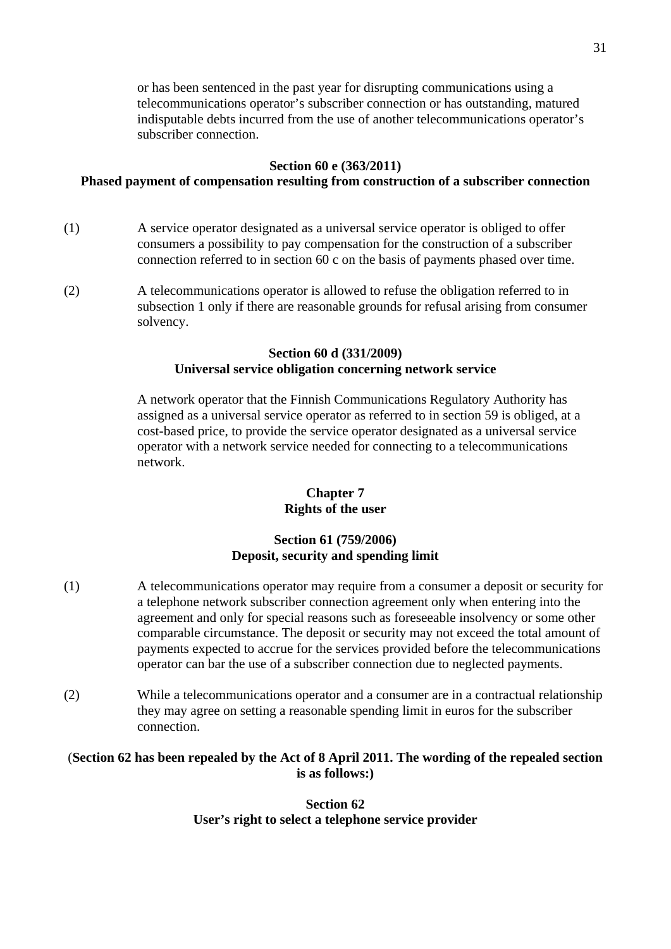or has been sentenced in the past year for disrupting communications using a telecommunications operator's subscriber connection or has outstanding, matured indisputable debts incurred from the use of another telecommunications operator's subscriber connection.

#### **Section 60 e (363/2011)**

# **Phased payment of compensation resulting from construction of a subscriber connection**

- (1) A service operator designated as a universal service operator is obliged to offer consumers a possibility to pay compensation for the construction of a subscriber connection referred to in section 60 c on the basis of payments phased over time.
- (2) A telecommunications operator is allowed to refuse the obligation referred to in subsection 1 only if there are reasonable grounds for refusal arising from consumer solvency.

## **Section 60 d (331/2009) Universal service obligation concerning network service**

A network operator that the Finnish Communications Regulatory Authority has assigned as a universal service operator as referred to in section 59 is obliged, at a cost-based price, to provide the service operator designated as a universal service operator with a network service needed for connecting to a telecommunications network.

## **Chapter 7 Rights of the user**

# **Section 61 (759/2006) Deposit, security and spending limit**

- (1) A telecommunications operator may require from a consumer a deposit or security for a telephone network subscriber connection agreement only when entering into the agreement and only for special reasons such as foreseeable insolvency or some other comparable circumstance. The deposit or security may not exceed the total amount of payments expected to accrue for the services provided before the telecommunications operator can bar the use of a subscriber connection due to neglected payments.
- (2) While a telecommunications operator and a consumer are in a contractual relationship they may agree on setting a reasonable spending limit in euros for the subscriber connection.

## (**Section 62 has been repealed by the Act of 8 April 2011. The wording of the repealed section is as follows:)**

**Section 62 User's right to select a telephone service provider**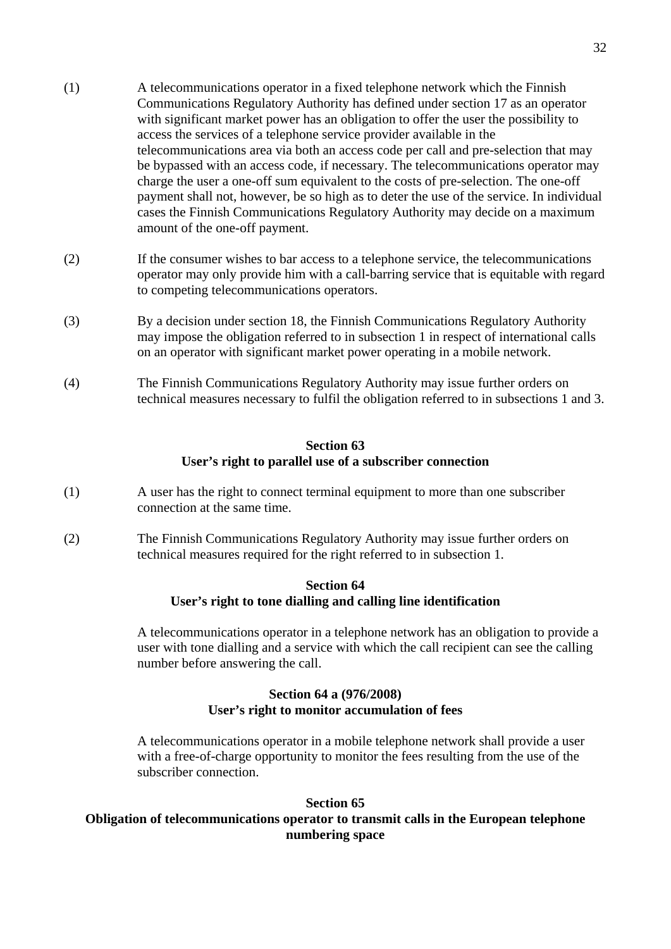- (1) A telecommunications operator in a fixed telephone network which the Finnish Communications Regulatory Authority has defined under section 17 as an operator with significant market power has an obligation to offer the user the possibility to access the services of a telephone service provider available in the telecommunications area via both an access code per call and pre-selection that may be bypassed with an access code, if necessary. The telecommunications operator may charge the user a one-off sum equivalent to the costs of pre-selection. The one-off payment shall not, however, be so high as to deter the use of the service. In individual cases the Finnish Communications Regulatory Authority may decide on a maximum
- (2) If the consumer wishes to bar access to a telephone service, the telecommunications operator may only provide him with a call-barring service that is equitable with regard to competing telecommunications operators.

amount of the one-off payment.

- (3) By a decision under section 18, the Finnish Communications Regulatory Authority may impose the obligation referred to in subsection 1 in respect of international calls on an operator with significant market power operating in a mobile network.
- (4) The Finnish Communications Regulatory Authority may issue further orders on technical measures necessary to fulfil the obligation referred to in subsections 1 and 3.

#### **Section 63 User's right to parallel use of a subscriber connection**

- (1) A user has the right to connect terminal equipment to more than one subscriber connection at the same time.
- (2) The Finnish Communications Regulatory Authority may issue further orders on technical measures required for the right referred to in subsection 1.

#### **Section 64 User's right to tone dialling and calling line identification**

A telecommunications operator in a telephone network has an obligation to provide a user with tone dialling and a service with which the call recipient can see the calling number before answering the call.

# **Section 64 a (976/2008) User's right to monitor accumulation of fees**

A telecommunications operator in a mobile telephone network shall provide a user with a free-of-charge opportunity to monitor the fees resulting from the use of the subscriber connection.

## **Section 65**

# **Obligation of telecommunications operator to transmit calls in the European telephone numbering space**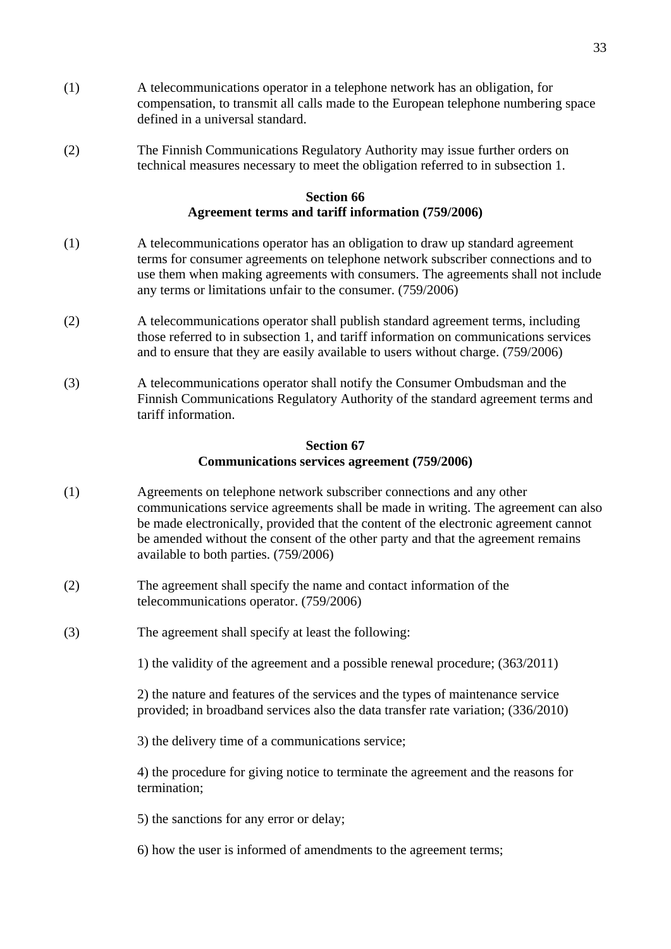- (1) A telecommunications operator in a telephone network has an obligation, for compensation, to transmit all calls made to the European telephone numbering space defined in a universal standard.
- (2) The Finnish Communications Regulatory Authority may issue further orders on technical measures necessary to meet the obligation referred to in subsection 1.

## **Section 66 Agreement terms and tariff information (759/2006)**

- (1) A telecommunications operator has an obligation to draw up standard agreement terms for consumer agreements on telephone network subscriber connections and to use them when making agreements with consumers. The agreements shall not include any terms or limitations unfair to the consumer. (759/2006)
- (2) A telecommunications operator shall publish standard agreement terms, including those referred to in subsection 1, and tariff information on communications services and to ensure that they are easily available to users without charge. (759/2006)
- (3) A telecommunications operator shall notify the Consumer Ombudsman and the Finnish Communications Regulatory Authority of the standard agreement terms and tariff information.

#### **Section 67 Communications services agreement (759/2006)**

- (1) Agreements on telephone network subscriber connections and any other communications service agreements shall be made in writing. The agreement can also be made electronically, provided that the content of the electronic agreement cannot be amended without the consent of the other party and that the agreement remains available to both parties. (759/2006)
- (2) The agreement shall specify the name and contact information of the telecommunications operator. (759/2006)
- (3) The agreement shall specify at least the following:

1) the validity of the agreement and a possible renewal procedure; (363/2011)

2) the nature and features of the services and the types of maintenance service provided; in broadband services also the data transfer rate variation; (336/2010)

3) the delivery time of a communications service;

4) the procedure for giving notice to terminate the agreement and the reasons for termination;

5) the sanctions for any error or delay;

6) how the user is informed of amendments to the agreement terms;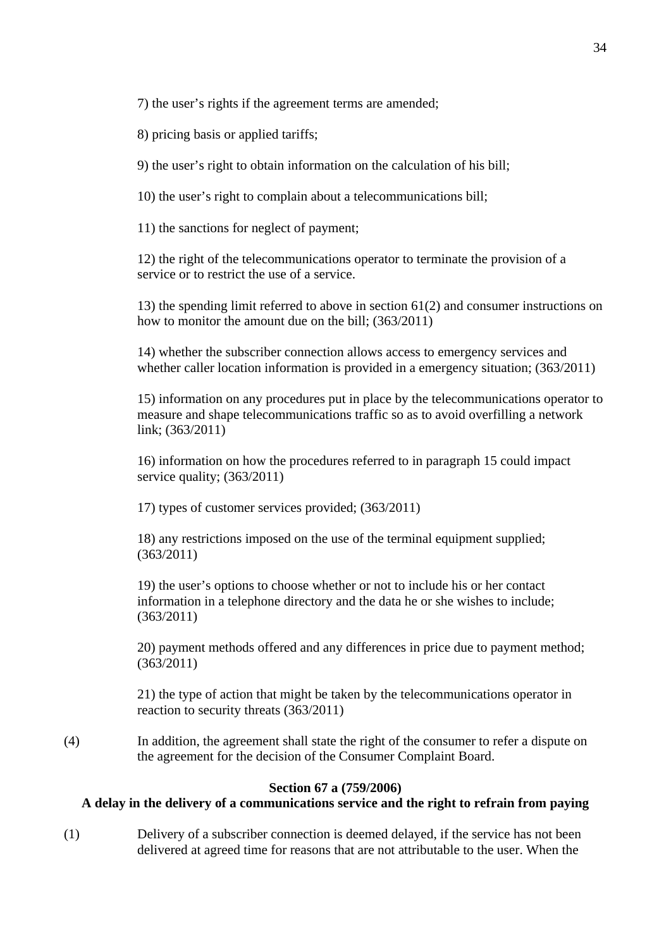7) the user's rights if the agreement terms are amended;

8) pricing basis or applied tariffs;

9) the user's right to obtain information on the calculation of his bill;

10) the user's right to complain about a telecommunications bill;

11) the sanctions for neglect of payment;

12) the right of the telecommunications operator to terminate the provision of a service or to restrict the use of a service.

13) the spending limit referred to above in section 61(2) and consumer instructions on how to monitor the amount due on the bill; (363/2011)

14) whether the subscriber connection allows access to emergency services and whether caller location information is provided in a emergency situation; (363/2011)

15) information on any procedures put in place by the telecommunications operator to measure and shape telecommunications traffic so as to avoid overfilling a network link; (363/2011)

16) information on how the procedures referred to in paragraph 15 could impact service quality; (363/2011)

17) types of customer services provided; (363/2011)

18) any restrictions imposed on the use of the terminal equipment supplied; (363/2011)

19) the user's options to choose whether or not to include his or her contact information in a telephone directory and the data he or she wishes to include; (363/2011)

20) payment methods offered and any differences in price due to payment method; (363/2011)

21) the type of action that might be taken by the telecommunications operator in reaction to security threats (363/2011)

(4) In addition, the agreement shall state the right of the consumer to refer a dispute on the agreement for the decision of the Consumer Complaint Board.

#### **Section 67 a (759/2006)**

## **A delay in the delivery of a communications service and the right to refrain from paying**

(1) Delivery of a subscriber connection is deemed delayed, if the service has not been delivered at agreed time for reasons that are not attributable to the user. When the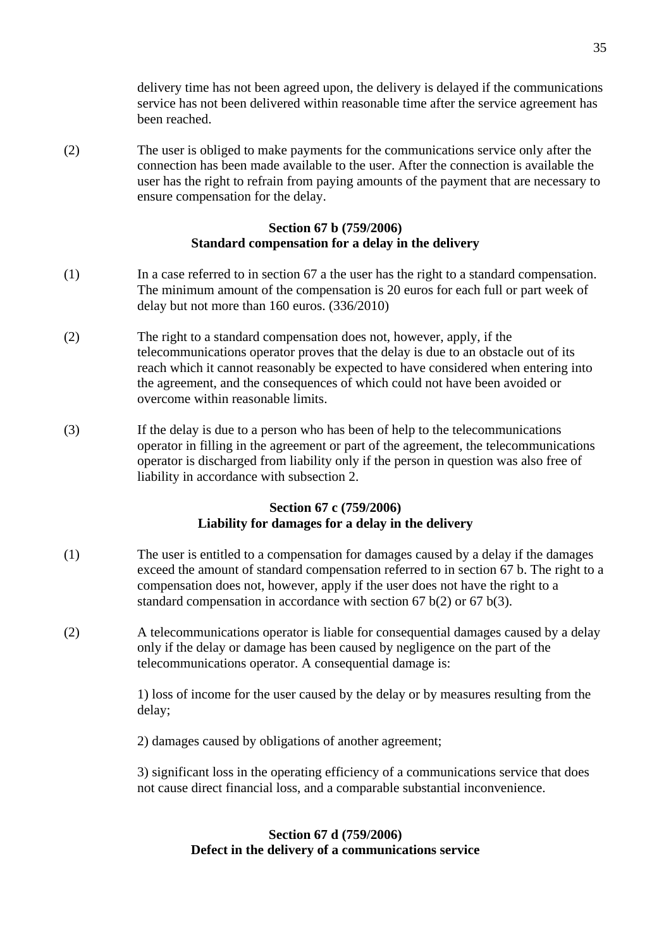delivery time has not been agreed upon, the delivery is delayed if the communications service has not been delivered within reasonable time after the service agreement has been reached.

(2) The user is obliged to make payments for the communications service only after the connection has been made available to the user. After the connection is available the user has the right to refrain from paying amounts of the payment that are necessary to ensure compensation for the delay.

## **Section 67 b (759/2006) Standard compensation for a delay in the delivery**

- (1) In a case referred to in section 67 a the user has the right to a standard compensation. The minimum amount of the compensation is 20 euros for each full or part week of delay but not more than 160 euros. (336/2010)
- (2) The right to a standard compensation does not, however, apply, if the telecommunications operator proves that the delay is due to an obstacle out of its reach which it cannot reasonably be expected to have considered when entering into the agreement, and the consequences of which could not have been avoided or overcome within reasonable limits.
- (3) If the delay is due to a person who has been of help to the telecommunications operator in filling in the agreement or part of the agreement, the telecommunications operator is discharged from liability only if the person in question was also free of liability in accordance with subsection 2.

# **Section 67 c (759/2006) Liability for damages for a delay in the delivery**

- (1) The user is entitled to a compensation for damages caused by a delay if the damages exceed the amount of standard compensation referred to in section 67 b. The right to a compensation does not, however, apply if the user does not have the right to a standard compensation in accordance with section 67 b(2) or 67 b(3).
- (2) A telecommunications operator is liable for consequential damages caused by a delay only if the delay or damage has been caused by negligence on the part of the telecommunications operator. A consequential damage is:

1) loss of income for the user caused by the delay or by measures resulting from the delay;

2) damages caused by obligations of another agreement;

3) significant loss in the operating efficiency of a communications service that does not cause direct financial loss, and a comparable substantial inconvenience.

## **Section 67 d (759/2006) Defect in the delivery of a communications service**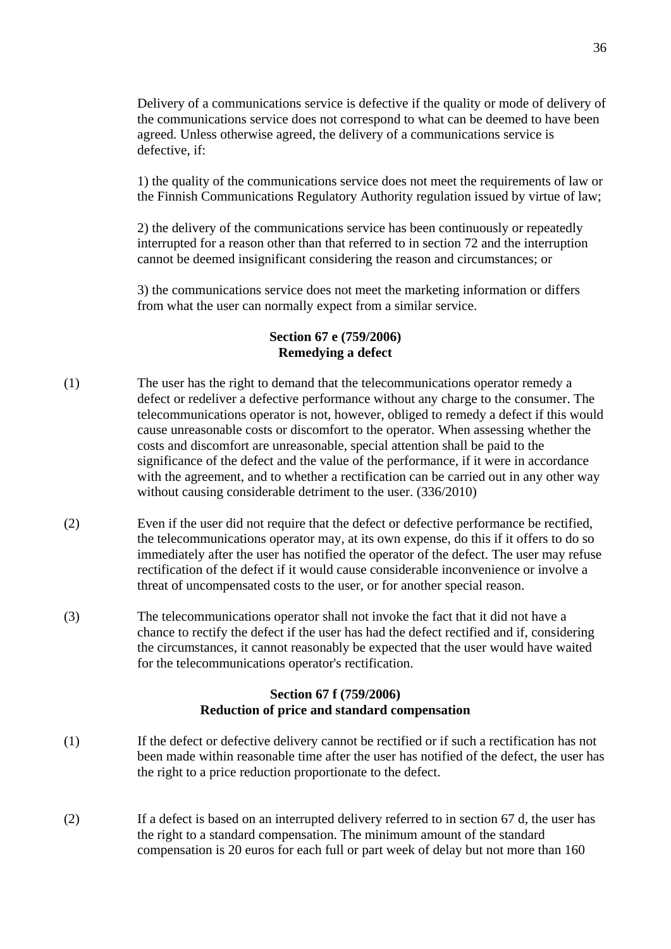Delivery of a communications service is defective if the quality or mode of delivery of the communications service does not correspond to what can be deemed to have been agreed. Unless otherwise agreed, the delivery of a communications service is defective, if:

1) the quality of the communications service does not meet the requirements of law or the Finnish Communications Regulatory Authority regulation issued by virtue of law;

2) the delivery of the communications service has been continuously or repeatedly interrupted for a reason other than that referred to in section 72 and the interruption cannot be deemed insignificant considering the reason and circumstances; or

3) the communications service does not meet the marketing information or differs from what the user can normally expect from a similar service.

## **Section 67 e (759/2006) Remedying a defect**

- (1) The user has the right to demand that the telecommunications operator remedy a defect or redeliver a defective performance without any charge to the consumer. The telecommunications operator is not, however, obliged to remedy a defect if this would cause unreasonable costs or discomfort to the operator. When assessing whether the costs and discomfort are unreasonable, special attention shall be paid to the significance of the defect and the value of the performance, if it were in accordance with the agreement, and to whether a rectification can be carried out in any other way without causing considerable detriment to the user. (336/2010)
- (2) Even if the user did not require that the defect or defective performance be rectified, the telecommunications operator may, at its own expense, do this if it offers to do so immediately after the user has notified the operator of the defect. The user may refuse rectification of the defect if it would cause considerable inconvenience or involve a threat of uncompensated costs to the user, or for another special reason.
- (3) The telecommunications operator shall not invoke the fact that it did not have a chance to rectify the defect if the user has had the defect rectified and if, considering the circumstances, it cannot reasonably be expected that the user would have waited for the telecommunications operator's rectification.

## **Section 67 f (759/2006) Reduction of price and standard compensation**

- (1) If the defect or defective delivery cannot be rectified or if such a rectification has not been made within reasonable time after the user has notified of the defect, the user has the right to a price reduction proportionate to the defect.
- (2) If a defect is based on an interrupted delivery referred to in section 67 d, the user has the right to a standard compensation. The minimum amount of the standard compensation is 20 euros for each full or part week of delay but not more than 160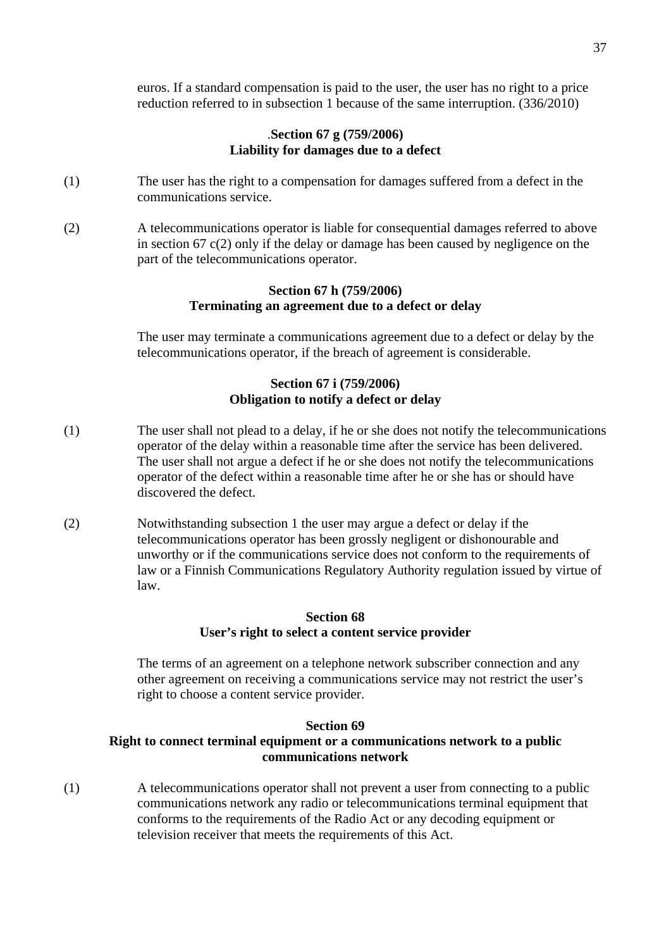euros. If a standard compensation is paid to the user, the user has no right to a price reduction referred to in subsection 1 because of the same interruption. (336/2010)

#### .**Section 67 g (759/2006) Liability for damages due to a defect**

- (1) The user has the right to a compensation for damages suffered from a defect in the communications service.
- (2) A telecommunications operator is liable for consequential damages referred to above in section 67  $c(2)$  only if the delay or damage has been caused by negligence on the part of the telecommunications operator.

### **Section 67 h (759/2006) Terminating an agreement due to a defect or delay**

The user may terminate a communications agreement due to a defect or delay by the telecommunications operator, if the breach of agreement is considerable.

### **Section 67 i (759/2006) Obligation to notify a defect or delay**

- (1) The user shall not plead to a delay, if he or she does not notify the telecommunications operator of the delay within a reasonable time after the service has been delivered. The user shall not argue a defect if he or she does not notify the telecommunications operator of the defect within a reasonable time after he or she has or should have discovered the defect.
- (2) Notwithstanding subsection 1 the user may argue a defect or delay if the telecommunications operator has been grossly negligent or dishonourable and unworthy or if the communications service does not conform to the requirements of law or a Finnish Communications Regulatory Authority regulation issued by virtue of law.

### **Section 68 User's right to select a content service provider**

The terms of an agreement on a telephone network subscriber connection and any other agreement on receiving a communications service may not restrict the user's right to choose a content service provider.

### **Section 69**

# **Right to connect terminal equipment or a communications network to a public communications network**

(1) A telecommunications operator shall not prevent a user from connecting to a public communications network any radio or telecommunications terminal equipment that conforms to the requirements of the Radio Act or any decoding equipment or television receiver that meets the requirements of this Act.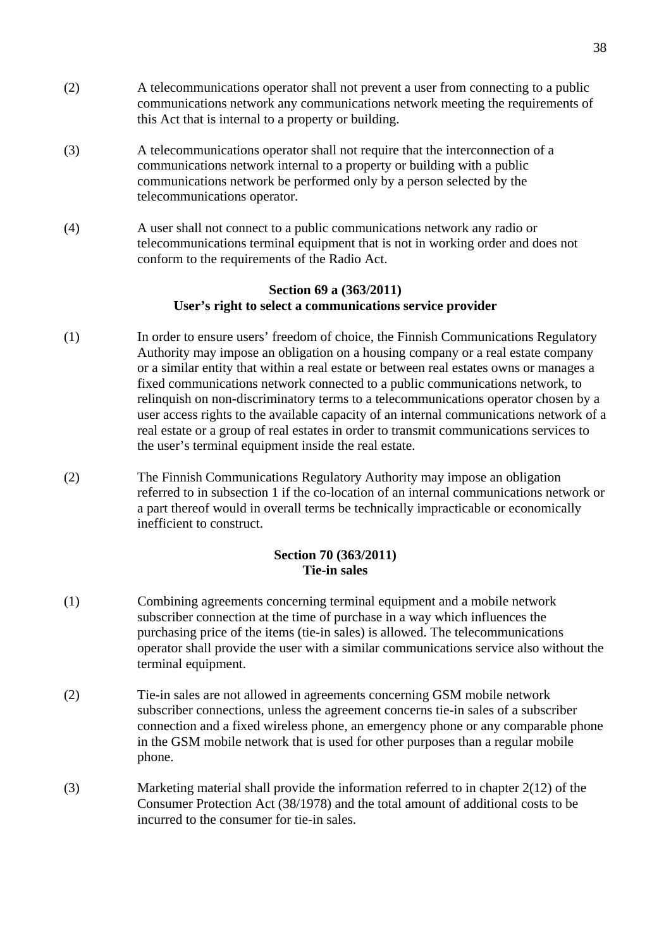- (2) A telecommunications operator shall not prevent a user from connecting to a public communications network any communications network meeting the requirements of this Act that is internal to a property or building.
- (3) A telecommunications operator shall not require that the interconnection of a communications network internal to a property or building with a public communications network be performed only by a person selected by the telecommunications operator.
- (4) A user shall not connect to a public communications network any radio or telecommunications terminal equipment that is not in working order and does not conform to the requirements of the Radio Act.

### **Section 69 a (363/2011) User's right to select a communications service provider**

- (1) In order to ensure users' freedom of choice, the Finnish Communications Regulatory Authority may impose an obligation on a housing company or a real estate company or a similar entity that within a real estate or between real estates owns or manages a fixed communications network connected to a public communications network, to relinquish on non-discriminatory terms to a telecommunications operator chosen by a user access rights to the available capacity of an internal communications network of a real estate or a group of real estates in order to transmit communications services to the user's terminal equipment inside the real estate.
- (2) The Finnish Communications Regulatory Authority may impose an obligation referred to in subsection 1 if the co-location of an internal communications network or a part thereof would in overall terms be technically impracticable or economically inefficient to construct.

### **Section 70 (363/2011) Tie-in sales**

- (1) Combining agreements concerning terminal equipment and a mobile network subscriber connection at the time of purchase in a way which influences the purchasing price of the items (tie-in sales) is allowed. The telecommunications operator shall provide the user with a similar communications service also without the terminal equipment.
- (2) Tie-in sales are not allowed in agreements concerning GSM mobile network subscriber connections, unless the agreement concerns tie-in sales of a subscriber connection and a fixed wireless phone, an emergency phone or any comparable phone in the GSM mobile network that is used for other purposes than a regular mobile phone.
- (3) Marketing material shall provide the information referred to in chapter 2(12) of the Consumer Protection Act (38/1978) and the total amount of additional costs to be incurred to the consumer for tie-in sales.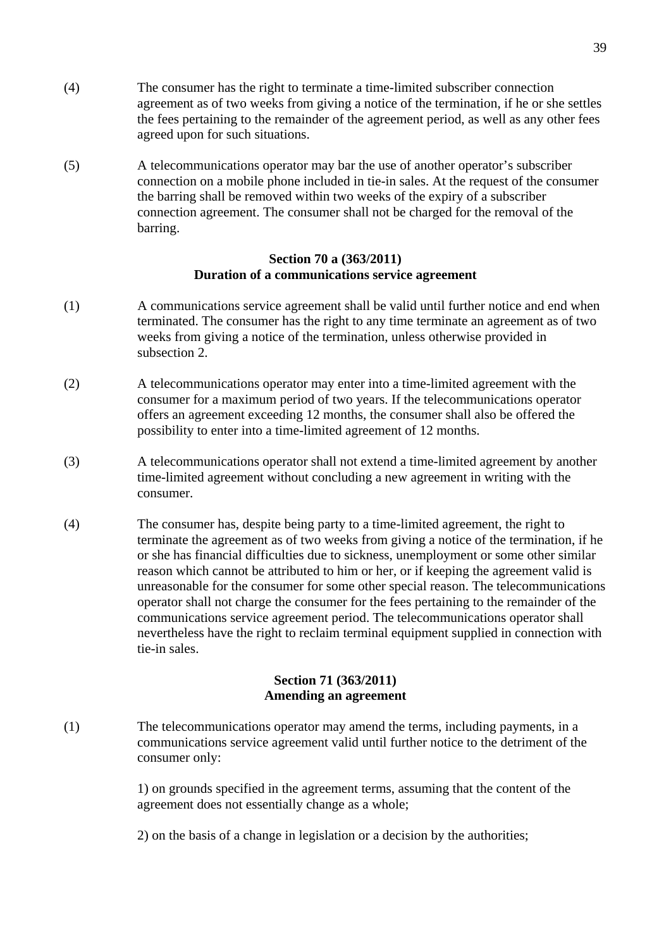- (4) The consumer has the right to terminate a time-limited subscriber connection agreement as of two weeks from giving a notice of the termination, if he or she settles the fees pertaining to the remainder of the agreement period, as well as any other fees agreed upon for such situations.
- (5) A telecommunications operator may bar the use of another operator's subscriber connection on a mobile phone included in tie-in sales. At the request of the consumer the barring shall be removed within two weeks of the expiry of a subscriber connection agreement. The consumer shall not be charged for the removal of the barring.

#### **Section 70 a (363/2011) Duration of a communications service agreement**

- (1) A communications service agreement shall be valid until further notice and end when terminated. The consumer has the right to any time terminate an agreement as of two weeks from giving a notice of the termination, unless otherwise provided in subsection 2.
- (2) A telecommunications operator may enter into a time-limited agreement with the consumer for a maximum period of two years. If the telecommunications operator offers an agreement exceeding 12 months, the consumer shall also be offered the possibility to enter into a time-limited agreement of 12 months.
- (3) A telecommunications operator shall not extend a time-limited agreement by another time-limited agreement without concluding a new agreement in writing with the consumer.
- (4) The consumer has, despite being party to a time-limited agreement, the right to terminate the agreement as of two weeks from giving a notice of the termination, if he or she has financial difficulties due to sickness, unemployment or some other similar reason which cannot be attributed to him or her, or if keeping the agreement valid is unreasonable for the consumer for some other special reason. The telecommunications operator shall not charge the consumer for the fees pertaining to the remainder of the communications service agreement period. The telecommunications operator shall nevertheless have the right to reclaim terminal equipment supplied in connection with tie-in sales.

### **Section 71 (363/2011) Amending an agreement**

(1) The telecommunications operator may amend the terms, including payments, in a communications service agreement valid until further notice to the detriment of the consumer only:

> 1) on grounds specified in the agreement terms, assuming that the content of the agreement does not essentially change as a whole;

2) on the basis of a change in legislation or a decision by the authorities;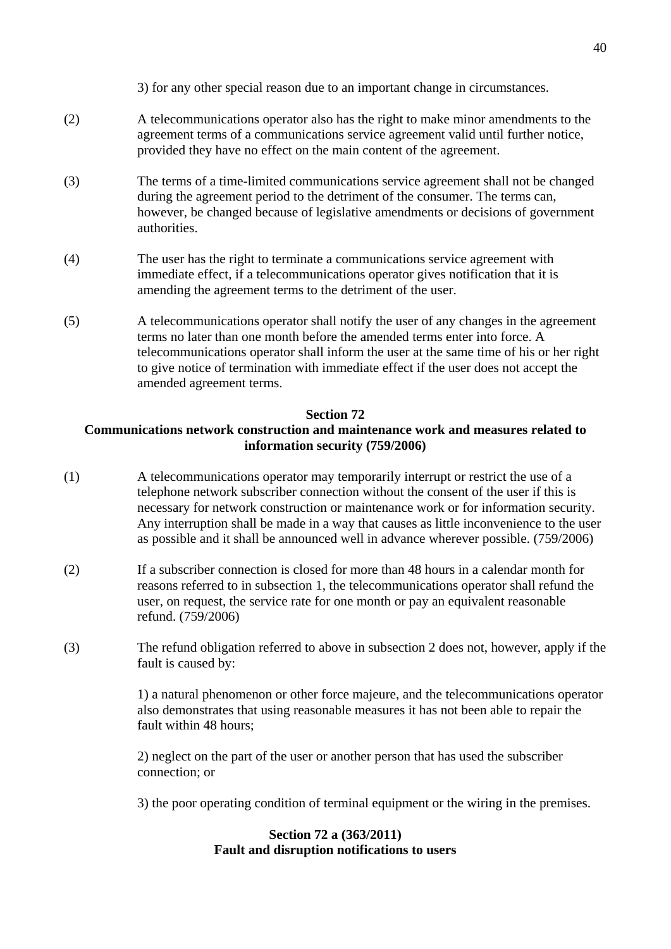3) for any other special reason due to an important change in circumstances.

- (2) A telecommunications operator also has the right to make minor amendments to the agreement terms of a communications service agreement valid until further notice, provided they have no effect on the main content of the agreement.
- (3) The terms of a time-limited communications service agreement shall not be changed during the agreement period to the detriment of the consumer. The terms can, however, be changed because of legislative amendments or decisions of government authorities.
- (4) The user has the right to terminate a communications service agreement with immediate effect, if a telecommunications operator gives notification that it is amending the agreement terms to the detriment of the user.
- (5) A telecommunications operator shall notify the user of any changes in the agreement terms no later than one month before the amended terms enter into force. A telecommunications operator shall inform the user at the same time of his or her right to give notice of termination with immediate effect if the user does not accept the amended agreement terms.

### **Section 72**

# **Communications network construction and maintenance work and measures related to information security (759/2006)**

- (1) A telecommunications operator may temporarily interrupt or restrict the use of a telephone network subscriber connection without the consent of the user if this is necessary for network construction or maintenance work or for information security. Any interruption shall be made in a way that causes as little inconvenience to the user as possible and it shall be announced well in advance wherever possible. (759/2006)
- (2) If a subscriber connection is closed for more than 48 hours in a calendar month for reasons referred to in subsection 1, the telecommunications operator shall refund the user, on request, the service rate for one month or pay an equivalent reasonable refund. (759/2006)
- (3) The refund obligation referred to above in subsection 2 does not, however, apply if the fault is caused by:

1) a natural phenomenon or other force majeure, and the telecommunications operator also demonstrates that using reasonable measures it has not been able to repair the fault within 48 hours;

2) neglect on the part of the user or another person that has used the subscriber connection; or

3) the poor operating condition of terminal equipment or the wiring in the premises.

# **Section 72 a (363/2011) Fault and disruption notifications to users**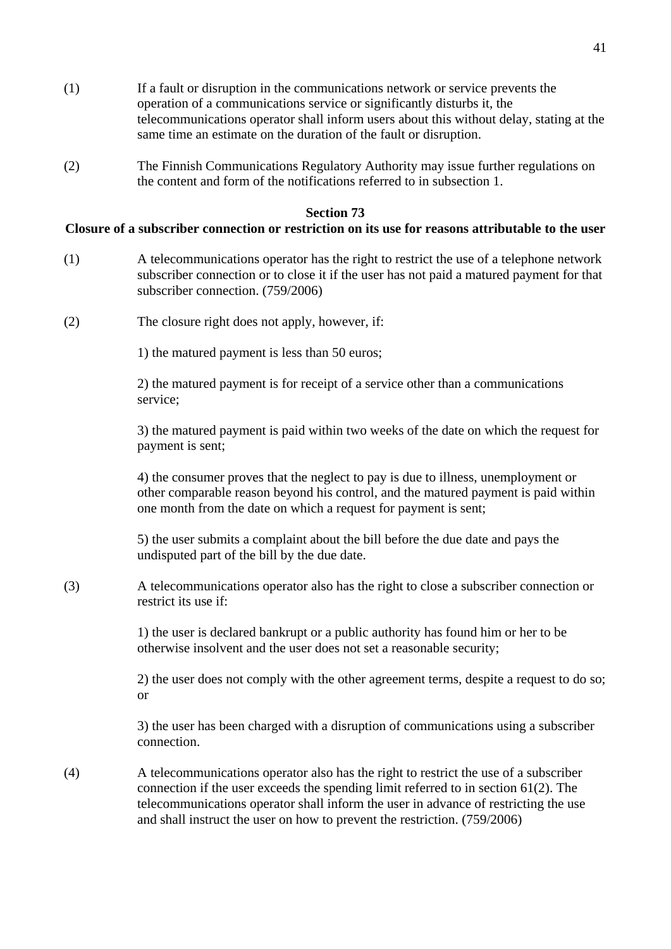- (1) If a fault or disruption in the communications network or service prevents the operation of a communications service or significantly disturbs it, the telecommunications operator shall inform users about this without delay, stating at the same time an estimate on the duration of the fault or disruption.
- (2) The Finnish Communications Regulatory Authority may issue further regulations on the content and form of the notifications referred to in subsection 1.

#### **Section 73**

### **Closure of a subscriber connection or restriction on its use for reasons attributable to the user**

- (1) A telecommunications operator has the right to restrict the use of a telephone network subscriber connection or to close it if the user has not paid a matured payment for that subscriber connection. (759/2006)
- (2) The closure right does not apply, however, if:

1) the matured payment is less than 50 euros;

2) the matured payment is for receipt of a service other than a communications service;

3) the matured payment is paid within two weeks of the date on which the request for payment is sent;

4) the consumer proves that the neglect to pay is due to illness, unemployment or other comparable reason beyond his control, and the matured payment is paid within one month from the date on which a request for payment is sent;

5) the user submits a complaint about the bill before the due date and pays the undisputed part of the bill by the due date.

(3) A telecommunications operator also has the right to close a subscriber connection or restrict its use if:

> 1) the user is declared bankrupt or a public authority has found him or her to be otherwise insolvent and the user does not set a reasonable security;

2) the user does not comply with the other agreement terms, despite a request to do so; or

3) the user has been charged with a disruption of communications using a subscriber connection.

(4) A telecommunications operator also has the right to restrict the use of a subscriber connection if the user exceeds the spending limit referred to in section 61(2). The telecommunications operator shall inform the user in advance of restricting the use and shall instruct the user on how to prevent the restriction. (759/2006)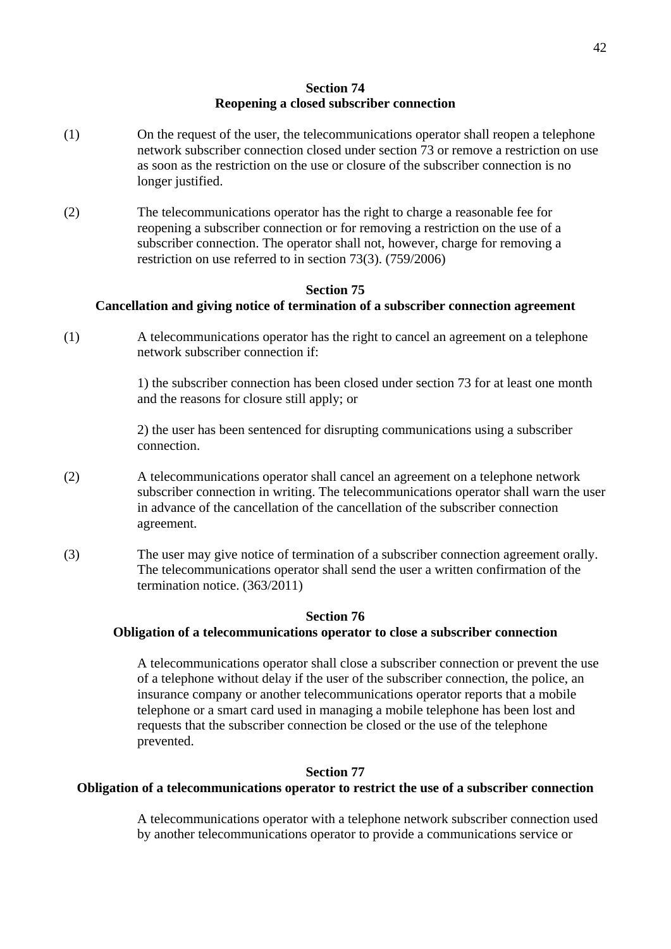#### **Section 74 Reopening a closed subscriber connection**

- (1) On the request of the user, the telecommunications operator shall reopen a telephone network subscriber connection closed under section 73 or remove a restriction on use as soon as the restriction on the use or closure of the subscriber connection is no longer justified.
- (2) The telecommunications operator has the right to charge a reasonable fee for reopening a subscriber connection or for removing a restriction on the use of a subscriber connection. The operator shall not, however, charge for removing a restriction on use referred to in section 73(3). (759/2006)

# **Section 75**

# **Cancellation and giving notice of termination of a subscriber connection agreement**

(1) A telecommunications operator has the right to cancel an agreement on a telephone network subscriber connection if:

> 1) the subscriber connection has been closed under section 73 for at least one month and the reasons for closure still apply; or

2) the user has been sentenced for disrupting communications using a subscriber connection.

- (2) A telecommunications operator shall cancel an agreement on a telephone network subscriber connection in writing. The telecommunications operator shall warn the user in advance of the cancellation of the cancellation of the subscriber connection agreement.
- (3) The user may give notice of termination of a subscriber connection agreement orally. The telecommunications operator shall send the user a written confirmation of the termination notice. (363/2011)

### **Section 76**

#### **Obligation of a telecommunications operator to close a subscriber connection**

A telecommunications operator shall close a subscriber connection or prevent the use of a telephone without delay if the user of the subscriber connection, the police, an insurance company or another telecommunications operator reports that a mobile telephone or a smart card used in managing a mobile telephone has been lost and requests that the subscriber connection be closed or the use of the telephone prevented.

# **Section 77**

### **Obligation of a telecommunications operator to restrict the use of a subscriber connection**

A telecommunications operator with a telephone network subscriber connection used by another telecommunications operator to provide a communications service or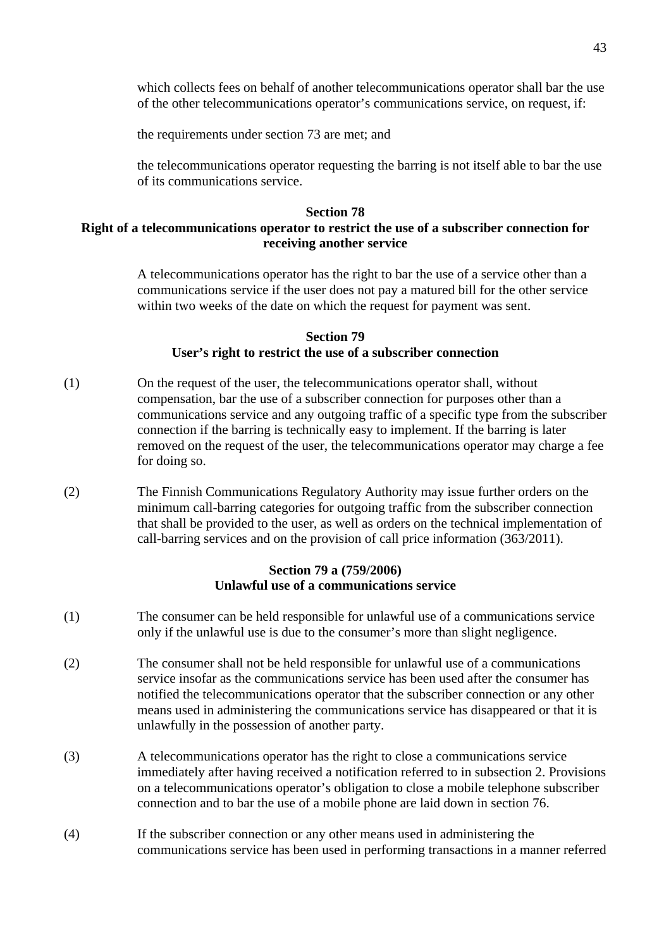which collects fees on behalf of another telecommunications operator shall bar the use of the other telecommunications operator's communications service, on request, if:

the requirements under section 73 are met; and

the telecommunications operator requesting the barring is not itself able to bar the use of its communications service.

#### **Section 78**

### **Right of a telecommunications operator to restrict the use of a subscriber connection for receiving another service**

A telecommunications operator has the right to bar the use of a service other than a communications service if the user does not pay a matured bill for the other service within two weeks of the date on which the request for payment was sent.

#### **Section 79 User's right to restrict the use of a subscriber connection**

- (1) On the request of the user, the telecommunications operator shall, without compensation, bar the use of a subscriber connection for purposes other than a communications service and any outgoing traffic of a specific type from the subscriber connection if the barring is technically easy to implement. If the barring is later removed on the request of the user, the telecommunications operator may charge a fee for doing so.
- (2) The Finnish Communications Regulatory Authority may issue further orders on the minimum call-barring categories for outgoing traffic from the subscriber connection that shall be provided to the user, as well as orders on the technical implementation of call-barring services and on the provision of call price information (363/2011).

#### **Section 79 a (759/2006) Unlawful use of a communications service**

- (1) The consumer can be held responsible for unlawful use of a communications service only if the unlawful use is due to the consumer's more than slight negligence.
- (2) The consumer shall not be held responsible for unlawful use of a communications service insofar as the communications service has been used after the consumer has notified the telecommunications operator that the subscriber connection or any other means used in administering the communications service has disappeared or that it is unlawfully in the possession of another party.
- (3) A telecommunications operator has the right to close a communications service immediately after having received a notification referred to in subsection 2. Provisions on a telecommunications operator's obligation to close a mobile telephone subscriber connection and to bar the use of a mobile phone are laid down in section 76.
- (4) If the subscriber connection or any other means used in administering the communications service has been used in performing transactions in a manner referred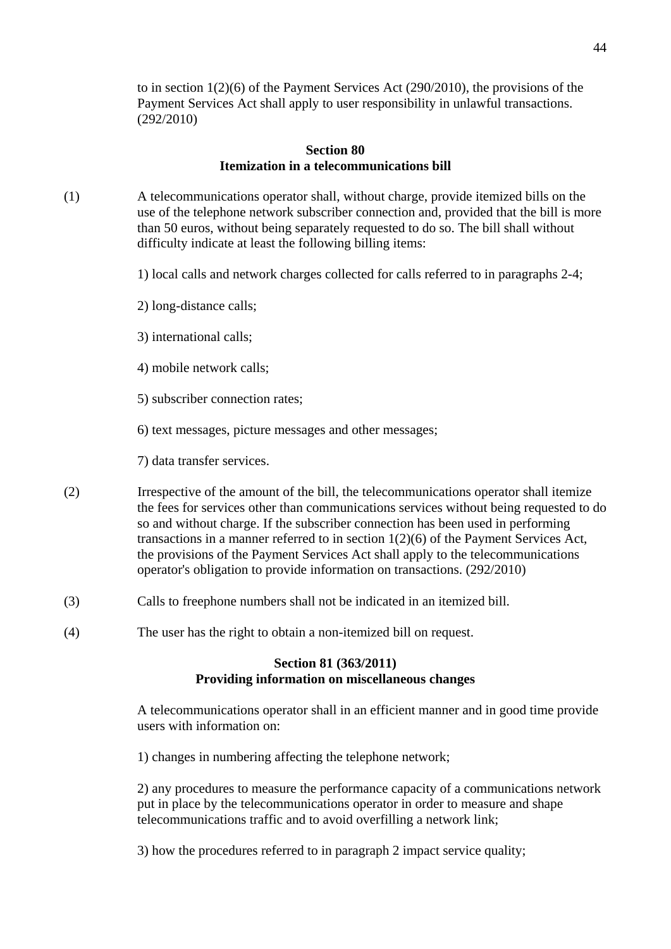to in section 1(2)(6) of the Payment Services Act (290/2010), the provisions of the Payment Services Act shall apply to user responsibility in unlawful transactions. (292/2010)

#### **Section 80 Itemization in a telecommunications bill**

- (1) A telecommunications operator shall, without charge, provide itemized bills on the use of the telephone network subscriber connection and, provided that the bill is more than 50 euros, without being separately requested to do so. The bill shall without difficulty indicate at least the following billing items:
	- 1) local calls and network charges collected for calls referred to in paragraphs 2-4;
	- 2) long-distance calls;
	- 3) international calls;
	- 4) mobile network calls;
	- 5) subscriber connection rates;
	- 6) text messages, picture messages and other messages;
	- 7) data transfer services.
- (2) Irrespective of the amount of the bill, the telecommunications operator shall itemize the fees for services other than communications services without being requested to do so and without charge. If the subscriber connection has been used in performing transactions in a manner referred to in section 1(2)(6) of the Payment Services Act, the provisions of the Payment Services Act shall apply to the telecommunications operator's obligation to provide information on transactions. (292/2010)
- (3) Calls to freephone numbers shall not be indicated in an itemized bill.
- (4) The user has the right to obtain a non-itemized bill on request.

#### **Section 81 (363/2011) Providing information on miscellaneous changes**

 A telecommunications operator shall in an efficient manner and in good time provide users with information on:

1) changes in numbering affecting the telephone network;

 2) any procedures to measure the performance capacity of a communications network put in place by the telecommunications operator in order to measure and shape telecommunications traffic and to avoid overfilling a network link;

3) how the procedures referred to in paragraph 2 impact service quality;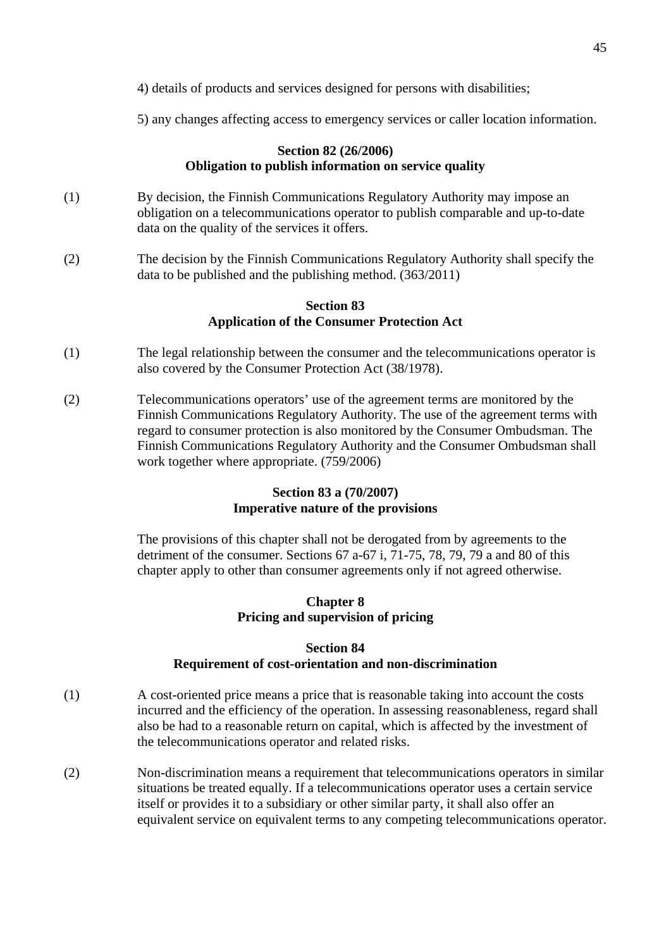4) details of products and services designed for persons with disabilities;

5) any changes affecting access to emergency services or caller location information.

#### **Section 82 (26/2006) Obligation to publish information on service quality**

- (1) By decision, the Finnish Communications Regulatory Authority may impose an obligation on a telecommunications operator to publish comparable and up-to-date data on the quality of the services it offers.
- (2) The decision by the Finnish Communications Regulatory Authority shall specify the data to be published and the publishing method. (363/2011)

#### **Section 83 Application of the Consumer Protection Act**

- (1) The legal relationship between the consumer and the telecommunications operator is also covered by the Consumer Protection Act (38/1978).
- (2) Telecommunications operators' use of the agreement terms are monitored by the Finnish Communications Regulatory Authority. The use of the agreement terms with regard to consumer protection is also monitored by the Consumer Ombudsman. The Finnish Communications Regulatory Authority and the Consumer Ombudsman shall work together where appropriate. (759/2006)

# **Section 83 a (70/2007) Imperative nature of the provisions**

The provisions of this chapter shall not be derogated from by agreements to the detriment of the consumer. Sections 67 a-67 i, 71-75, 78, 79, 79 a and 80 of this chapter apply to other than consumer agreements only if not agreed otherwise.

# **Chapter 8 Pricing and supervision of pricing**

# **Section 84 Requirement of cost-orientation and non-discrimination**

- (1) A cost-oriented price means a price that is reasonable taking into account the costs incurred and the efficiency of the operation. In assessing reasonableness, regard shall also be had to a reasonable return on capital, which is affected by the investment of the telecommunications operator and related risks.
- (2) Non-discrimination means a requirement that telecommunications operators in similar situations be treated equally. If a telecommunications operator uses a certain service itself or provides it to a subsidiary or other similar party, it shall also offer an equivalent service on equivalent terms to any competing telecommunications operator.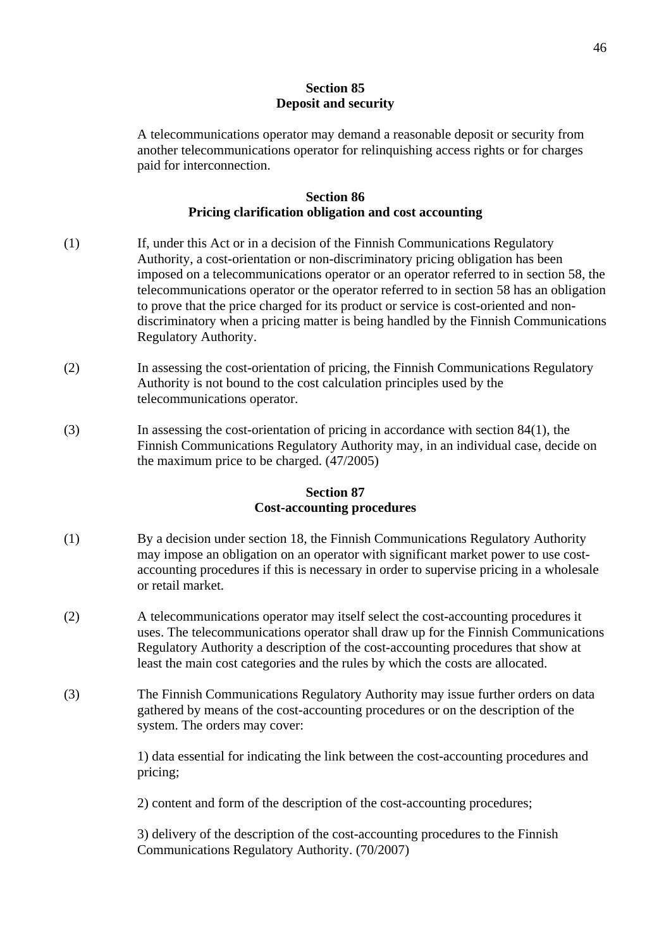### **Section 85 Deposit and security**

A telecommunications operator may demand a reasonable deposit or security from another telecommunications operator for relinquishing access rights or for charges paid for interconnection.

### **Section 86 Pricing clarification obligation and cost accounting**

- (1) If, under this Act or in a decision of the Finnish Communications Regulatory Authority, a cost-orientation or non-discriminatory pricing obligation has been imposed on a telecommunications operator or an operator referred to in section 58, the telecommunications operator or the operator referred to in section 58 has an obligation to prove that the price charged for its product or service is cost-oriented and non discriminatory when a pricing matter is being handled by the Finnish Communications Regulatory Authority.
- (2) In assessing the cost-orientation of pricing, the Finnish Communications Regulatory Authority is not bound to the cost calculation principles used by the telecommunications operator.
- (3) In assessing the cost-orientation of pricing in accordance with section 84(1), the Finnish Communications Regulatory Authority may, in an individual case, decide on the maximum price to be charged. (47/2005)

# **Section 87 Cost-accounting procedures**

- (1) By a decision under section 18, the Finnish Communications Regulatory Authority may impose an obligation on an operator with significant market power to use cost accounting procedures if this is necessary in order to supervise pricing in a wholesale or retail market.
- (2) A telecommunications operator may itself select the cost-accounting procedures it uses. The telecommunications operator shall draw up for the Finnish Communications Regulatory Authority a description of the cost-accounting procedures that show at least the main cost categories and the rules by which the costs are allocated.
- (3) The Finnish Communications Regulatory Authority may issue further orders on data gathered by means of the cost-accounting procedures or on the description of the system. The orders may cover:

1) data essential for indicating the link between the cost-accounting procedures and pricing;

2) content and form of the description of the cost-accounting procedures;

3) delivery of the description of the cost-accounting procedures to the Finnish Communications Regulatory Authority. (70/2007)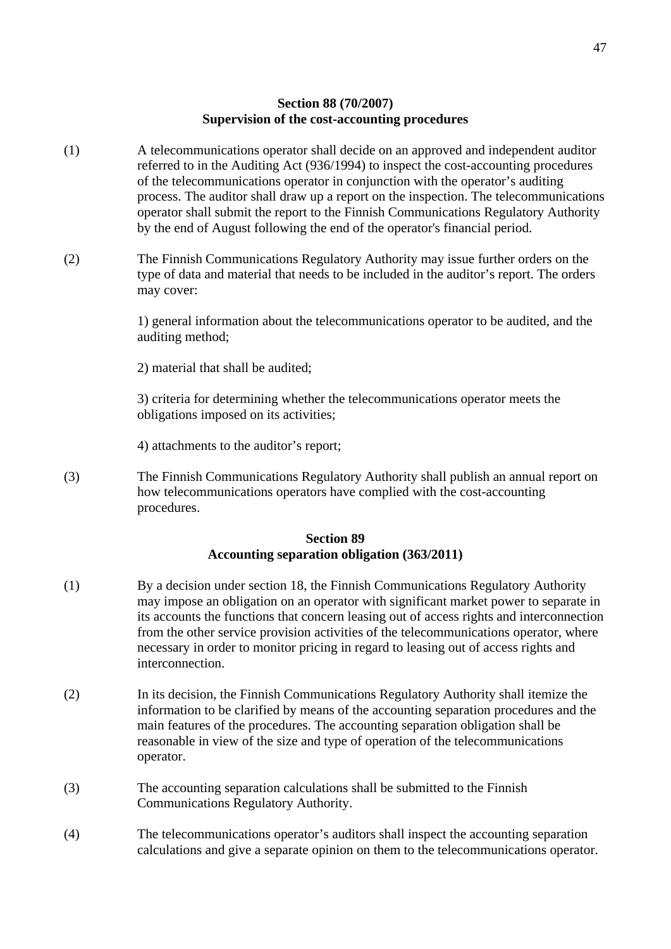### **Section 88 (70/2007) Supervision of the cost-accounting procedures**

- (1) A telecommunications operator shall decide on an approved and independent auditor referred to in the Auditing Act (936/1994) to inspect the cost-accounting procedures of the telecommunications operator in conjunction with the operator's auditing process. The auditor shall draw up a report on the inspection. The telecommunications operator shall submit the report to the Finnish Communications Regulatory Authority by the end of August following the end of the operator's financial period.
- (2) The Finnish Communications Regulatory Authority may issue further orders on the type of data and material that needs to be included in the auditor's report. The orders may cover:

1) general information about the telecommunications operator to be audited, and the auditing method;

2) material that shall be audited;

3) criteria for determining whether the telecommunications operator meets the obligations imposed on its activities;

4) attachments to the auditor's report;

(3) The Finnish Communications Regulatory Authority shall publish an annual report on how telecommunications operators have complied with the cost-accounting procedures.

#### **Section 89 Accounting separation obligation (363/2011)**

- (1) By a decision under section 18, the Finnish Communications Regulatory Authority may impose an obligation on an operator with significant market power to separate in its accounts the functions that concern leasing out of access rights and interconnection from the other service provision activities of the telecommunications operator, where necessary in order to monitor pricing in regard to leasing out of access rights and interconnection.
- (2) In its decision, the Finnish Communications Regulatory Authority shall itemize the information to be clarified by means of the accounting separation procedures and the main features of the procedures. The accounting separation obligation shall be reasonable in view of the size and type of operation of the telecommunications operator.
- (3) The accounting separation calculations shall be submitted to the Finnish Communications Regulatory Authority.
- (4) The telecommunications operator's auditors shall inspect the accounting separation calculations and give a separate opinion on them to the telecommunications operator.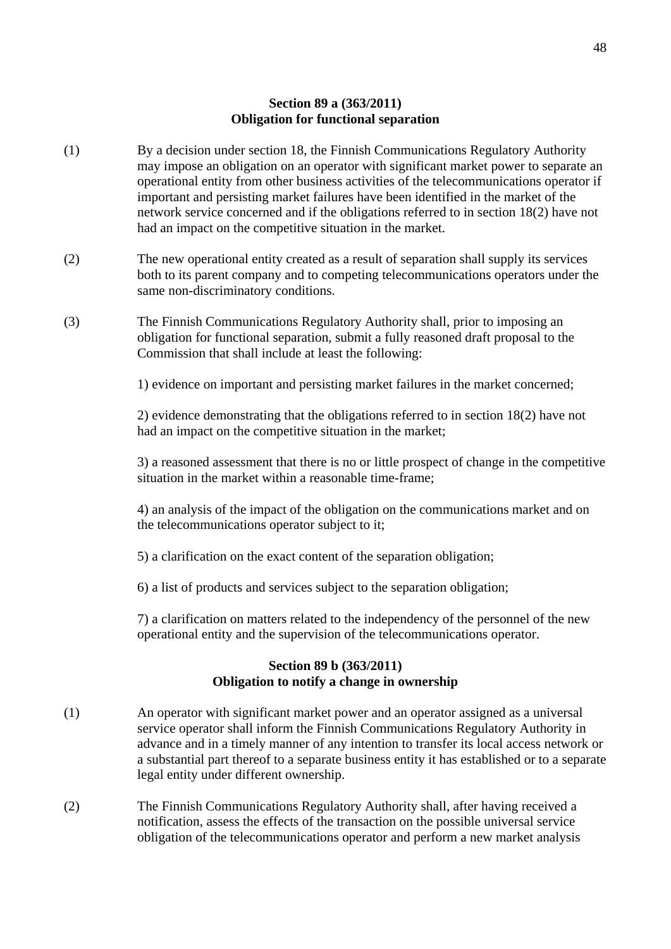#### **Section 89 a (363/2011) Obligation for functional separation**

- (1) By a decision under section 18, the Finnish Communications Regulatory Authority may impose an obligation on an operator with significant market power to separate an operational entity from other business activities of the telecommunications operator if important and persisting market failures have been identified in the market of the network service concerned and if the obligations referred to in section 18(2) have not had an impact on the competitive situation in the market.
- (2) The new operational entity created as a result of separation shall supply its services both to its parent company and to competing telecommunications operators under the same non-discriminatory conditions.
- (3) The Finnish Communications Regulatory Authority shall, prior to imposing an obligation for functional separation, submit a fully reasoned draft proposal to the Commission that shall include at least the following:

1) evidence on important and persisting market failures in the market concerned;

 2) evidence demonstrating that the obligations referred to in section 18(2) have not had an impact on the competitive situation in the market;

 3) a reasoned assessment that there is no or little prospect of change in the competitive situation in the market within a reasonable time-frame;

 4) an analysis of the impact of the obligation on the communications market and on the telecommunications operator subject to it;

- 5) a clarification on the exact content of the separation obligation;
- 6) a list of products and services subject to the separation obligation;

 7) a clarification on matters related to the independency of the personnel of the new operational entity and the supervision of the telecommunications operator.

### **Section 89 b (363/2011) Obligation to notify a change in ownership**

- (1) An operator with significant market power and an operator assigned as a universal service operator shall inform the Finnish Communications Regulatory Authority in advance and in a timely manner of any intention to transfer its local access network or a substantial part thereof to a separate business entity it has established or to a separate legal entity under different ownership.
- (2) The Finnish Communications Regulatory Authority shall, after having received a notification, assess the effects of the transaction on the possible universal service obligation of the telecommunications operator and perform a new market analysis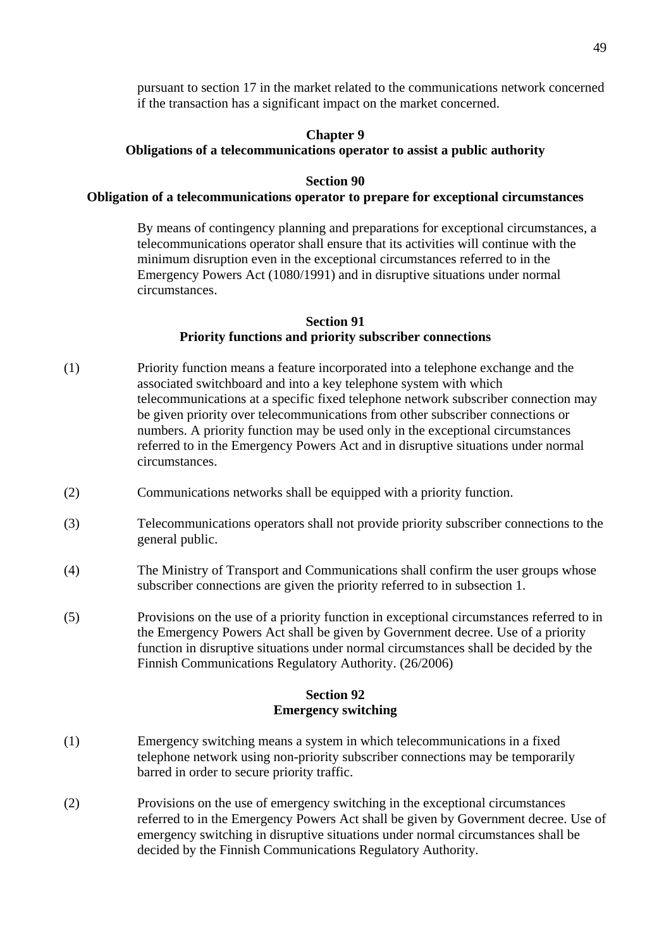pursuant to section 17 in the market related to the communications network concerned if the transaction has a significant impact on the market concerned.

# **Chapter 9**

#### **Obligations of a telecommunications operator to assist a public authority**

### **Section 90**

#### **Obligation of a telecommunications operator to prepare for exceptional circumstances**

By means of contingency planning and preparations for exceptional circumstances, a telecommunications operator shall ensure that its activities will continue with the minimum disruption even in the exceptional circumstances referred to in the Emergency Powers Act (1080/1991) and in disruptive situations under normal circumstances.

#### **Section 91 Priority functions and priority subscriber connections**

- (1) Priority function means a feature incorporated into a telephone exchange and the associated switchboard and into a key telephone system with which telecommunications at a specific fixed telephone network subscriber connection may be given priority over telecommunications from other subscriber connections or numbers. A priority function may be used only in the exceptional circumstances referred to in the Emergency Powers Act and in disruptive situations under normal circumstances.
- (2) Communications networks shall be equipped with a priority function.
- (3) Telecommunications operators shall not provide priority subscriber connections to the general public.
- (4) The Ministry of Transport and Communications shall confirm the user groups whose subscriber connections are given the priority referred to in subsection 1.
- (5) Provisions on the use of a priority function in exceptional circumstances referred to in the Emergency Powers Act shall be given by Government decree. Use of a priority function in disruptive situations under normal circumstances shall be decided by the Finnish Communications Regulatory Authority. (26/2006)

# **Section 92 Emergency switching**

- (1) Emergency switching means a system in which telecommunications in a fixed telephone network using non-priority subscriber connections may be temporarily barred in order to secure priority traffic.
- (2) Provisions on the use of emergency switching in the exceptional circumstances referred to in the Emergency Powers Act shall be given by Government decree. Use of emergency switching in disruptive situations under normal circumstances shall be decided by the Finnish Communications Regulatory Authority.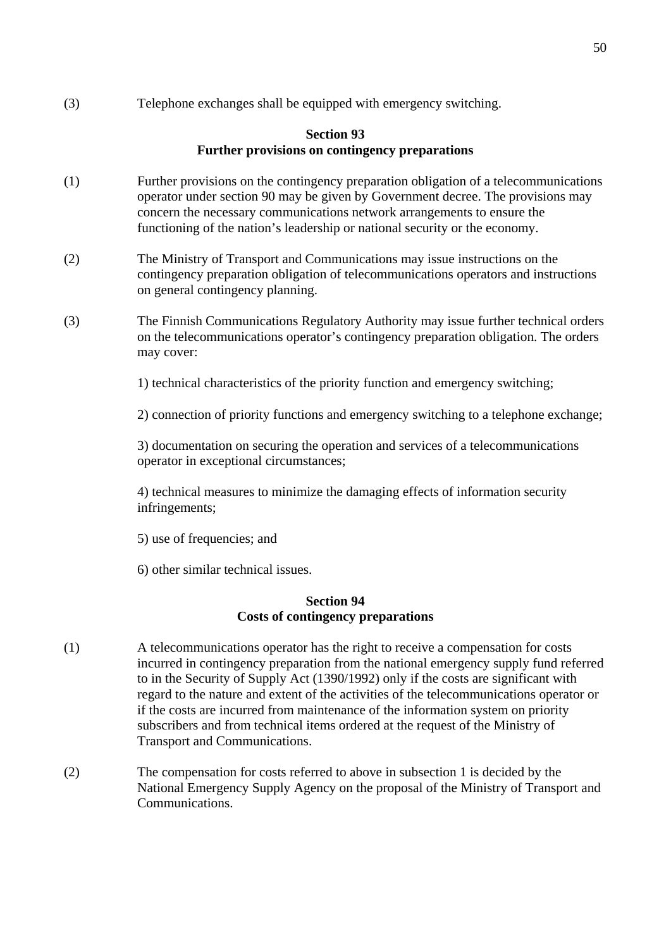(3) Telephone exchanges shall be equipped with emergency switching.

# **Section 93 Further provisions on contingency preparations**

- (1) Further provisions on the contingency preparation obligation of a telecommunications operator under section 90 may be given by Government decree. The provisions may concern the necessary communications network arrangements to ensure the functioning of the nation's leadership or national security or the economy.
- (2) The Ministry of Transport and Communications may issue instructions on the contingency preparation obligation of telecommunications operators and instructions on general contingency planning.
- (3) The Finnish Communications Regulatory Authority may issue further technical orders on the telecommunications operator's contingency preparation obligation. The orders may cover:

1) technical characteristics of the priority function and emergency switching;

2) connection of priority functions and emergency switching to a telephone exchange;

3) documentation on securing the operation and services of a telecommunications operator in exceptional circumstances;

4) technical measures to minimize the damaging effects of information security infringements;

- 5) use of frequencies; and
- 6) other similar technical issues.

#### **Section 94 Costs of contingency preparations**

- (1) A telecommunications operator has the right to receive a compensation for costs incurred in contingency preparation from the national emergency supply fund referred to in the Security of Supply Act (1390/1992) only if the costs are significant with regard to the nature and extent of the activities of the telecommunications operator or if the costs are incurred from maintenance of the information system on priority subscribers and from technical items ordered at the request of the Ministry of Transport and Communications.
- (2) The compensation for costs referred to above in subsection 1 is decided by the National Emergency Supply Agency on the proposal of the Ministry of Transport and Communications.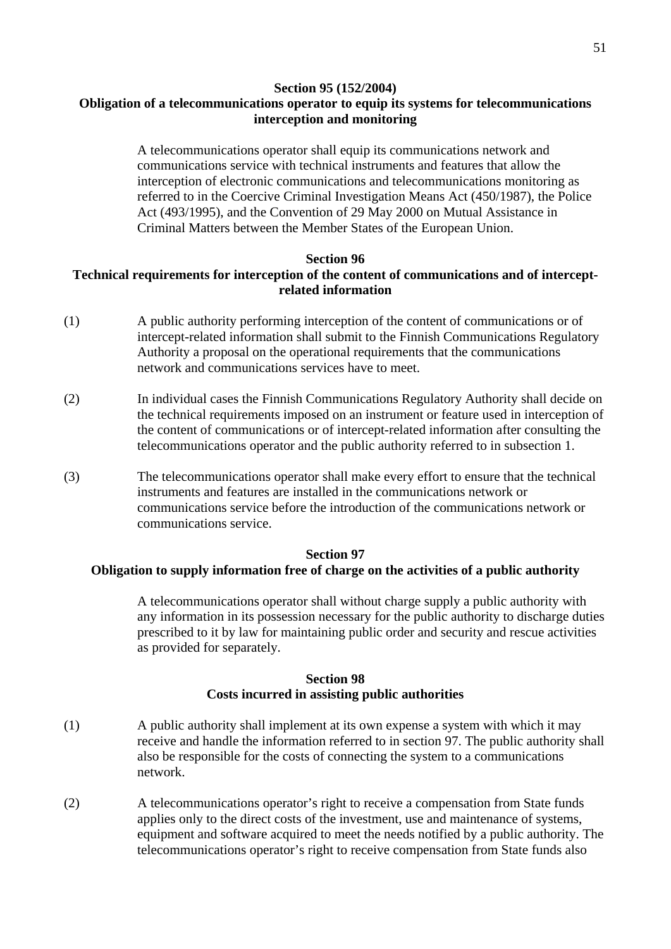#### **Section 95 (152/2004)**

# **Obligation of a telecommunications operator to equip its systems for telecommunications interception and monitoring**

A telecommunications operator shall equip its communications network and communications service with technical instruments and features that allow the interception of electronic communications and telecommunications monitoring as referred to in the Coercive Criminal Investigation Means Act (450/1987), the Police Act (493/1995), and the Convention of 29 May 2000 on Mutual Assistance in Criminal Matters between the Member States of the European Union.

#### **Section 96**

# **Technical requirements for interception of the content of communications and of interceptrelated information**

- (1) A public authority performing interception of the content of communications or of intercept-related information shall submit to the Finnish Communications Regulatory Authority a proposal on the operational requirements that the communications network and communications services have to meet.
- (2) In individual cases the Finnish Communications Regulatory Authority shall decide on the technical requirements imposed on an instrument or feature used in interception of the content of communications or of intercept-related information after consulting the telecommunications operator and the public authority referred to in subsection 1.
- (3) The telecommunications operator shall make every effort to ensure that the technical instruments and features are installed in the communications network or communications service before the introduction of the communications network or communications service.

#### **Section 97**

#### **Obligation to supply information free of charge on the activities of a public authority**

A telecommunications operator shall without charge supply a public authority with any information in its possession necessary for the public authority to discharge duties prescribed to it by law for maintaining public order and security and rescue activities as provided for separately.

#### **Section 98 Costs incurred in assisting public authorities**

- (1) A public authority shall implement at its own expense a system with which it may receive and handle the information referred to in section 97. The public authority shall also be responsible for the costs of connecting the system to a communications network.
- (2) A telecommunications operator's right to receive a compensation from State funds applies only to the direct costs of the investment, use and maintenance of systems, equipment and software acquired to meet the needs notified by a public authority. The telecommunications operator's right to receive compensation from State funds also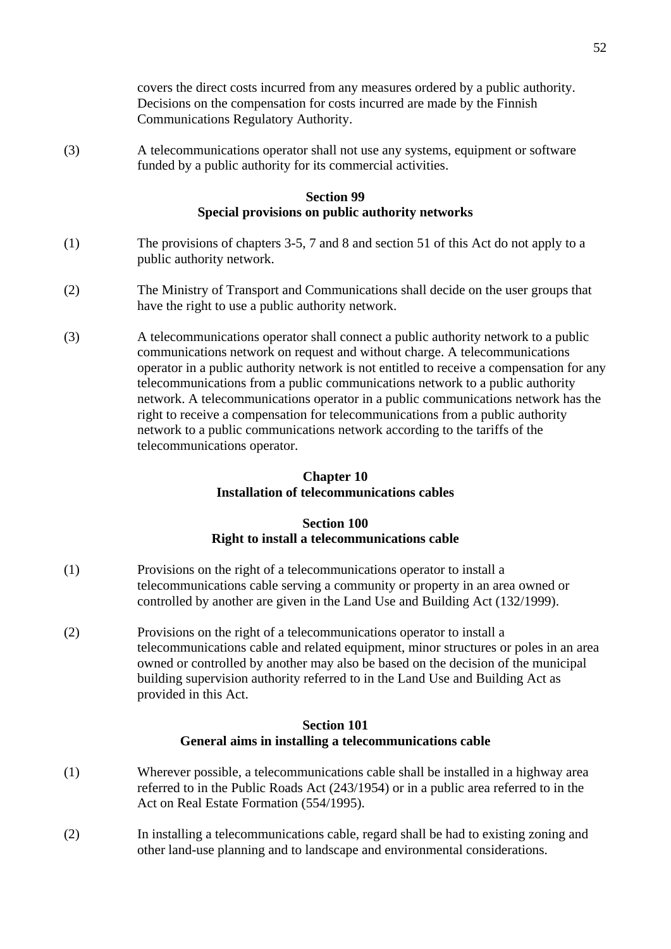covers the direct costs incurred from any measures ordered by a public authority. Decisions on the compensation for costs incurred are made by the Finnish Communications Regulatory Authority.

(3) A telecommunications operator shall not use any systems, equipment or software funded by a public authority for its commercial activities.

### **Section 99 Special provisions on public authority networks**

- (1) The provisions of chapters 3-5, 7 and 8 and section 51 of this Act do not apply to a public authority network.
- (2) The Ministry of Transport and Communications shall decide on the user groups that have the right to use a public authority network.
- (3) A telecommunications operator shall connect a public authority network to a public communications network on request and without charge. A telecommunications operator in a public authority network is not entitled to receive a compensation for any telecommunications from a public communications network to a public authority network. A telecommunications operator in a public communications network has the right to receive a compensation for telecommunications from a public authority network to a public communications network according to the tariffs of the telecommunications operator.

### **Chapter 10 Installation of telecommunications cables**

### **Section 100 Right to install a telecommunications cable**

- (1) Provisions on the right of a telecommunications operator to install a telecommunications cable serving a community or property in an area owned or controlled by another are given in the Land Use and Building Act (132/1999).
- (2) Provisions on the right of a telecommunications operator to install a telecommunications cable and related equipment, minor structures or poles in an area owned or controlled by another may also be based on the decision of the municipal building supervision authority referred to in the Land Use and Building Act as provided in this Act.

#### **Section 101 General aims in installing a telecommunications cable**

- (1) Wherever possible, a telecommunications cable shall be installed in a highway area referred to in the Public Roads Act (243/1954) or in a public area referred to in the Act on Real Estate Formation (554/1995).
- (2) In installing a telecommunications cable, regard shall be had to existing zoning and other land-use planning and to landscape and environmental considerations.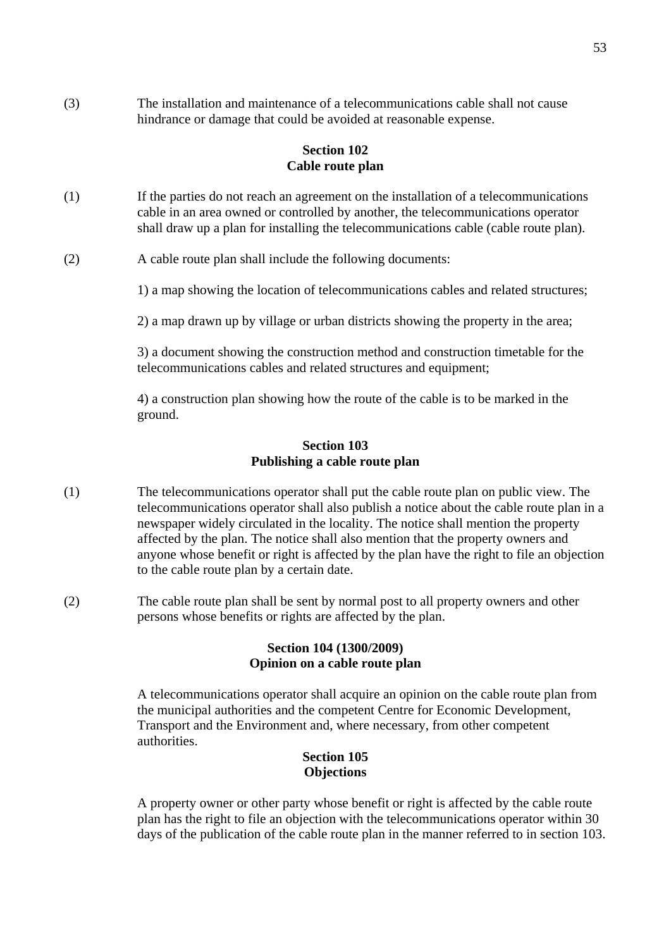(3) The installation and maintenance of a telecommunications cable shall not cause hindrance or damage that could be avoided at reasonable expense.

### **Section 102 Cable route plan**

- (1) If the parties do not reach an agreement on the installation of a telecommunications cable in an area owned or controlled by another, the telecommunications operator shall draw up a plan for installing the telecommunications cable (cable route plan).
- (2) A cable route plan shall include the following documents:

1) a map showing the location of telecommunications cables and related structures;

2) a map drawn up by village or urban districts showing the property in the area;

3) a document showing the construction method and construction timetable for the telecommunications cables and related structures and equipment;

4) a construction plan showing how the route of the cable is to be marked in the ground.

#### **Section 103 Publishing a cable route plan**

- (1) The telecommunications operator shall put the cable route plan on public view. The telecommunications operator shall also publish a notice about the cable route plan in a newspaper widely circulated in the locality. The notice shall mention the property affected by the plan. The notice shall also mention that the property owners and anyone whose benefit or right is affected by the plan have the right to file an objection to the cable route plan by a certain date.
- (2) The cable route plan shall be sent by normal post to all property owners and other persons whose benefits or rights are affected by the plan.

#### **Section 104 (1300/2009) Opinion on a cable route plan**

 A telecommunications operator shall acquire an opinion on the cable route plan from the municipal authorities and the competent Centre for Economic Development, Transport and the Environment and, where necessary, from other competent authorities.

### **Section 105 Objections**

A property owner or other party whose benefit or right is affected by the cable route plan has the right to file an objection with the telecommunications operator within 30 days of the publication of the cable route plan in the manner referred to in section 103.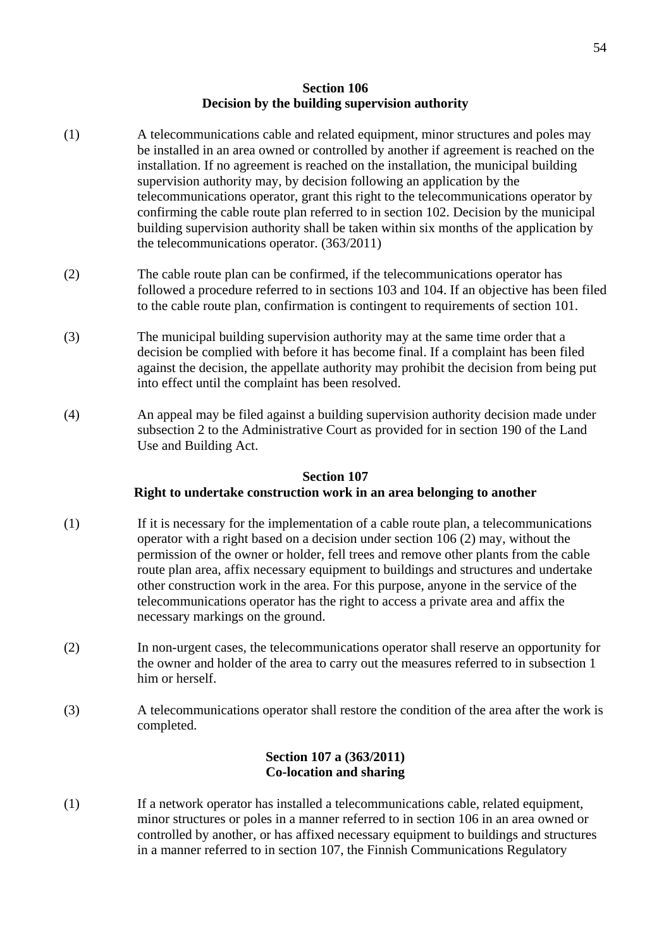### **Section 106 Decision by the building supervision authority**

- (1) A telecommunications cable and related equipment, minor structures and poles may be installed in an area owned or controlled by another if agreement is reached on the installation. If no agreement is reached on the installation, the municipal building supervision authority may, by decision following an application by the telecommunications operator, grant this right to the telecommunications operator by confirming the cable route plan referred to in section 102. Decision by the municipal building supervision authority shall be taken within six months of the application by the telecommunications operator. (363/2011)
- (2) The cable route plan can be confirmed, if the telecommunications operator has followed a procedure referred to in sections 103 and 104. If an objective has been filed to the cable route plan, confirmation is contingent to requirements of section 101.
- (3) The municipal building supervision authority may at the same time order that a decision be complied with before it has become final. If a complaint has been filed against the decision, the appellate authority may prohibit the decision from being put into effect until the complaint has been resolved.
- (4) An appeal may be filed against a building supervision authority decision made under subsection 2 to the Administrative Court as provided for in section 190 of the Land Use and Building Act.

#### **Section 107**

### **Right to undertake construction work in an area belonging to another**

- (1) If it is necessary for the implementation of a cable route plan, a telecommunications operator with a right based on a decision under section 106 (2) may, without the permission of the owner or holder, fell trees and remove other plants from the cable route plan area, affix necessary equipment to buildings and structures and undertake other construction work in the area. For this purpose, anyone in the service of the telecommunications operator has the right to access a private area and affix the necessary markings on the ground.
- (2) In non-urgent cases, the telecommunications operator shall reserve an opportunity for the owner and holder of the area to carry out the measures referred to in subsection 1 him or herself.
- (3) A telecommunications operator shall restore the condition of the area after the work is completed.

### **Section 107 a (363/2011) Co-location and sharing**

(1) If a network operator has installed a telecommunications cable, related equipment, minor structures or poles in a manner referred to in section 106 in an area owned or controlled by another, or has affixed necessary equipment to buildings and structures in a manner referred to in section 107, the Finnish Communications Regulatory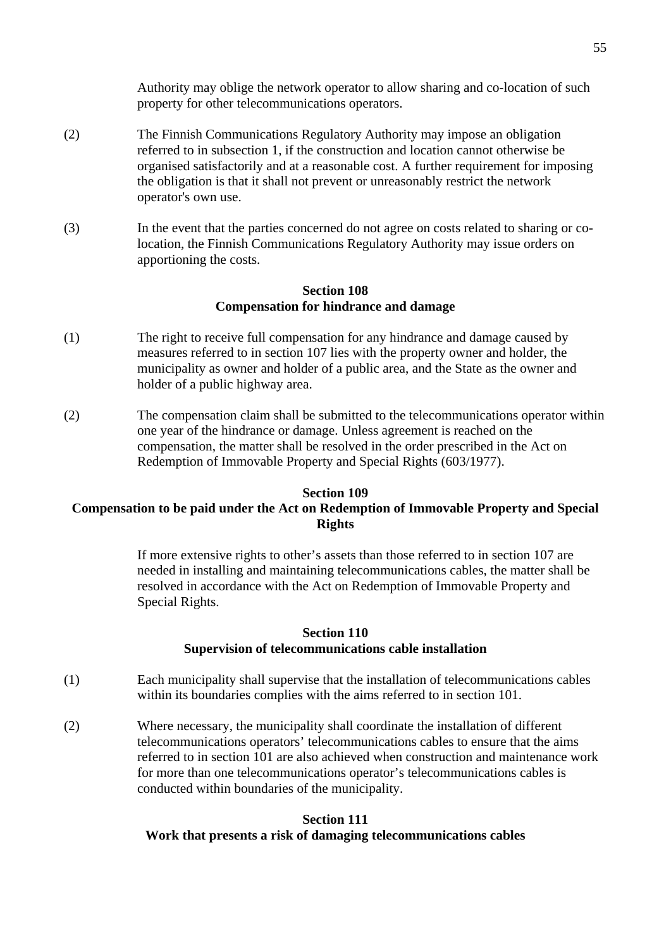Authority may oblige the network operator to allow sharing and co-location of such property for other telecommunications operators.

- (2) The Finnish Communications Regulatory Authority may impose an obligation referred to in subsection 1, if the construction and location cannot otherwise be organised satisfactorily and at a reasonable cost. A further requirement for imposing the obligation is that it shall not prevent or unreasonably restrict the network operator's own use.
- (3) In the event that the parties concerned do not agree on costs related to sharing or co location, the Finnish Communications Regulatory Authority may issue orders on apportioning the costs.

# **Section 108 Compensation for hindrance and damage**

- (1) The right to receive full compensation for any hindrance and damage caused by measures referred to in section 107 lies with the property owner and holder, the municipality as owner and holder of a public area, and the State as the owner and holder of a public highway area.
- (2) The compensation claim shall be submitted to the telecommunications operator within one year of the hindrance or damage. Unless agreement is reached on the compensation, the matter shall be resolved in the order prescribed in the Act on Redemption of Immovable Property and Special Rights (603/1977).

# **Section 109 Compensation to be paid under the Act on Redemption of Immovable Property and Special Rights**

If more extensive rights to other's assets than those referred to in section 107 are needed in installing and maintaining telecommunications cables, the matter shall be resolved in accordance with the Act on Redemption of Immovable Property and Special Rights.

#### **Section 110 Supervision of telecommunications cable installation**

- (1) Each municipality shall supervise that the installation of telecommunications cables within its boundaries complies with the aims referred to in section 101.
- (2) Where necessary, the municipality shall coordinate the installation of different telecommunications operators' telecommunications cables to ensure that the aims referred to in section 101 are also achieved when construction and maintenance work for more than one telecommunications operator's telecommunications cables is conducted within boundaries of the municipality.

#### **Section 111**

#### **Work that presents a risk of damaging telecommunications cables**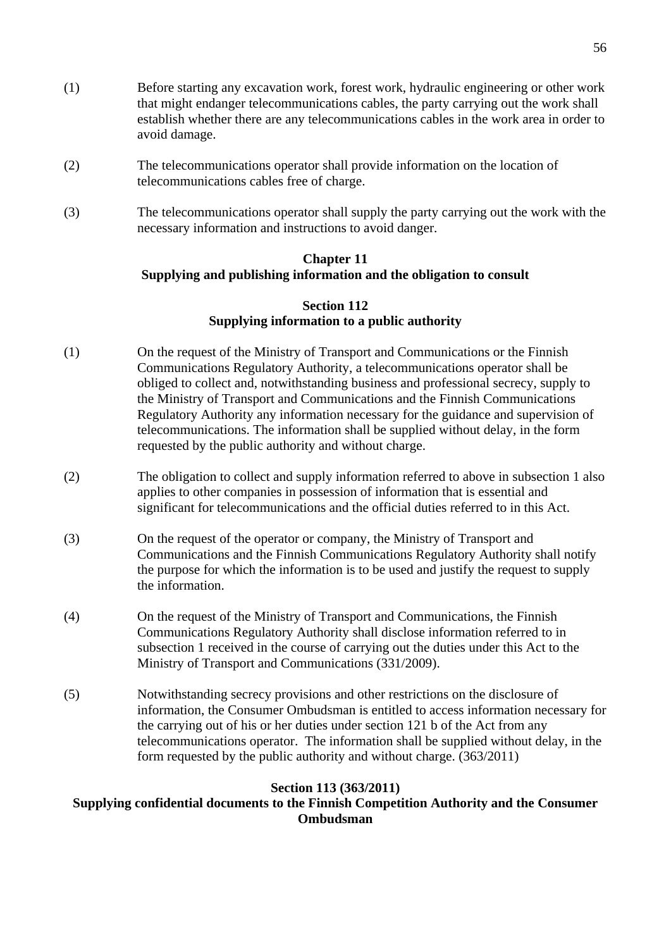- (1) Before starting any excavation work, forest work, hydraulic engineering or other work that might endanger telecommunications cables, the party carrying out the work shall establish whether there are any telecommunications cables in the work area in order to avoid damage.
- (2) The telecommunications operator shall provide information on the location of telecommunications cables free of charge.
- (3) The telecommunications operator shall supply the party carrying out the work with the necessary information and instructions to avoid danger.

# **Chapter 11 Supplying and publishing information and the obligation to consult**

### **Section 112 Supplying information to a public authority**

- (1) On the request of the Ministry of Transport and Communications or the Finnish Communications Regulatory Authority, a telecommunications operator shall be obliged to collect and, notwithstanding business and professional secrecy, supply to the Ministry of Transport and Communications and the Finnish Communications Regulatory Authority any information necessary for the guidance and supervision of telecommunications. The information shall be supplied without delay, in the form requested by the public authority and without charge.
- (2) The obligation to collect and supply information referred to above in subsection 1 also applies to other companies in possession of information that is essential and significant for telecommunications and the official duties referred to in this Act.
- (3) On the request of the operator or company, the Ministry of Transport and Communications and the Finnish Communications Regulatory Authority shall notify the purpose for which the information is to be used and justify the request to supply the information.
- (4) On the request of the Ministry of Transport and Communications, the Finnish Communications Regulatory Authority shall disclose information referred to in subsection 1 received in the course of carrying out the duties under this Act to the Ministry of Transport and Communications (331/2009).
- (5) Notwithstanding secrecy provisions and other restrictions on the disclosure of information, the Consumer Ombudsman is entitled to access information necessary for the carrying out of his or her duties under section 121 b of the Act from any telecommunications operator. The information shall be supplied without delay, in the form requested by the public authority and without charge. (363/2011)

# **Section 113 (363/2011)**

# **Supplying confidential documents to the Finnish Competition Authority and the Consumer Ombudsman**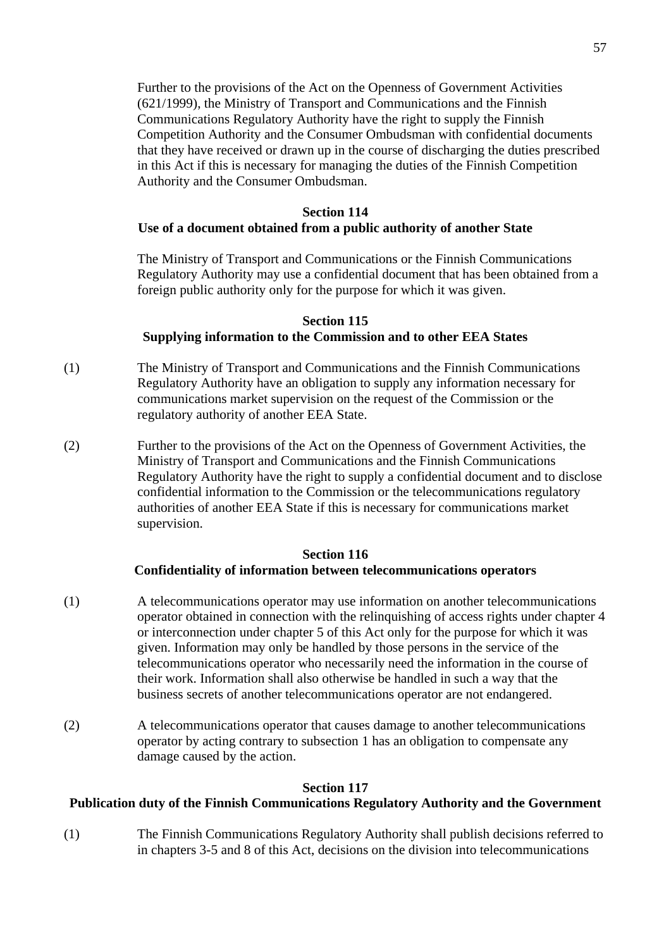Further to the provisions of the Act on the Openness of Government Activities (621/1999), the Ministry of Transport and Communications and the Finnish Communications Regulatory Authority have the right to supply the Finnish Competition Authority and the Consumer Ombudsman with confidential documents that they have received or drawn up in the course of discharging the duties prescribed in this Act if this is necessary for managing the duties of the Finnish Competition Authority and the Consumer Ombudsman.

#### **Section 114**

### **Use of a document obtained from a public authority of another State**

The Ministry of Transport and Communications or the Finnish Communications Regulatory Authority may use a confidential document that has been obtained from a foreign public authority only for the purpose for which it was given.

#### **Section 115**

#### **Supplying information to the Commission and to other EEA States**

- (1) The Ministry of Transport and Communications and the Finnish Communications Regulatory Authority have an obligation to supply any information necessary for communications market supervision on the request of the Commission or the regulatory authority of another EEA State.
- (2) Further to the provisions of the Act on the Openness of Government Activities, the Ministry of Transport and Communications and the Finnish Communications Regulatory Authority have the right to supply a confidential document and to disclose confidential information to the Commission or the telecommunications regulatory authorities of another EEA State if this is necessary for communications market supervision.

#### **Section 116**

### **Confidentiality of information between telecommunications operators**

- (1) A telecommunications operator may use information on another telecommunications operator obtained in connection with the relinquishing of access rights under chapter 4 or interconnection under chapter 5 of this Act only for the purpose for which it was given. Information may only be handled by those persons in the service of the telecommunications operator who necessarily need the information in the course of their work. Information shall also otherwise be handled in such a way that the business secrets of another telecommunications operator are not endangered.
- (2) A telecommunications operator that causes damage to another telecommunications operator by acting contrary to subsection 1 has an obligation to compensate any damage caused by the action.

### **Section 117**

#### **Publication duty of the Finnish Communications Regulatory Authority and the Government**

(1) The Finnish Communications Regulatory Authority shall publish decisions referred to in chapters 3-5 and 8 of this Act, decisions on the division into telecommunications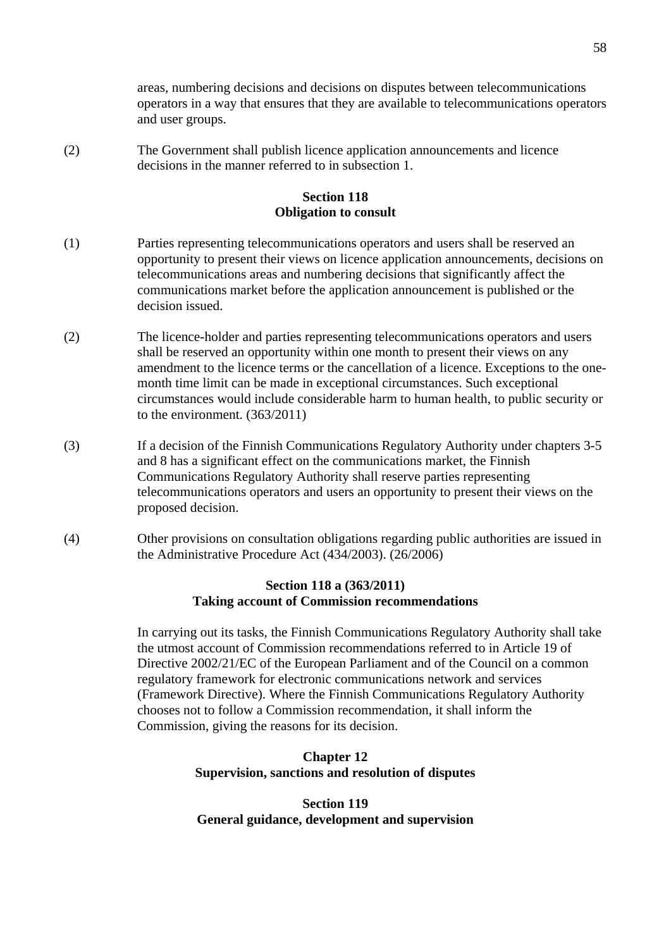areas, numbering decisions and decisions on disputes between telecommunications operators in a way that ensures that they are available to telecommunications operators and user groups.

(2) The Government shall publish licence application announcements and licence decisions in the manner referred to in subsection 1.

# **Section 118 Obligation to consult**

- (1) Parties representing telecommunications operators and users shall be reserved an opportunity to present their views on licence application announcements, decisions on telecommunications areas and numbering decisions that significantly affect the communications market before the application announcement is published or the decision issued.
- (2) The licence-holder and parties representing telecommunications operators and users shall be reserved an opportunity within one month to present their views on any amendment to the licence terms or the cancellation of a licence. Exceptions to the one month time limit can be made in exceptional circumstances. Such exceptional circumstances would include considerable harm to human health, to public security or to the environment. (363/2011)
- (3) If a decision of the Finnish Communications Regulatory Authority under chapters 3-5 and 8 has a significant effect on the communications market, the Finnish Communications Regulatory Authority shall reserve parties representing telecommunications operators and users an opportunity to present their views on the proposed decision.
- (4) Other provisions on consultation obligations regarding public authorities are issued in the Administrative Procedure Act (434/2003). (26/2006)

### **Section 118 a (363/2011) Taking account of Commission recommendations**

 In carrying out its tasks, the Finnish Communications Regulatory Authority shall take the utmost account of Commission recommendations referred to in Article 19 of Directive 2002/21/EC of the European Parliament and of the Council on a common regulatory framework for electronic communications network and services (Framework Directive). Where the Finnish Communications Regulatory Authority chooses not to follow a Commission recommendation, it shall inform the Commission, giving the reasons for its decision.

# **Chapter 12 Supervision, sanctions and resolution of disputes**

**Section 119 General guidance, development and supervision**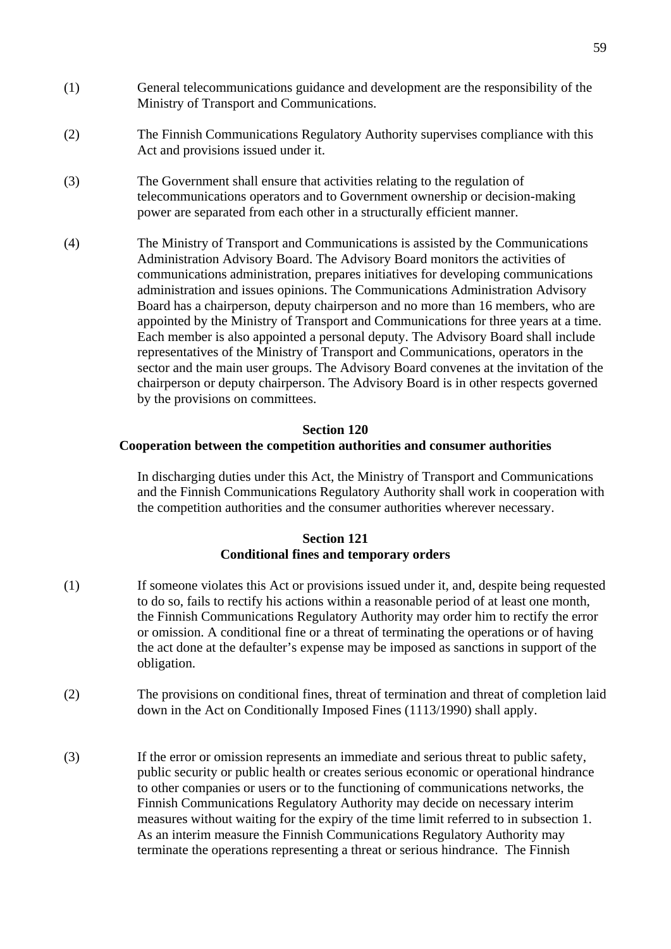- (1) General telecommunications guidance and development are the responsibility of the Ministry of Transport and Communications.
- (2) The Finnish Communications Regulatory Authority supervises compliance with this Act and provisions issued under it.
- (3) The Government shall ensure that activities relating to the regulation of telecommunications operators and to Government ownership or decision-making power are separated from each other in a structurally efficient manner.
- (4) The Ministry of Transport and Communications is assisted by the Communications Administration Advisory Board. The Advisory Board monitors the activities of communications administration, prepares initiatives for developing communications administration and issues opinions. The Communications Administration Advisory Board has a chairperson, deputy chairperson and no more than 16 members, who are appointed by the Ministry of Transport and Communications for three years at a time. Each member is also appointed a personal deputy. The Advisory Board shall include representatives of the Ministry of Transport and Communications, operators in the sector and the main user groups. The Advisory Board convenes at the invitation of the chairperson or deputy chairperson. The Advisory Board is in other respects governed by the provisions on committees.

#### **Section 120**

#### **Cooperation between the competition authorities and consumer authorities**

In discharging duties under this Act, the Ministry of Transport and Communications and the Finnish Communications Regulatory Authority shall work in cooperation with the competition authorities and the consumer authorities wherever necessary.

### **Section 121 Conditional fines and temporary orders**

- (1) If someone violates this Act or provisions issued under it, and, despite being requested to do so, fails to rectify his actions within a reasonable period of at least one month, the Finnish Communications Regulatory Authority may order him to rectify the error or omission. A conditional fine or a threat of terminating the operations or of having the act done at the defaulter's expense may be imposed as sanctions in support of the obligation.
- (2) The provisions on conditional fines, threat of termination and threat of completion laid down in the Act on Conditionally Imposed Fines (1113/1990) shall apply.
- (3) If the error or omission represents an immediate and serious threat to public safety, public security or public health or creates serious economic or operational hindrance to other companies or users or to the functioning of communications networks*,* the Finnish Communications Regulatory Authority may decide on necessary interim measures without waiting for the expiry of the time limit referred to in subsection 1. As an interim measure the Finnish Communications Regulatory Authority may terminate the operations representing a threat or serious hindrance. The Finnish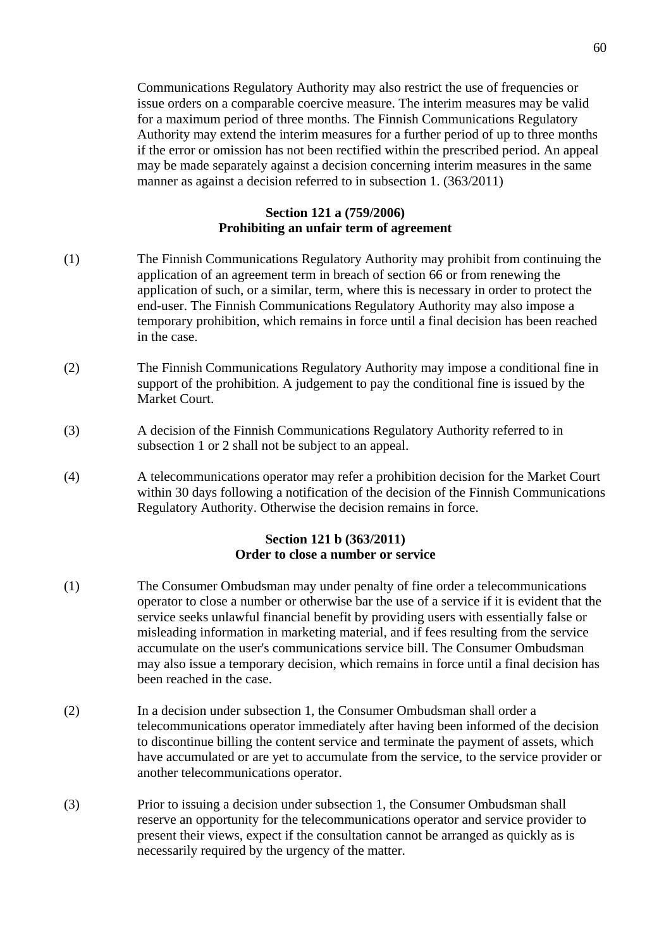Communications Regulatory Authority may also restrict the use of frequencies or issue orders on a comparable coercive measure. The interim measures may be valid for a maximum period of three months. The Finnish Communications Regulatory Authority may extend the interim measures for a further period of up to three months if the error or omission has not been rectified within the prescribed period. An appeal may be made separately against a decision concerning interim measures in the same manner as against a decision referred to in subsection 1. (363/2011)

### **Section 121 a (759/2006) Prohibiting an unfair term of agreement**

- (1) The Finnish Communications Regulatory Authority may prohibit from continuing the application of an agreement term in breach of section 66 or from renewing the application of such, or a similar, term, where this is necessary in order to protect the end-user. The Finnish Communications Regulatory Authority may also impose a temporary prohibition, which remains in force until a final decision has been reached in the case.
- (2) The Finnish Communications Regulatory Authority may impose a conditional fine in support of the prohibition. A judgement to pay the conditional fine is issued by the Market Court.
- (3) A decision of the Finnish Communications Regulatory Authority referred to in subsection 1 or 2 shall not be subject to an appeal.
- (4) A telecommunications operator may refer a prohibition decision for the Market Court within 30 days following a notification of the decision of the Finnish Communications Regulatory Authority. Otherwise the decision remains in force.

#### **Section 121 b (363/2011) Order to close a number or service**

- (1) The Consumer Ombudsman may under penalty of fine order a telecommunications operator to close a number or otherwise bar the use of a service if it is evident that the service seeks unlawful financial benefit by providing users with essentially false or misleading information in marketing material, and if fees resulting from the service accumulate on the user's communications service bill. The Consumer Ombudsman may also issue a temporary decision, which remains in force until a final decision has been reached in the case.
- (2) In a decision under subsection 1, the Consumer Ombudsman shall order a telecommunications operator immediately after having been informed of the decision to discontinue billing the content service and terminate the payment of assets, which have accumulated or are yet to accumulate from the service, to the service provider or another telecommunications operator.
- (3) Prior to issuing a decision under subsection 1, the Consumer Ombudsman shall reserve an opportunity for the telecommunications operator and service provider to present their views, expect if the consultation cannot be arranged as quickly as is necessarily required by the urgency of the matter.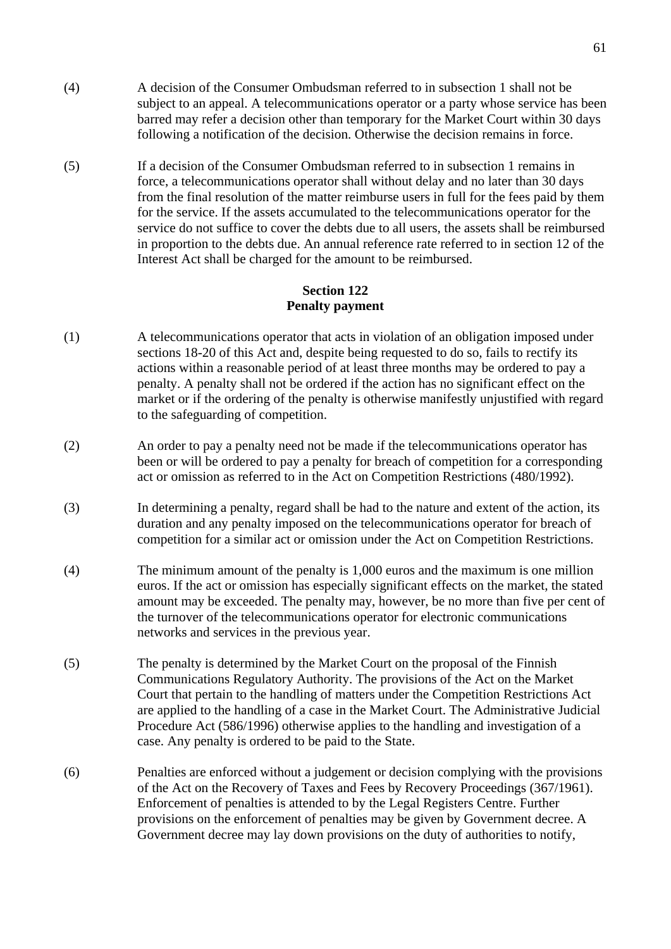- (4) A decision of the Consumer Ombudsman referred to in subsection 1 shall not be subject to an appeal. A telecommunications operator or a party whose service has been barred may refer a decision other than temporary for the Market Court within 30 days following a notification of the decision. Otherwise the decision remains in force.
- (5) If a decision of the Consumer Ombudsman referred to in subsection 1 remains in force, a telecommunications operator shall without delay and no later than 30 days from the final resolution of the matter reimburse users in full for the fees paid by them for the service. If the assets accumulated to the telecommunications operator for the service do not suffice to cover the debts due to all users, the assets shall be reimbursed in proportion to the debts due. An annual reference rate referred to in section 12 of the Interest Act shall be charged for the amount to be reimbursed.

### **Section 122 Penalty payment**

- (1) A telecommunications operator that acts in violation of an obligation imposed under sections 18-20 of this Act and, despite being requested to do so, fails to rectify its actions within a reasonable period of at least three months may be ordered to pay a penalty. A penalty shall not be ordered if the action has no significant effect on the market or if the ordering of the penalty is otherwise manifestly unjustified with regard to the safeguarding of competition.
- (2) An order to pay a penalty need not be made if the telecommunications operator has been or will be ordered to pay a penalty for breach of competition for a corresponding act or omission as referred to in the Act on Competition Restrictions (480/1992).
- (3) In determining a penalty, regard shall be had to the nature and extent of the action, its duration and any penalty imposed on the telecommunications operator for breach of competition for a similar act or omission under the Act on Competition Restrictions.
- (4) The minimum amount of the penalty is 1,000 euros and the maximum is one million euros. If the act or omission has especially significant effects on the market, the stated amount may be exceeded. The penalty may, however, be no more than five per cent of the turnover of the telecommunications operator for electronic communications networks and services in the previous year.
- (5) The penalty is determined by the Market Court on the proposal of the Finnish Communications Regulatory Authority. The provisions of the Act on the Market Court that pertain to the handling of matters under the Competition Restrictions Act are applied to the handling of a case in the Market Court. The Administrative Judicial Procedure Act (586/1996) otherwise applies to the handling and investigation of a case. Any penalty is ordered to be paid to the State.
- (6) Penalties are enforced without a judgement or decision complying with the provisions of the Act on the Recovery of Taxes and Fees by Recovery Proceedings (367/1961). Enforcement of penalties is attended to by the Legal Registers Centre. Further provisions on the enforcement of penalties may be given by Government decree. A Government decree may lay down provisions on the duty of authorities to notify,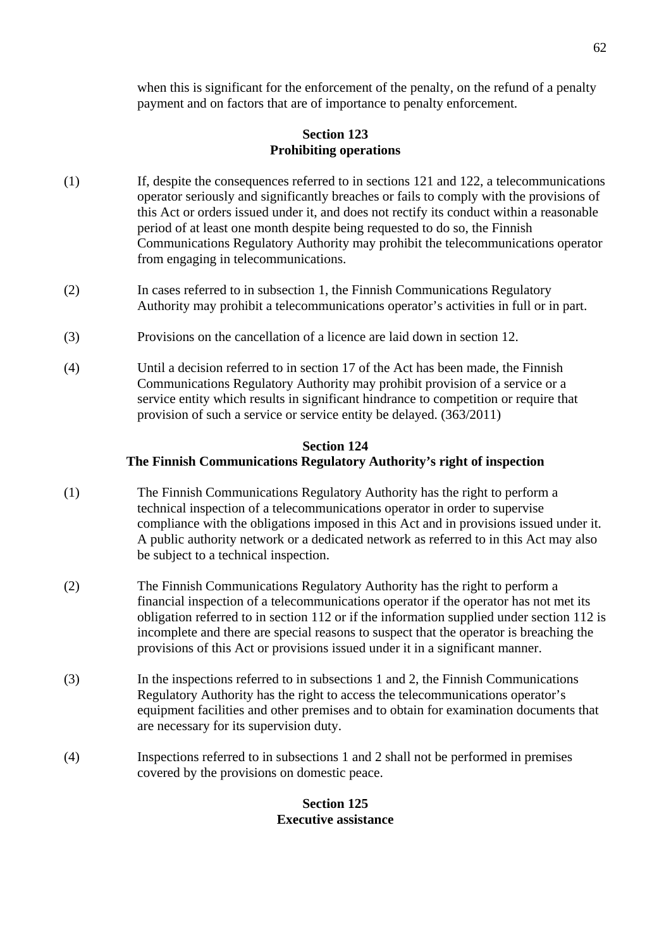when this is significant for the enforcement of the penalty, on the refund of a penalty payment and on factors that are of importance to penalty enforcement.

# **Section 123 Prohibiting operations**

- (1) If, despite the consequences referred to in sections 121 and 122, a telecommunications operator seriously and significantly breaches or fails to comply with the provisions of this Act or orders issued under it, and does not rectify its conduct within a reasonable period of at least one month despite being requested to do so, the Finnish Communications Regulatory Authority may prohibit the telecommunications operator from engaging in telecommunications.
- (2) In cases referred to in subsection 1, the Finnish Communications Regulatory Authority may prohibit a telecommunications operator's activities in full or in part.
- (3) Provisions on the cancellation of a licence are laid down in section 12.
- (4) Until a decision referred to in section 17 of the Act has been made, the Finnish Communications Regulatory Authority may prohibit provision of a service or a service entity which results in significant hindrance to competition or require that provision of such a service or service entity be delayed. (363/2011)

# **Section 124 The Finnish Communications Regulatory Authority's right of inspection**

- (1) The Finnish Communications Regulatory Authority has the right to perform a technical inspection of a telecommunications operator in order to supervise compliance with the obligations imposed in this Act and in provisions issued under it. A public authority network or a dedicated network as referred to in this Act may also be subject to a technical inspection.
- (2) The Finnish Communications Regulatory Authority has the right to perform a financial inspection of a telecommunications operator if the operator has not met its obligation referred to in section 112 or if the information supplied under section 112 is incomplete and there are special reasons to suspect that the operator is breaching the provisions of this Act or provisions issued under it in a significant manner.
- (3) In the inspections referred to in subsections 1 and 2, the Finnish Communications Regulatory Authority has the right to access the telecommunications operator's equipment facilities and other premises and to obtain for examination documents that are necessary for its supervision duty.
- (4) Inspections referred to in subsections 1 and 2 shall not be performed in premises covered by the provisions on domestic peace.

# **Section 125 Executive assistance**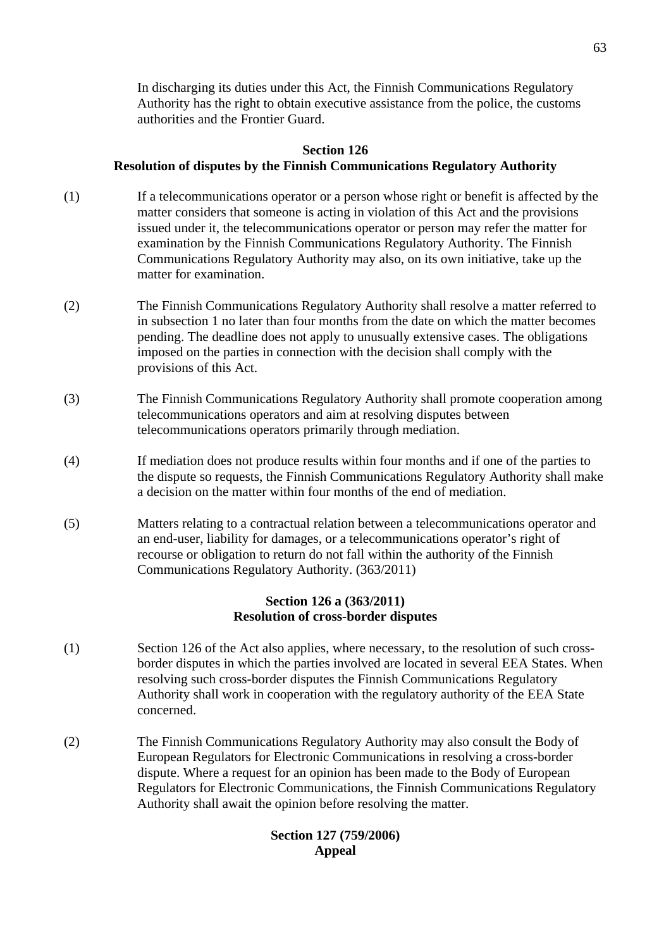In discharging its duties under this Act, the Finnish Communications Regulatory Authority has the right to obtain executive assistance from the police, the customs authorities and the Frontier Guard.

# **Section 126 Resolution of disputes by the Finnish Communications Regulatory Authority**

- (1) If a telecommunications operator or a person whose right or benefit is affected by the matter considers that someone is acting in violation of this Act and the provisions issued under it, the telecommunications operator or person may refer the matter for examination by the Finnish Communications Regulatory Authority. The Finnish Communications Regulatory Authority may also, on its own initiative, take up the matter for examination.
- (2) The Finnish Communications Regulatory Authority shall resolve a matter referred to in subsection 1 no later than four months from the date on which the matter becomes pending. The deadline does not apply to unusually extensive cases. The obligations imposed on the parties in connection with the decision shall comply with the provisions of this Act.
- (3) The Finnish Communications Regulatory Authority shall promote cooperation among telecommunications operators and aim at resolving disputes between telecommunications operators primarily through mediation.
- (4) If mediation does not produce results within four months and if one of the parties to the dispute so requests, the Finnish Communications Regulatory Authority shall make a decision on the matter within four months of the end of mediation.
- (5) Matters relating to a contractual relation between a telecommunications operator and an end-user, liability for damages, or a telecommunications operator's right of recourse or obligation to return do not fall within the authority of the Finnish Communications Regulatory Authority. (363/2011)

### **Section 126 a (363/2011) Resolution of cross-border disputes**

- (1) Section 126 of the Act also applies, where necessary, to the resolution of such cross border disputes in which the parties involved are located in several EEA States. When resolving such cross-border disputes the Finnish Communications Regulatory Authority shall work in cooperation with the regulatory authority of the EEA State concerned.
- (2) The Finnish Communications Regulatory Authority may also consult the Body of European Regulators for Electronic Communications in resolving a cross-border dispute. Where a request for an opinion has been made to the Body of European Regulators for Electronic Communications, the Finnish Communications Regulatory Authority shall await the opinion before resolving the matter.

# **Section 127 (759/2006) Appeal**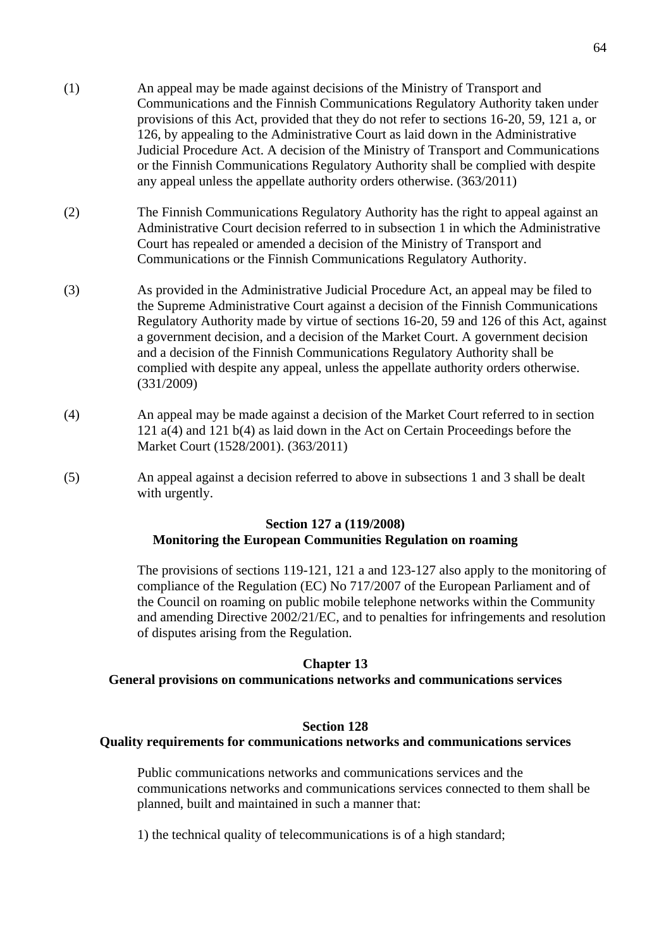- (1) An appeal may be made against decisions of the Ministry of Transport and Communications and the Finnish Communications Regulatory Authority taken under provisions of this Act, provided that they do not refer to sections 16-20, 59, 121 a, or 126, by appealing to the Administrative Court as laid down in the Administrative Judicial Procedure Act. A decision of the Ministry of Transport and Communications or the Finnish Communications Regulatory Authority shall be complied with despite any appeal unless the appellate authority orders otherwise. (363/2011)
- (2) The Finnish Communications Regulatory Authority has the right to appeal against an Administrative Court decision referred to in subsection 1 in which the Administrative Court has repealed or amended a decision of the Ministry of Transport and Communications or the Finnish Communications Regulatory Authority.
- (3) As provided in the Administrative Judicial Procedure Act, an appeal may be filed to the Supreme Administrative Court against a decision of the Finnish Communications Regulatory Authority made by virtue of sections 16-20, 59 and 126 of this Act, against a government decision, and a decision of the Market Court. A government decision and a decision of the Finnish Communications Regulatory Authority shall be complied with despite any appeal, unless the appellate authority orders otherwise. (331/2009)
- (4) An appeal may be made against a decision of the Market Court referred to in section 121 a(4) and 121 b(4) as laid down in the Act on Certain Proceedings before the Market Court (1528/2001). (363/2011)
- (5) An appeal against a decision referred to above in subsections 1 and 3 shall be dealt with urgently.

# **Section 127 a (119/2008) Monitoring the European Communities Regulation on roaming**

The provisions of sections 119-121, 121 a and 123-127 also apply to the monitoring of compliance of the Regulation (EC) No 717/2007 of the European Parliament and of the Council on roaming on public mobile telephone networks within the Community and amending Directive 2002/21/EC, and to penalties for infringements and resolution of disputes arising from the Regulation.

### **Chapter 13**

#### **General provisions on communications networks and communications services**

#### **Section 128**

### **Quality requirements for communications networks and communications services**

 Public communications networks and communications services and the communications networks and communications services connected to them shall be planned, built and maintained in such a manner that:

1) the technical quality of telecommunications is of a high standard;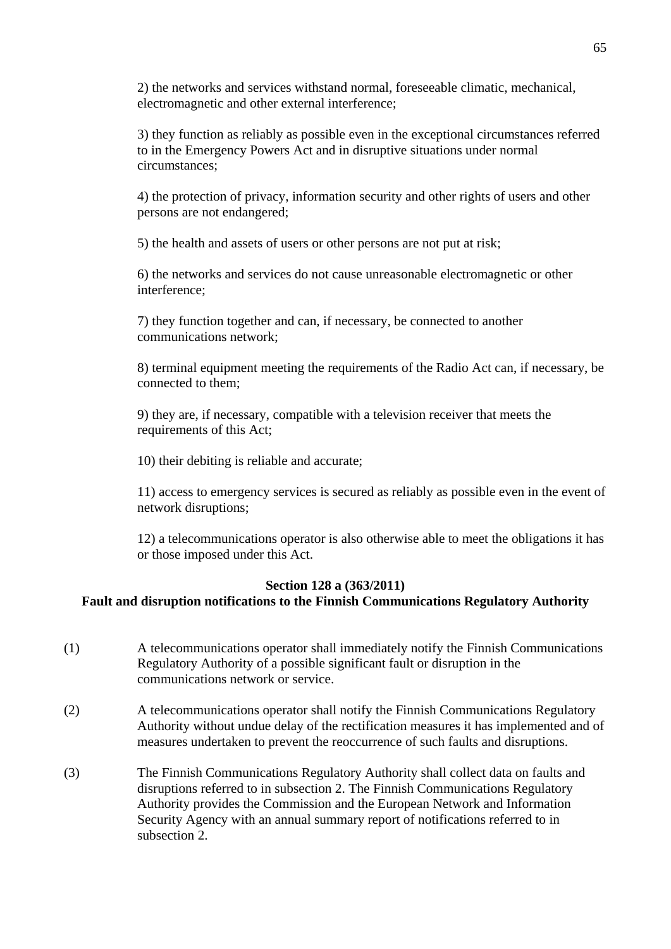2) the networks and services withstand normal, foreseeable climatic, mechanical, electromagnetic and other external interference;

3) they function as reliably as possible even in the exceptional circumstances referred to in the Emergency Powers Act and in disruptive situations under normal circumstances;

4) the protection of privacy, information security and other rights of users and other persons are not endangered;

5) the health and assets of users or other persons are not put at risk;

6) the networks and services do not cause unreasonable electromagnetic or other interference;

7) they function together and can, if necessary, be connected to another communications network;

8) terminal equipment meeting the requirements of the Radio Act can, if necessary, be connected to them;

9) they are, if necessary, compatible with a television receiver that meets the requirements of this Act;

10) their debiting is reliable and accurate;

11) access to emergency services is secured as reliably as possible even in the event of network disruptions;

12) a telecommunications operator is also otherwise able to meet the obligations it has or those imposed under this Act.

### **Section 128 a (363/2011)**

# **Fault and disruption notifications to the Finnish Communications Regulatory Authority**

- (1) A telecommunications operator shall immediately notify the Finnish Communications Regulatory Authority of a possible significant fault or disruption in the communications network or service.
- (2) A telecommunications operator shall notify the Finnish Communications Regulatory Authority without undue delay of the rectification measures it has implemented and of measures undertaken to prevent the reoccurrence of such faults and disruptions.
- (3) The Finnish Communications Regulatory Authority shall collect data on faults and disruptions referred to in subsection 2. The Finnish Communications Regulatory Authority provides the Commission and the European Network and Information Security Agency with an annual summary report of notifications referred to in subsection 2.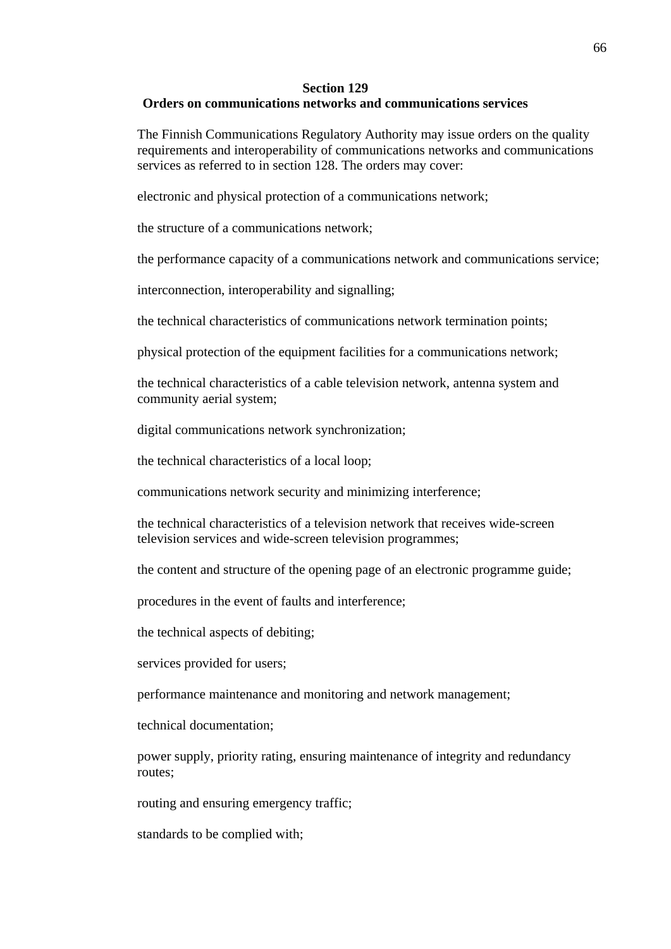#### **Section 129**

#### **Orders on communications networks and communications services**

The Finnish Communications Regulatory Authority may issue orders on the quality requirements and interoperability of communications networks and communications services as referred to in section 128. The orders may cover:

electronic and physical protection of a communications network;

the structure of a communications network;

the performance capacity of a communications network and communications service;

interconnection, interoperability and signalling;

the technical characteristics of communications network termination points;

physical protection of the equipment facilities for a communications network;

the technical characteristics of a cable television network, antenna system and community aerial system;

digital communications network synchronization;

the technical characteristics of a local loop;

communications network security and minimizing interference;

the technical characteristics of a television network that receives wide-screen television services and wide-screen television programmes;

the content and structure of the opening page of an electronic programme guide;

procedures in the event of faults and interference;

the technical aspects of debiting;

services provided for users;

performance maintenance and monitoring and network management;

technical documentation;

power supply, priority rating, ensuring maintenance of integrity and redundancy routes;

routing and ensuring emergency traffic;

standards to be complied with;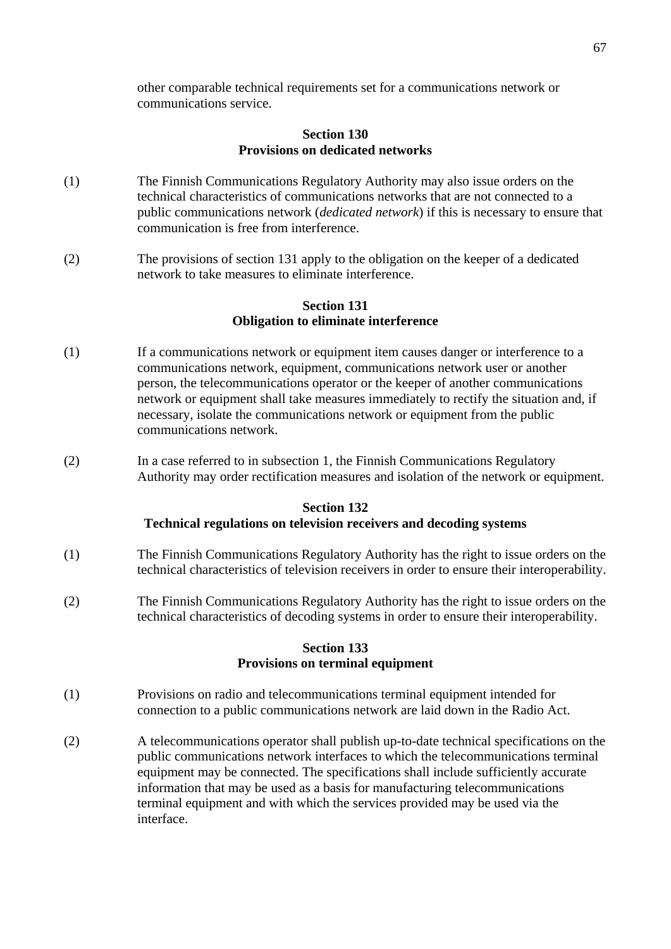other comparable technical requirements set for a communications network or communications service.

### **Section 130 Provisions on dedicated networks**

- (1) The Finnish Communications Regulatory Authority may also issue orders on the technical characteristics of communications networks that are not connected to a public communications network (*dedicated network*) if this is necessary to ensure that communication is free from interference.
- (2) The provisions of section 131 apply to the obligation on the keeper of a dedicated network to take measures to eliminate interference.

#### **Section 131 Obligation to eliminate interference**

- (1) If a communications network or equipment item causes danger or interference to a communications network, equipment, communications network user or another person, the telecommunications operator or the keeper of another communications network or equipment shall take measures immediately to rectify the situation and, if necessary, isolate the communications network or equipment from the public communications network.
- (2) In a case referred to in subsection 1, the Finnish Communications Regulatory Authority may order rectification measures and isolation of the network or equipment.

#### **Section 132**

### **Technical regulations on television receivers and decoding systems**

- (1) The Finnish Communications Regulatory Authority has the right to issue orders on the technical characteristics of television receivers in order to ensure their interoperability.
- (2) The Finnish Communications Regulatory Authority has the right to issue orders on the technical characteristics of decoding systems in order to ensure their interoperability.

#### **Section 133 Provisions on terminal equipment**

- (1) Provisions on radio and telecommunications terminal equipment intended for connection to a public communications network are laid down in the Radio Act.
- (2) A telecommunications operator shall publish up-to-date technical specifications on the public communications network interfaces to which the telecommunications terminal equipment may be connected. The specifications shall include sufficiently accurate information that may be used as a basis for manufacturing telecommunications terminal equipment and with which the services provided may be used via the interface.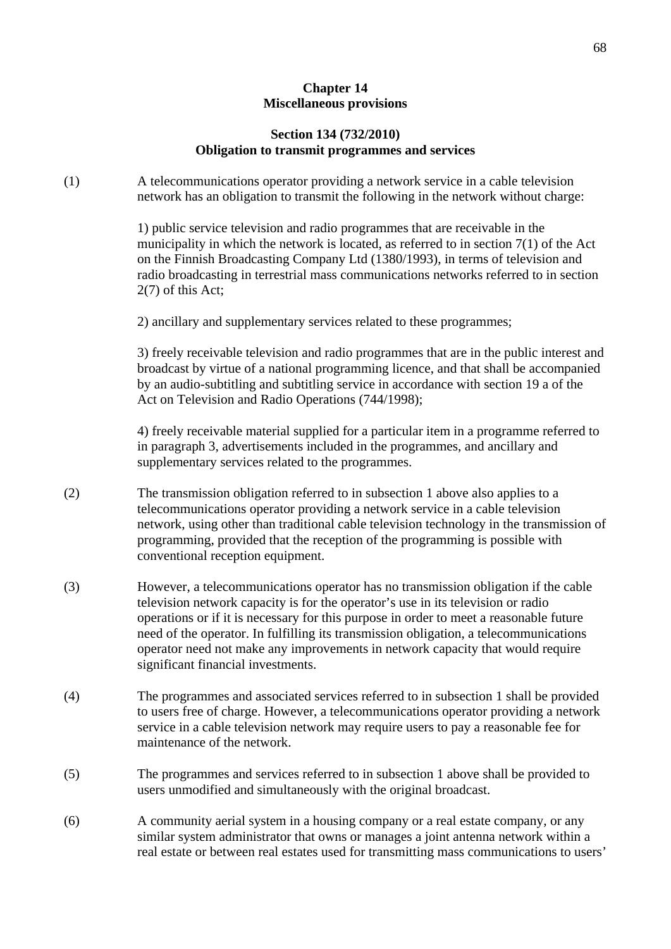# **Chapter 14 Miscellaneous provisions**

### **Section 134 (732/2010) Obligation to transmit programmes and services**

(1) A telecommunications operator providing a network service in a cable television network has an obligation to transmit the following in the network without charge:

> 1) public service television and radio programmes that are receivable in the municipality in which the network is located, as referred to in section 7(1) of the Act on the Finnish Broadcasting Company Ltd (1380/1993), in terms of television and radio broadcasting in terrestrial mass communications networks referred to in section 2(7) of this Act;

2) ancillary and supplementary services related to these programmes;

 3) freely receivable television and radio programmes that are in the public interest and broadcast by virtue of a national programming licence, and that shall be accompanied by an audio-subtitling and subtitling service in accordance with section 19 a of the Act on Television and Radio Operations (744/1998);

 4) freely receivable material supplied for a particular item in a programme referred to in paragraph 3, advertisements included in the programmes, and ancillary and supplementary services related to the programmes.

- (2) The transmission obligation referred to in subsection 1 above also applies to a telecommunications operator providing a network service in a cable television network, using other than traditional cable television technology in the transmission of programming, provided that the reception of the programming is possible with conventional reception equipment.
- (3) However, a telecommunications operator has no transmission obligation if the cable television network capacity is for the operator's use in its television or radio operations or if it is necessary for this purpose in order to meet a reasonable future need of the operator. In fulfilling its transmission obligation, a telecommunications operator need not make any improvements in network capacity that would require significant financial investments.
- (4) The programmes and associated services referred to in subsection 1 shall be provided to users free of charge. However, a telecommunications operator providing a network service in a cable television network may require users to pay a reasonable fee for maintenance of the network.
- (5) The programmes and services referred to in subsection 1 above shall be provided to users unmodified and simultaneously with the original broadcast.
- (6) A community aerial system in a housing company or a real estate company, or any similar system administrator that owns or manages a joint antenna network within a real estate or between real estates used for transmitting mass communications to users'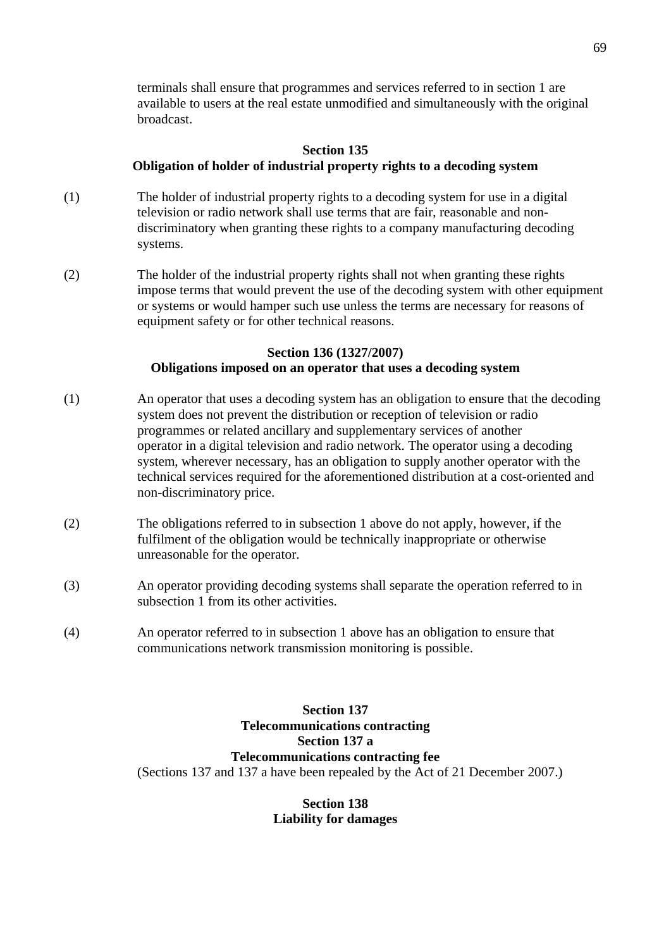terminals shall ensure that programmes and services referred to in section 1 are available to users at the real estate unmodified and simultaneously with the original broadcast.

## **Section 135 Obligation of holder of industrial property rights to a decoding system**

- (1) The holder of industrial property rights to a decoding system for use in a digital television or radio network shall use terms that are fair, reasonable and non discriminatory when granting these rights to a company manufacturing decoding systems.
- (2) The holder of the industrial property rights shall not when granting these rights impose terms that would prevent the use of the decoding system with other equipment or systems or would hamper such use unless the terms are necessary for reasons of equipment safety or for other technical reasons.

### **Section 136 (1327/2007) Obligations imposed on an operator that uses a decoding system**

- (1) An operator that uses a decoding system has an obligation to ensure that the decoding system does not prevent the distribution or reception of television or radio programmes or related ancillary and supplementary services of another operator in a digital television and radio network. The operator using a decoding system, wherever necessary, has an obligation to supply another operator with the technical services required for the aforementioned distribution at a cost-oriented and non-discriminatory price.
- (2) The obligations referred to in subsection 1 above do not apply, however, if the fulfilment of the obligation would be technically inappropriate or otherwise unreasonable for the operator.
- (3) An operator providing decoding systems shall separate the operation referred to in subsection 1 from its other activities.
- (4) An operator referred to in subsection 1 above has an obligation to ensure that communications network transmission monitoring is possible.

**Section 137 Telecommunications contracting Section 137 a Telecommunications contracting fee**  (Sections 137 and 137 a have been repealed by the Act of 21 December 2007.)

> **Section 138 Liability for damages**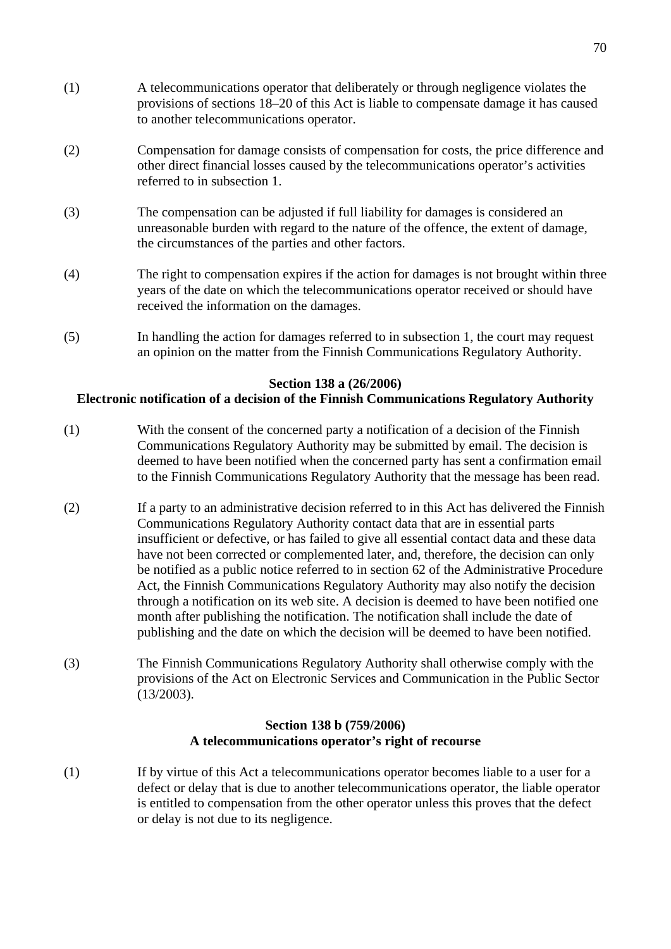- (1) A telecommunications operator that deliberately or through negligence violates the provisions of sections 18–20 of this Act is liable to compensate damage it has caused to another telecommunications operator.
- (2) Compensation for damage consists of compensation for costs, the price difference and other direct financial losses caused by the telecommunications operator's activities referred to in subsection 1.
- (3) The compensation can be adjusted if full liability for damages is considered an unreasonable burden with regard to the nature of the offence, the extent of damage, the circumstances of the parties and other factors.
- (4) The right to compensation expires if the action for damages is not brought within three years of the date on which the telecommunications operator received or should have received the information on the damages.
- (5) In handling the action for damages referred to in subsection 1, the court may request an opinion on the matter from the Finnish Communications Regulatory Authority.

#### **Section 138 a (26/2006)**

#### **Electronic notification of a decision of the Finnish Communications Regulatory Authority**

- (1) With the consent of the concerned party a notification of a decision of the Finnish Communications Regulatory Authority may be submitted by email. The decision is deemed to have been notified when the concerned party has sent a confirmation email to the Finnish Communications Regulatory Authority that the message has been read.
- (2) If a party to an administrative decision referred to in this Act has delivered the Finnish Communications Regulatory Authority contact data that are in essential parts insufficient or defective, or has failed to give all essential contact data and these data have not been corrected or complemented later, and, therefore, the decision can only be notified as a public notice referred to in section 62 of the Administrative Procedure Act, the Finnish Communications Regulatory Authority may also notify the decision through a notification on its web site. A decision is deemed to have been notified one month after publishing the notification. The notification shall include the date of publishing and the date on which the decision will be deemed to have been notified.
- (3) The Finnish Communications Regulatory Authority shall otherwise comply with the provisions of the Act on Electronic Services and Communication in the Public Sector (13/2003).

#### **Section 138 b (759/2006) A telecommunications operator's right of recourse**

(1) If by virtue of this Act a telecommunications operator becomes liable to a user for a defect or delay that is due to another telecommunications operator, the liable operator is entitled to compensation from the other operator unless this proves that the defect or delay is not due to its negligence.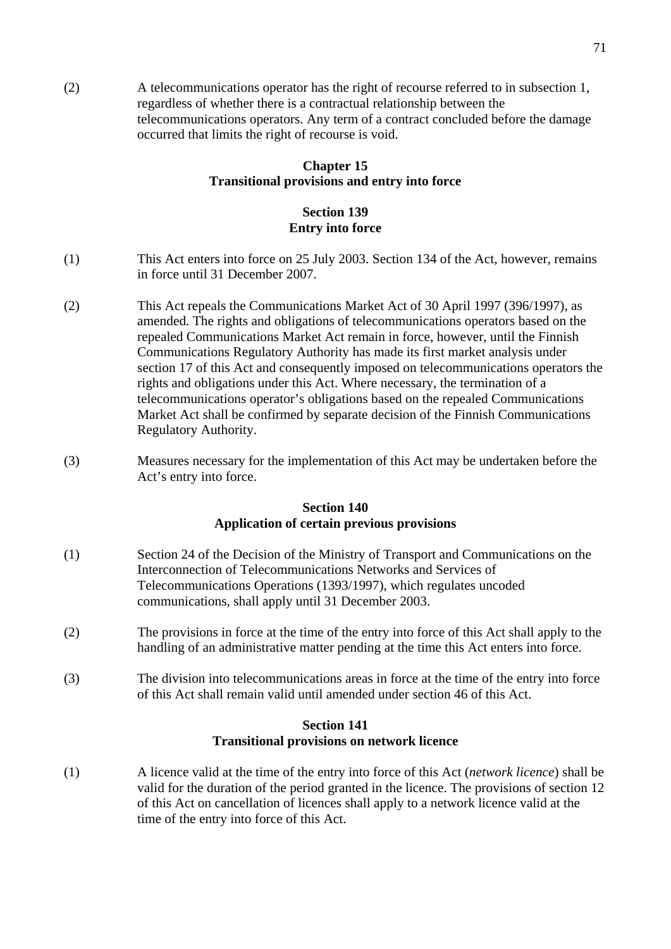(2) A telecommunications operator has the right of recourse referred to in subsection 1, regardless of whether there is a contractual relationship between the telecommunications operators. Any term of a contract concluded before the damage occurred that limits the right of recourse is void.

# **Chapter 15 Transitional provisions and entry into force**

# **Section 139 Entry into force**

- (1) This Act enters into force on 25 July 2003. Section 134 of the Act, however, remains in force until 31 December 2007.
- (2) This Act repeals the Communications Market Act of 30 April 1997 (396/1997), as amended. The rights and obligations of telecommunications operators based on the repealed Communications Market Act remain in force, however, until the Finnish Communications Regulatory Authority has made its first market analysis under section 17 of this Act and consequently imposed on telecommunications operators the rights and obligations under this Act. Where necessary, the termination of a telecommunications operator's obligations based on the repealed Communications Market Act shall be confirmed by separate decision of the Finnish Communications Regulatory Authority.
- (3) Measures necessary for the implementation of this Act may be undertaken before the Act's entry into force.

#### **Section 140 Application of certain previous provisions**

- (1) Section 24 of the Decision of the Ministry of Transport and Communications on the Interconnection of Telecommunications Networks and Services of Telecommunications Operations (1393/1997), which regulates uncoded communications, shall apply until 31 December 2003.
- (2) The provisions in force at the time of the entry into force of this Act shall apply to the handling of an administrative matter pending at the time this Act enters into force.
- (3) The division into telecommunications areas in force at the time of the entry into force of this Act shall remain valid until amended under section 46 of this Act.

#### **Section 141 Transitional provisions on network licence**

(1) A licence valid at the time of the entry into force of this Act (*network licence*) shall be valid for the duration of the period granted in the licence. The provisions of section 12 of this Act on cancellation of licences shall apply to a network licence valid at the time of the entry into force of this Act.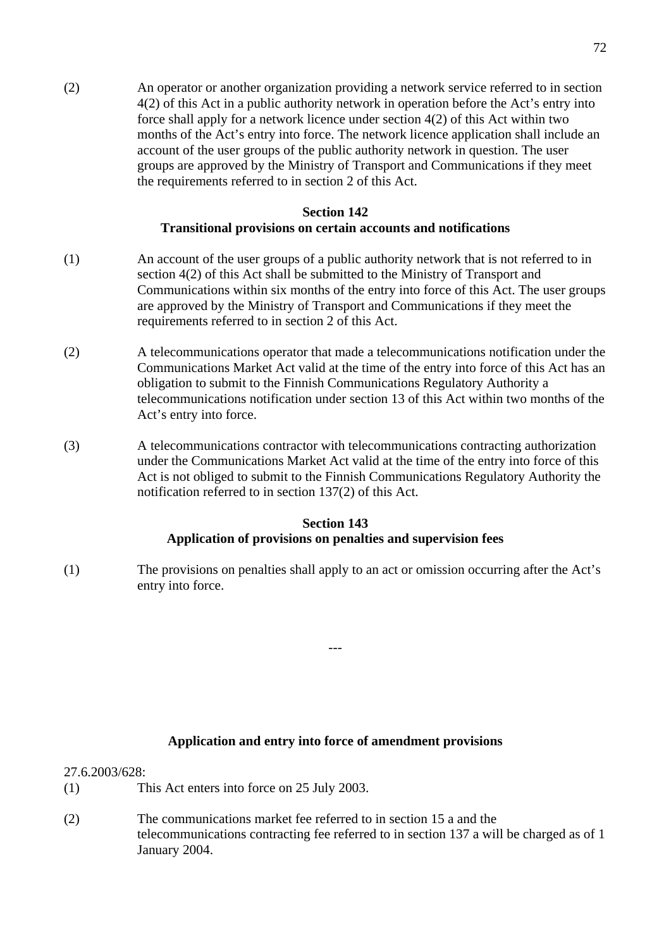(2) An operator or another organization providing a network service referred to in section 4(2) of this Act in a public authority network in operation before the Act's entry into force shall apply for a network licence under section 4(2) of this Act within two months of the Act's entry into force. The network licence application shall include an account of the user groups of the public authority network in question. The user groups are approved by the Ministry of Transport and Communications if they meet the requirements referred to in section 2 of this Act.

# **Section 142 Transitional provisions on certain accounts and notifications**

- (1) An account of the user groups of a public authority network that is not referred to in section 4(2) of this Act shall be submitted to the Ministry of Transport and Communications within six months of the entry into force of this Act. The user groups are approved by the Ministry of Transport and Communications if they meet the requirements referred to in section 2 of this Act.
- (2) A telecommunications operator that made a telecommunications notification under the Communications Market Act valid at the time of the entry into force of this Act has an obligation to submit to the Finnish Communications Regulatory Authority a telecommunications notification under section 13 of this Act within two months of the Act's entry into force.
- (3) A telecommunications contractor with telecommunications contracting authorization under the Communications Market Act valid at the time of the entry into force of this Act is not obliged to submit to the Finnish Communications Regulatory Authority the notification referred to in section 137(2) of this Act.

# **Section 143 Application of provisions on penalties and supervision fees**

(1) The provisions on penalties shall apply to an act or omission occurring after the Act's entry into force.

---

### **Application and entry into force of amendment provisions**

27.6.2003/628:

- (1) This Act enters into force on 25 July 2003.
- (2) The communications market fee referred to in section 15 a and the telecommunications contracting fee referred to in section 137 a will be charged as of 1 January 2004.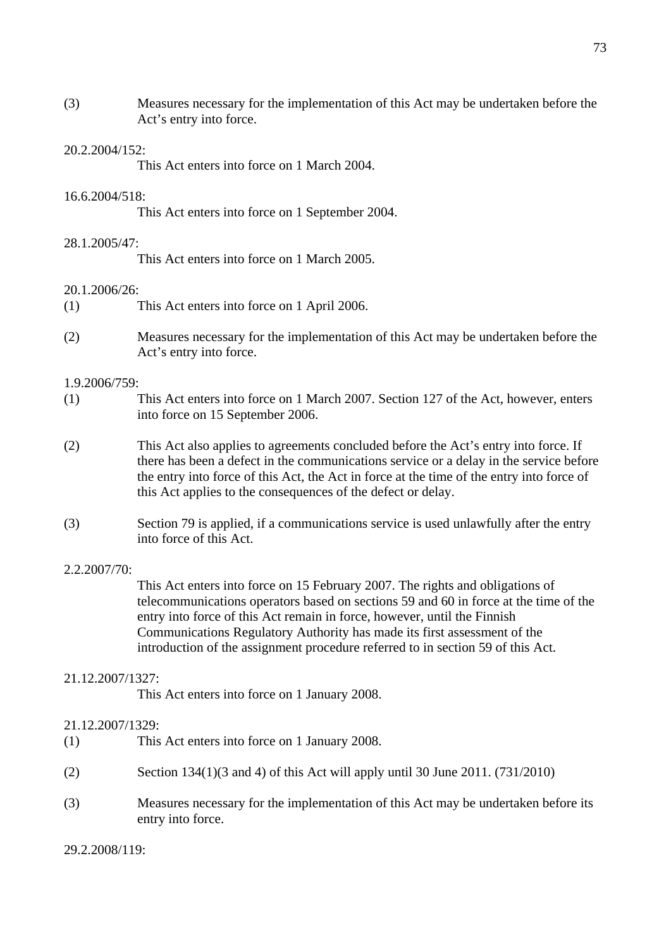(3) Measures necessary for the implementation of this Act may be undertaken before the Act's entry into force.

### 20.2.2004/152:

This Act enters into force on 1 March 2004.

## 16.6.2004/518:

This Act enters into force on 1 September 2004.

## 28.1.2005/47:

This Act enters into force on 1 March 2005.

## 20.1.2006/26:

- (1) This Act enters into force on 1 April 2006.
- (2) Measures necessary for the implementation of this Act may be undertaken before the Act's entry into force.

### 1.9.2006/759:

- (1) This Act enters into force on 1 March 2007. Section 127 of the Act, however, enters into force on 15 September 2006.
- (2) This Act also applies to agreements concluded before the Act's entry into force. If there has been a defect in the communications service or a delay in the service before the entry into force of this Act, the Act in force at the time of the entry into force of this Act applies to the consequences of the defect or delay.
- (3) Section 79 is applied, if a communications service is used unlawfully after the entry into force of this Act.

### 2.2.2007/70:

This Act enters into force on 15 February 2007. The rights and obligations of telecommunications operators based on sections 59 and 60 in force at the time of the entry into force of this Act remain in force, however, until the Finnish Communications Regulatory Authority has made its first assessment of the introduction of the assignment procedure referred to in section 59 of this Act.

### 21.12.2007/1327:

This Act enters into force on 1 January 2008.

### 21.12.2007/1329:

- (1) This Act enters into force on 1 January 2008.
- (2) Section 134(1)(3 and 4) of this Act will apply until 30 June 2011. (731/2010)
- (3) Measures necessary for the implementation of this Act may be undertaken before its entry into force.

29.2.2008/119: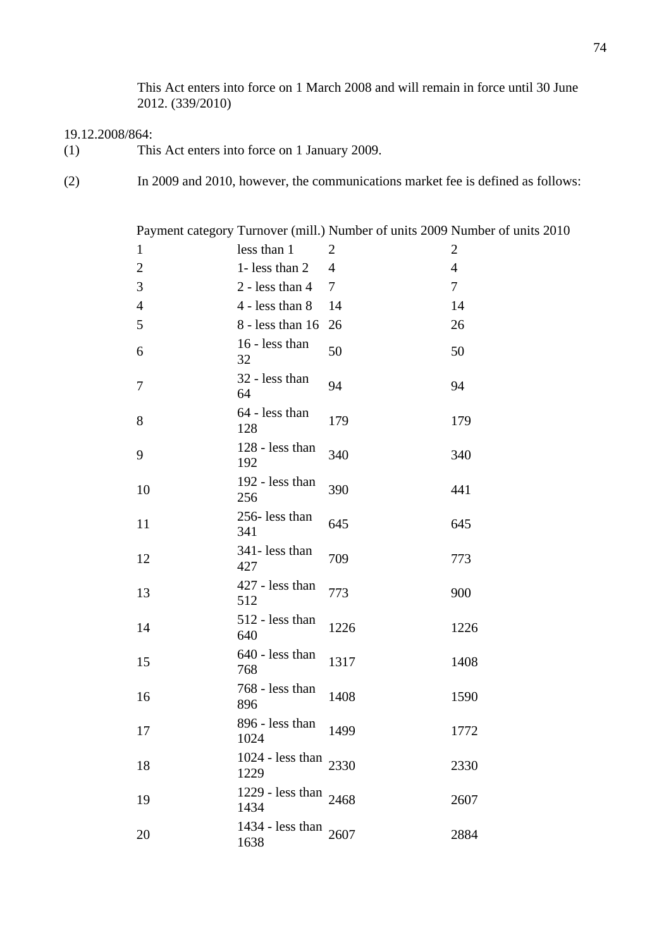This Act enters into force on 1 March 2008 and will remain in force until 30 June 2012. (339/2010)

## 19.12.2008/864:

- (1) This Act enters into force on 1 January 2009.
- (2) In 2009 and 2010, however, the communications market fee is defined as follows:

|                |                                 |                | Payment category Turnover (mill.) Number of units 2009 Number of units 2010 |
|----------------|---------------------------------|----------------|-----------------------------------------------------------------------------|
| $\mathbf{1}$   | less than 1                     | $\overline{2}$ | $\overline{2}$                                                              |
| $\overline{2}$ | 1- less than 2                  | 4              | $\overline{4}$                                                              |
| 3              | $2 - less than 4$               | 7              | $\overline{7}$                                                              |
| $\overline{4}$ | 4 - less than 8                 | 14             | 14                                                                          |
| 5              | 8 - less than 16                | 26             | 26                                                                          |
| 6              | 16 - less than<br>32            | 50             | 50                                                                          |
| 7              | 32 - less than<br>64            | 94             | 94                                                                          |
| 8              | 64 - less than<br>128           | 179            | 179                                                                         |
| 9              | 128 - less than<br>192          | 340            | 340                                                                         |
| 10             | 192 - less than<br>256          | 390            | 441                                                                         |
| 11             | 256-less than<br>341            | 645            | 645                                                                         |
| 12             | 341- less than<br>427           | 709            | 773                                                                         |
| 13             | 427 - less than<br>512          | 773            | 900                                                                         |
| 14             | 512 - less than<br>640          | 1226           | 1226                                                                        |
| 15             | 640 - less than<br>768          | 1317           | 1408                                                                        |
| 16             | 768 - less than<br>896          | 1408           | 1590                                                                        |
| 17             | 896 - less than<br>1024         | 1499           | 1772                                                                        |
| 18             | 1024 - less than 2330<br>1229   |                | 2330                                                                        |
| 19             | 1229 - less than $2468$<br>1434 |                | 2607                                                                        |
| 20             | 1434 - less than $2607$<br>1638 |                | 2884                                                                        |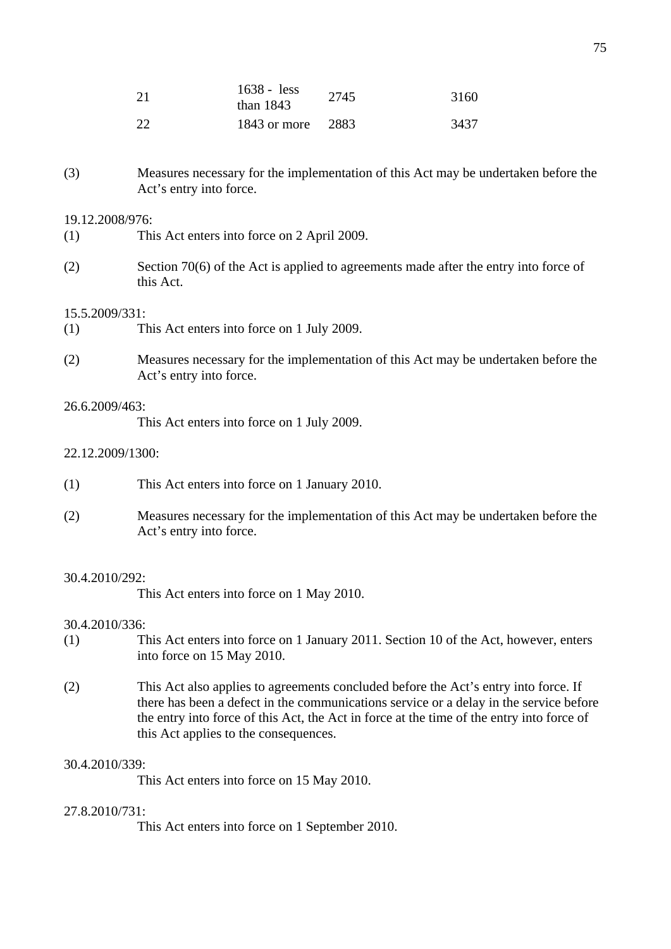| 21 | $1638 - 16$<br>than $1843$ | 2745 | 3160 |
|----|----------------------------|------|------|
| 22 | 1843 or more 2883          |      | 3437 |

(3) Measures necessary for the implementation of this Act may be undertaken before the Act's entry into force.

### 19.12.2008/976:

- (1) This Act enters into force on 2 April 2009.
- (2) Section 70(6) of the Act is applied to agreements made after the entry into force of this Act.

#### 15.5.2009/331:

- (1) This Act enters into force on 1 July 2009.
- (2) Measures necessary for the implementation of this Act may be undertaken before the Act's entry into force.

# 26.6.2009/463:

This Act enters into force on 1 July 2009.

## 22.12.2009/1300:

- (1) This Act enters into force on 1 January 2010.
- (2) Measures necessary for the implementation of this Act may be undertaken before the Act's entry into force.

## 30.4.2010/292:

This Act enters into force on 1 May 2010.

### 30.4.2010/336:

- (1) This Act enters into force on 1 January 2011. Section 10 of the Act, however, enters into force on 15 May 2010.
- (2) This Act also applies to agreements concluded before the Act's entry into force. If there has been a defect in the communications service or a delay in the service before the entry into force of this Act, the Act in force at the time of the entry into force of this Act applies to the consequences.

## 30.4.2010/339:

This Act enters into force on 15 May 2010.

## 27.8.2010/731:

This Act enters into force on 1 September 2010.